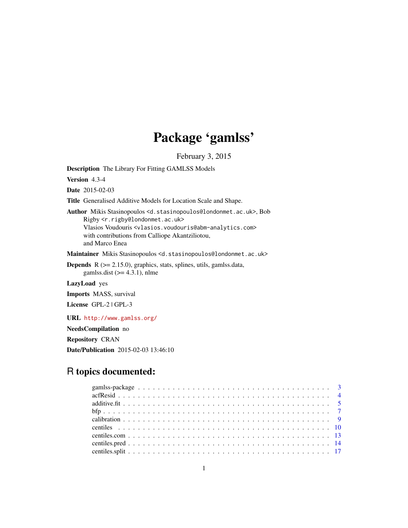# Package 'gamlss'

February 3, 2015

<span id="page-0-0"></span>Description The Library For Fitting GAMLSS Models

Version 4.3-4

Date 2015-02-03

Title Generalised Additive Models for Location Scale and Shape.

Author Mikis Stasinopoulos <d.stasinopoulos@londonmet.ac.uk>, Bob Rigby <r.rigby@londonmet.ac.uk> Vlasios Voudouris <vlasios.voudouris@abm-analytics.com> with contributions from Calliope Akantziliotou, and Marco Enea

Maintainer Mikis Stasinopoulos <d.stasinopoulos@londonmet.ac.uk>

**Depends** R  $(>= 2.15.0)$ , graphics, stats, splines, utils, gamlss.data, gamlss.dist  $(>= 4.3.1)$ , nlme

LazyLoad yes

Imports MASS, survival

License GPL-2 | GPL-3

URL <http://www.gamlss.org/>

NeedsCompilation no

Repository CRAN

Date/Publication 2015-02-03 13:46:10

# R topics documented: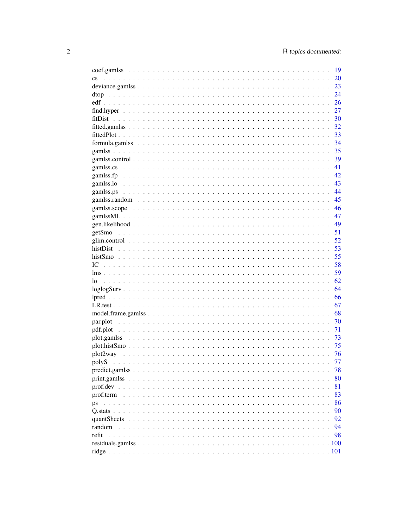|                        | 19 |
|------------------------|----|
| $\mathbf{c}\mathbf{s}$ | 20 |
|                        | 23 |
|                        | 24 |
|                        | 26 |
|                        | 27 |
|                        | 30 |
|                        | 32 |
|                        | 33 |
|                        | 34 |
|                        | 35 |
|                        | 39 |
|                        |    |
|                        | 41 |
|                        | 42 |
|                        | 43 |
|                        | 44 |
|                        | 45 |
|                        | 46 |
|                        | 47 |
|                        | 49 |
| getSmo                 | 51 |
|                        | 52 |
| histDist               | 53 |
|                        | 55 |
| IC                     | 58 |
|                        | 59 |
| lo                     | 62 |
|                        | 64 |
|                        | 66 |
|                        | 67 |
|                        | 68 |
|                        | 70 |
|                        | 71 |
|                        |    |
|                        | 73 |
|                        | 75 |
|                        | 76 |
|                        | 77 |
|                        | 78 |
|                        | 80 |
|                        | 81 |
| prof.term              | 83 |
| ps                     | 86 |
|                        | 90 |
|                        | 92 |
| random                 | 94 |
| refit                  | 98 |
|                        |    |
|                        |    |
|                        |    |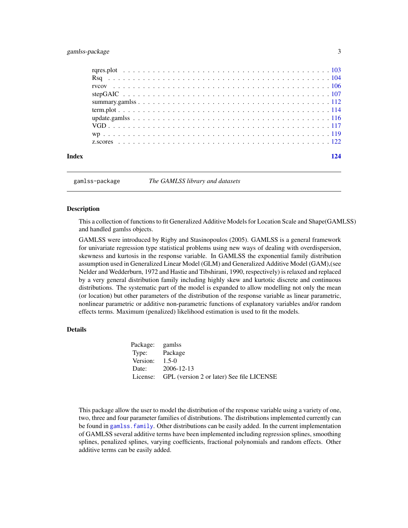# <span id="page-2-0"></span>gamlss-package 3

| Index | 194 |
|-------|-----|
|       |     |
|       |     |
|       |     |
|       |     |
|       |     |
|       |     |
|       |     |
|       |     |
|       |     |
|       |     |
|       |     |

gamlss-package *The GAMLSS library and datasets*

# Description

This a collection of functions to fit Generalized Additive Models for Location Scale and Shape(GAMLSS) and handled gamlss objects.

GAMLSS were introduced by Rigby and Stasinopoulos (2005). GAMLSS is a general framework for univariate regression type statistical problems using new ways of dealing with overdispersion, skewness and kurtosis in the response variable. In GAMLSS the exponential family distribution assumption used in Generalized Linear Model (GLM) and Generalized Additive Model (GAM),(see Nelder and Wedderburn, 1972 and Hastie and Tibshirani, 1990, respectively) is relaxed and replaced by a very general distribution family including highly skew and kurtotic discrete and continuous distributions. The systematic part of the model is expanded to allow modelling not only the mean (or location) but other parameters of the distribution of the response variable as linear parametric, nonlinear parametric or additive non-parametric functions of explanatory variables and/or random effects terms. Maximum (penalized) likelihood estimation is used to fit the models.

# Details

| Package: gamlss  |                                                    |
|------------------|----------------------------------------------------|
| Type: Package    |                                                    |
| Version: $1.5-0$ |                                                    |
|                  | Date: 2006-12-13                                   |
|                  | License: GPL (version 2 or later) See file LICENSE |

This package allow the user to model the distribution of the response variable using a variety of one, two, three and four parameter families of distributions. The distributions implemented currently can be found in [gamlss.family](#page-0-0). Other distributions can be easily added. In the current implementation of GAMLSS several additive terms have been implemented including regression splines, smoothing splines, penalized splines, varying coefficients, fractional polynomials and random effects. Other additive terms can be easily added.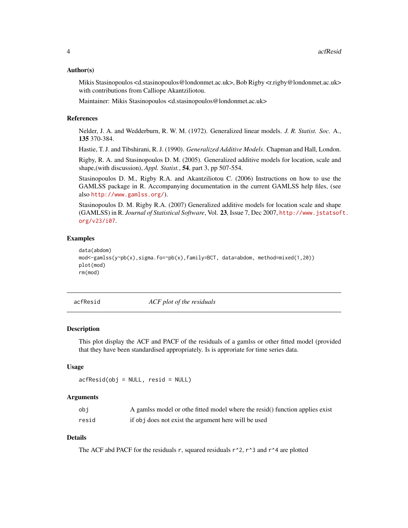#### <span id="page-3-0"></span>Author(s)

Mikis Stasinopoulos <d.stasinopoulos@londonmet.ac.uk>, Bob Rigby <rarigby@londonmet.ac.uk> with contributions from Calliope Akantziliotou.

Maintainer: Mikis Stasinopoulos <d.stasinopoulos@londonmet.ac.uk>

#### References

Nelder, J. A. and Wedderburn, R. W. M. (1972). Generalized linear models. *J. R. Statist. Soc.* A., 135 370-384.

Hastie, T. J. and Tibshirani, R. J. (1990). *Generalized Additive Models*. Chapman and Hall, London.

Rigby, R. A. and Stasinopoulos D. M. (2005). Generalized additive models for location, scale and shape,(with discussion), *Appl. Statist.*, 54, part 3, pp 507-554.

Stasinopoulos D. M., Rigby R.A. and Akantziliotou C. (2006) Instructions on how to use the GAMLSS package in R. Accompanying documentation in the current GAMLSS help files, (see also <http://www.gamlss.org/>).

Stasinopoulos D. M. Rigby R.A. (2007) Generalized additive models for location scale and shape (GAMLSS) in R. *Journal of Statistical Software*, Vol. 23, Issue 7, Dec 2007, [http://www.jstatsof](http://www.jstatsoft.org/v23/i07)t. [org/v23/i07](http://www.jstatsoft.org/v23/i07).

# Examples

```
data(abdom)
mod<-gamlss(y~pb(x),sigma.fo=~pb(x),family=BCT, data=abdom, method=mixed(1,20))
plot(mod)
rm(mod)
```
acfResid *ACF plot of the residuals*

### **Description**

This plot display the ACF and PACF of the residuals of a gamlss or other fitted model (provided that they have been standardised appropriately. Is is approriate for time series data.

# Usage

 $acfResid(obj = NULL, resid = NULL)$ 

#### Arguments

| obi   | A gamlss model or othe fitted model where the resid() function applies exist |
|-------|------------------------------------------------------------------------------|
| resid | if obj does not exist the argument here will be used                         |

# Details

The ACF abd PACF for the residuals r, squared residuals  $r^2$ , r<sup> $3$ </sup> and r<sup> $4$ </sup> are plotted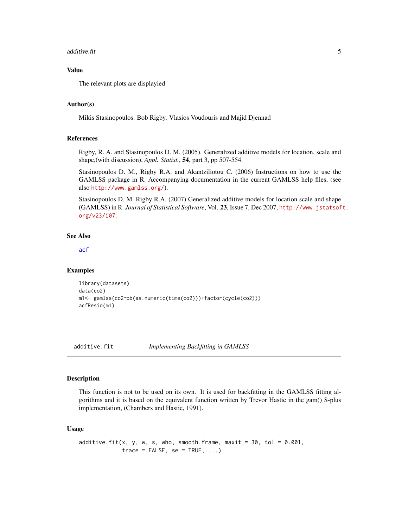#### <span id="page-4-0"></span>additive.fit  $\sim$  5

# Value

The relevant plots are displayied

#### Author(s)

Mikis Stasinopoulos. Bob Rigby. Vlasios Voudouris and Majid Djennad

#### References

Rigby, R. A. and Stasinopoulos D. M. (2005). Generalized additive models for location, scale and shape,(with discussion), *Appl. Statist.*, 54, part 3, pp 507-554.

Stasinopoulos D. M., Rigby R.A. and Akantziliotou C. (2006) Instructions on how to use the GAMLSS package in R. Accompanying documentation in the current GAMLSS help files, (see also <http://www.gamlss.org/>).

Stasinopoulos D. M. Rigby R.A. (2007) Generalized additive models for location scale and shape (GAMLSS) in R. *Journal of Statistical Software*, Vol. 23, Issue 7, Dec 2007, [http://www.jstatsof](http://www.jstatsoft.org/v23/i07)t. [org/v23/i07](http://www.jstatsoft.org/v23/i07).

#### See Also

[acf](#page-0-0)

#### Examples

```
library(datasets)
data(co2)
m1<- gamlss(co2~pb(as.numeric(time(co2)))+factor(cycle(co2)))
acfResid(m1)
```
<span id="page-4-1"></span>additive.fit *Implementing Backfitting in GAMLSS*

#### **Description**

This function is not to be used on its own. It is used for backfitting in the GAMLSS fitting algorithms and it is based on the equivalent function written by Trevor Hastie in the gam() S-plus implementation, (Chambers and Hastie, 1991).

#### Usage

```
additive.fit(x, y, w, s, who, smooth.frame, maxit = 30, tol = 0.001,
            trace = FALSE, se = TRUE, ...)
```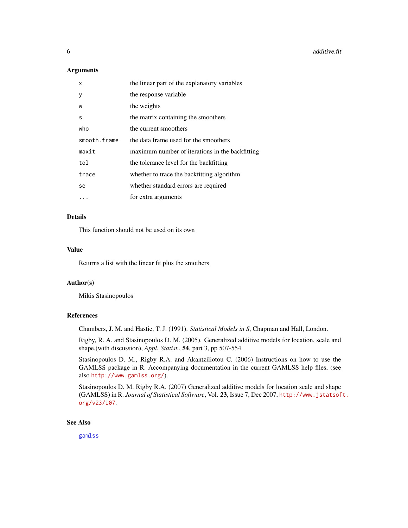$\sim$  6 additive.fit

#### **Arguments**

| X            | the linear part of the explanatory variables    |
|--------------|-------------------------------------------------|
| y            | the response variable                           |
| W            | the weights                                     |
| S            | the matrix containing the smoothers             |
| who          | the current smoothers                           |
| smooth.frame | the data frame used for the smoothers           |
| maxit        | maximum number of iterations in the backfitting |
| tol          | the tolerance level for the backfitting         |
| trace        | whether to trace the backfitting algorithm      |
| se           | whether standard errors are required            |
|              | for extra arguments                             |

# Details

This function should not be used on its own

#### Value

Returns a list with the linear fit plus the smothers

#### Author(s)

Mikis Stasinopoulos

# References

Chambers, J. M. and Hastie, T. J. (1991). *Statistical Models in S*, Chapman and Hall, London.

Rigby, R. A. and Stasinopoulos D. M. (2005). Generalized additive models for location, scale and shape,(with discussion), *Appl. Statist.*, 54, part 3, pp 507-554.

Stasinopoulos D. M., Rigby R.A. and Akantziliotou C. (2006) Instructions on how to use the GAMLSS package in R. Accompanying documentation in the current GAMLSS help files, (see also <http://www.gamlss.org/>).

Stasinopoulos D. M. Rigby R.A. (2007) Generalized additive models for location scale and shape (GAMLSS) in R. *Journal of Statistical Software*, Vol. 23, Issue 7, Dec 2007, [http://www.jstatsof](http://www.jstatsoft.org/v23/i07)t. [org/v23/i07](http://www.jstatsoft.org/v23/i07).

#### See Also

[gamlss](#page-34-1)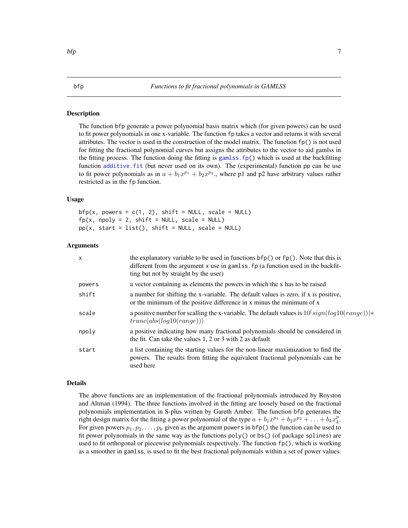#### <span id="page-6-0"></span>Description

The function bfp generate a power polynomial basis matrix which (for given powers) can be used to fit power polynomials in one x-variable. The function fp takes a vector and returns it with several attributes. The vector is used in the construction of the model matrix. The function  $fp()$  is not used for fitting the fractional polynomial curves but assigns the attributes to the vector to aid gamlss in the fitting process. The function doing the fitting is gamlss.  $fp()$  which is used at the backfitting function additive. fit (but never used on its own). The (experimental) function pp can be use to fit power polynomials as in  $a + b_1 x^{p_1} + b_2 x^{p_2}$ , where p1 and p2 have arbitrary values rather restricted as in the fp function.

#### Usage

 $bfp(x, powers = c(1, 2), shift = NULL, scale = NULL)$  $fp(x, npoly = 2, shift = NULL, scale = NULL)$  $pp(x, start = list(), shift = NULL, scale = NULL)$ 

#### Arguments

| x      | the explanatory variable to be used in functions $bfp()$ or $fp()$ . Note that this is<br>different from the argument x use in gamlss. fp (a function used in the backfit-<br>ting but not by straight by the user) |
|--------|---------------------------------------------------------------------------------------------------------------------------------------------------------------------------------------------------------------------|
| powers | a vector containing as elements the powers in which the x has to be raised                                                                                                                                          |
| shift  | a number for shifting the x-variable. The default values is zero, if x is positive,<br>or the minimum of the positive difference in x minus the minimum of x                                                        |
| scale  | a positive number for scalling the x-variable. The default values is $10$ <sup>(sign(log10(range)))*</sup><br>trunc(abs(log10(range)))                                                                              |
| npolv  | a positive indicating how many fractional polynomials should be considered in<br>the fit. Can take the values $1, 2$ or $3$ with $2$ as default                                                                     |
| start  | a list containing the starting values for the non-linear maximization to find the<br>powers. The results from fitting the equivalent fractional polynomials can be<br>used here                                     |

#### Details

The above functions are an implementation of the fractional polynomials introduced by Royston and Altman (1994). The three functions involved in the fitting are loosely based on the fractional polynomials implementation in S-plus written by Gareth Amber. The function bfp generates the right design matrix for the fitting a power polynomial of the type  $a + b_1x^{p_1} + b_2x^{p_2} + \ldots + b_kx_k^p$ . For given powers  $p_1, p_2, \ldots, p_k$  given as the argument powers in bfp() the function can be used to fit power polynomials in the same way as the functions  $poly()$  or  $bs()$  (of package splines) are used to fit orthogonal or piecewise polynomials respectively. The function fp(), which is working as a smoother in gamlss, is used to fit the best fractional polynomials within a set of power values.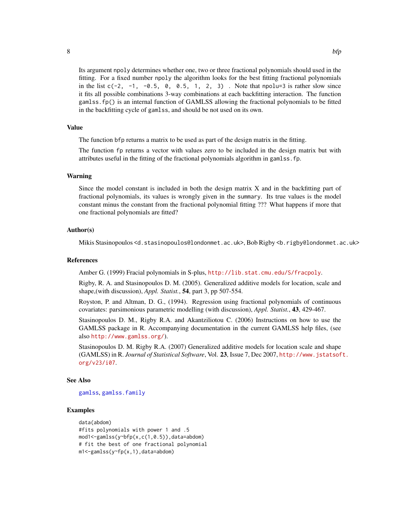Its argument npoly determines whether one, two or three fractional polynomials should used in the fitting. For a fixed number npoly the algorithm looks for the best fitting fractional polynomials in the list  $c(-2, -1, -0.5, 0, 0.5, 1, 2, 3)$ . Note that npolu=3 is rather slow since it fits all possible combinations 3-way combinations at each backfitting interaction. The function gamlss.fp() is an internal function of GAMLSS allowing the fractional polynomials to be fitted in the backfitting cycle of gamlss, and should be not used on its own.

#### Value

The function bfp returns a matrix to be used as part of the design matrix in the fitting.

The function fp returns a vector with values zero to be included in the design matrix but with attributes useful in the fitting of the fractional polynomials algorithm in gamlss.fp.

#### Warning

Since the model constant is included in both the design matrix X and in the backfitting part of fractional polynomials, its values is wrongly given in the summary. Its true values is the model constant minus the constant from the fractional polynomial fitting ??? What happens if more that one fractional polynomials are fitted?

#### Author(s)

Mikis Stasinopoulos <d.stasinopoulos@londonmet.ac.uk>, Bob Rigby <b.rigby@londonmet.ac.uk>

#### References

Amber G. (1999) Fracial polynomials in S-plus, <http://lib.stat.cmu.edu/S/fracpoly>.

Rigby, R. A. and Stasinopoulos D. M. (2005). Generalized additive models for location, scale and shape,(with discussion), *Appl. Statist.*, 54, part 3, pp 507-554.

Royston, P. and Altman, D. G., (1994). Regression using fractional polynomials of continuous covariates: parsimonious parametric modelling (with discussion), *Appl. Statist.*, 43, 429-467.

Stasinopoulos D. M., Rigby R.A. and Akantziliotou C. (2006) Instructions on how to use the GAMLSS package in R. Accompanying documentation in the current GAMLSS help files, (see also <http://www.gamlss.org/>).

Stasinopoulos D. M. Rigby R.A. (2007) Generalized additive models for location scale and shape (GAMLSS) in R. *Journal of Statistical Software*, Vol. 23, Issue 7, Dec 2007, [http://www.jstatsof](http://www.jstatsoft.org/v23/i07)t. [org/v23/i07](http://www.jstatsoft.org/v23/i07).

#### See Also

[gamlss](#page-34-1), [gamlss.family](#page-0-0)

#### Examples

```
data(abdom)
#fits polynomials with power 1 and .5
mod1<-gamlss(y~bfp(x,c(1,0.5)),data=abdom)
# fit the best of one fractional polynomial
m1<-gamlss(y~fp(x,1),data=abdom)
```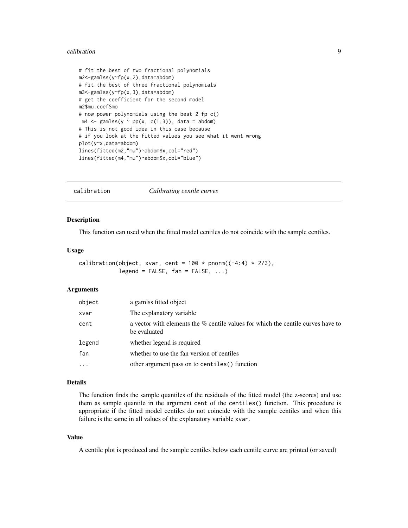#### <span id="page-8-0"></span>calibration **9**

```
# fit the best of two fractional polynomials
m2<-gamlss(y~fp(x,2),data=abdom)
# fit the best of three fractional polynomials
m3<-gamlss(y~fp(x,3),data=abdom)
# get the coefficient for the second model
m2$mu.coefSmo
# now power polynomials using the best 2 fp c()
m4 \leq gamlss(y \sim pp(x, c(1,3)), data = abdom)
# This is not good idea in this case because
# if you look at the fitted values you see what it went wrong
plot(y~x,data=abdom)
lines(fitted(m2,"mu")~abdom$x,col="red")
lines(fitted(m4,"mu")~abdom$x,col="blue")
```
calibration *Calibrating centile curves*

#### Description

This function can used when the fitted model centiles do not coincide with the sample centiles.

#### Usage

calibration(object, xvar, cent =  $100 * pnorm((-4:4) * 2/3)$ ,  $legend = FALSE, fan = FALSE, ...)$ 

# Arguments

| object | a gamlss fitted object                                                                           |
|--------|--------------------------------------------------------------------------------------------------|
| xvar   | The explanatory variable.                                                                        |
| cent   | a vector with elements the % centile values for which the centile curves have to<br>be evaluated |
| legend | whether legend is required                                                                       |
| fan    | whether to use the fan version of centiles                                                       |
|        | other argument pass on to centiles () function                                                   |

#### Details

The function finds the sample quantiles of the residuals of the fitted model (the z-scores) and use them as sample quantile in the argument cent of the centiles() function. This procedure is appropriate if the fitted model centiles do not coincide with the sample centiles and when this failure is the same in all values of the explanatory variable xvar.

# Value

A centile plot is produced and the sample centiles below each centile curve are printed (or saved)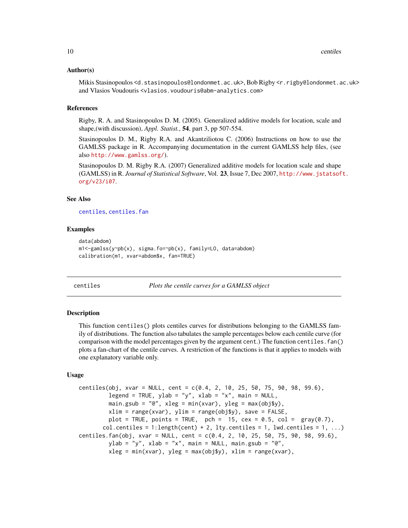#### <span id="page-9-0"></span>Author(s)

Mikis Stasinopoulos <d.stasinopoulos@londonmet.ac.uk>, Bob Rigby <r.rigby@londonmet.ac.uk> and Vlasios Voudouris <vlasios.voudouris@abm-analytics.com>

#### References

Rigby, R. A. and Stasinopoulos D. M. (2005). Generalized additive models for location, scale and shape,(with discussion), *Appl. Statist.*, 54, part 3, pp 507-554.

Stasinopoulos D. M., Rigby R.A. and Akantziliotou C. (2006) Instructions on how to use the GAMLSS package in R. Accompanying documentation in the current GAMLSS help files, (see also <http://www.gamlss.org/>).

Stasinopoulos D. M. Rigby R.A. (2007) Generalized additive models for location scale and shape (GAMLSS) in R. *Journal of Statistical Software*, Vol. 23, Issue 7, Dec 2007, [http://www.jstatsof](http://www.jstatsoft.org/v23/i07)t. [org/v23/i07](http://www.jstatsoft.org/v23/i07).

#### See Also

[centiles](#page-9-1), [centiles.fan](#page-9-2)

#### Examples

```
data(abdom)
m1<-gamlss(y~pb(x), sigma.fo=~pb(x), family=LO, data=abdom)
calibration(m1, xvar=abdom$x, fan=TRUE)
```
<span id="page-9-1"></span>centiles *Plots the centile curves for a GAMLSS object*

#### <span id="page-9-2"></span>**Description**

This function centiles() plots centiles curves for distributions belonging to the GAMLSS family of distributions. The function also tabulates the sample percentages below each centile curve (for comparison with the model percentages given by the argument cent.) The function centiles. fan() plots a fan-chart of the centile curves. A restriction of the functions is that it applies to models with one explanatory variable only.

#### Usage

```
centiles(obj, xvar = NULL, cent = c(0.4, 2, 10, 25, 50, 75, 90, 98, 99.6),
         legend = TRUE, ylab = "y", xlab = "x", main = NULL,
         main.gsub = "@", xleg = min(xvar), yleg = max(obj$y),
         xlim = range(xvar), ylim = range(obj\ y), save = FALSE,
         plot = TRUE, points = TRUE, pch = 15, cex = 0.5, col = gray(0.7),
       col.centiles = 1:length(cent) + 2, lty.centiles = 1, lwd.centiles = 1, ...)
centiles.fan(obj, xvar = NULL, cent = c(0.4, 2, 10, 25, 50, 75, 90, 98, 99.6),
         ylab = "y", xlab = "x", main = NULL, main.gsub = "@",
         xleg = min(xvar), yleg = max(objsy), xlim = range(xvar),
```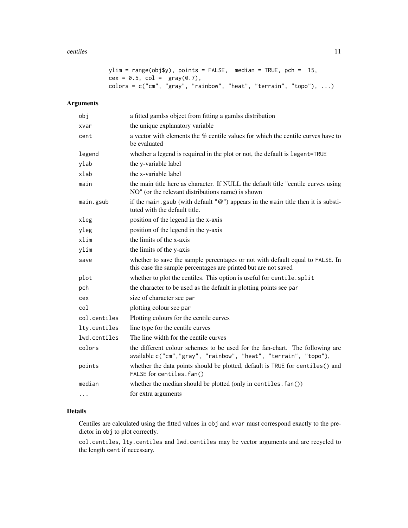#### centiles 11

```
ylim = range(obj\frac{1}{y}), points = FALSE, median = TRUE, pch = 15,cex = 0.5, col = \text{gray}(0.7),
colors = c("cm", "gray", "rainbow", "heat", "ternain", "topo"), ...)
```
# Arguments

| obj          | a fitted gamlss object from fitting a gamlss distribution                                                                                        |
|--------------|--------------------------------------------------------------------------------------------------------------------------------------------------|
| xvar         | the unique explanatory variable                                                                                                                  |
| cent         | a vector with elements the % centile values for which the centile curves have to<br>be evaluated                                                 |
| legend       | whether a legend is required in the plot or not, the default is legent=TRUE                                                                      |
| ylab         | the y-variable label                                                                                                                             |
| xlab         | the x-variable label                                                                                                                             |
| main         | the main title here as character. If NULL the default title "centile curves using<br>NO" (or the relevant distributions name) is shown           |
| main.gsub    | if the main.gsub (with default " $@$ ") appears in the main title then it is substi-<br>tuted with the default title.                            |
| xleg         | position of the legend in the x-axis                                                                                                             |
| yleg         | position of the legend in the y-axis                                                                                                             |
| xlim         | the limits of the x-axis                                                                                                                         |
| ylim         | the limits of the y-axis                                                                                                                         |
| save         | whether to save the sample percentages or not with default equal to FALSE. In<br>this case the sample percentages are printed but are not saved  |
| plot         | whether to plot the centiles. This option is useful for centile. split                                                                           |
| pch          | the character to be used as the default in plotting points see par                                                                               |
| cex          | size of character see par                                                                                                                        |
| col          | plotting colour see par                                                                                                                          |
| col.centiles | Plotting colours for the centile curves                                                                                                          |
| lty.centiles | line type for the centile curves                                                                                                                 |
| lwd.centiles | The line width for the centile curves                                                                                                            |
| colors       | the different colour schemes to be used for the fan-chart. The following are<br>available c("cm", "gray", "rainbow", "heat", "terrain", "topo"), |
| points       | whether the data points should be plotted, default is TRUE for centiles() and<br>FALSE for centiles.fan()                                        |
| median       | whether the median should be plotted (only in centiles. fan())                                                                                   |
| .            | for extra arguments                                                                                                                              |

# Details

Centiles are calculated using the fitted values in obj and xvar must correspond exactly to the predictor in obj to plot correctly.

col.centiles, lty.centiles and lwd.centiles may be vector arguments and are recycled to the length cent if necessary.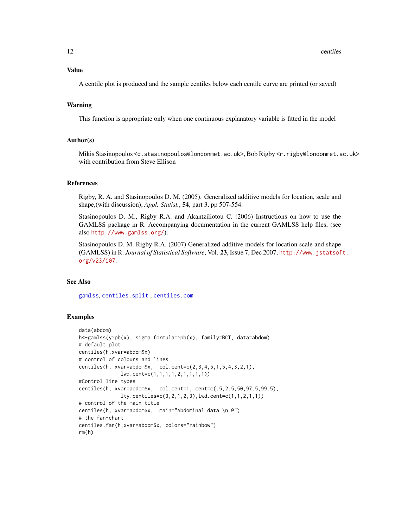12 centriles

# Value

A centile plot is produced and the sample centiles below each centile curve are printed (or saved)

#### Warning

This function is appropriate only when one continuous explanatory variable is fitted in the model

### Author(s)

Mikis Stasinopoulos <d.stasinopoulos@londonmet.ac.uk>, Bob Rigby <r.rigby@londonmet.ac.uk> with contribution from Steve Ellison

#### References

Rigby, R. A. and Stasinopoulos D. M. (2005). Generalized additive models for location, scale and shape,(with discussion), *Appl. Statist.*, 54, part 3, pp 507-554.

Stasinopoulos D. M., Rigby R.A. and Akantziliotou C. (2006) Instructions on how to use the GAMLSS package in R. Accompanying documentation in the current GAMLSS help files, (see also <http://www.gamlss.org/>).

Stasinopoulos D. M. Rigby R.A. (2007) Generalized additive models for location scale and shape (GAMLSS) in R. *Journal of Statistical Software*, Vol. 23, Issue 7, Dec 2007, [http://www.jstatsof](http://www.jstatsoft.org/v23/i07)t. [org/v23/i07](http://www.jstatsoft.org/v23/i07).

# See Also

[gamlss](#page-34-1), [centiles.split](#page-16-1) , [centiles.com](#page-12-1)

#### Examples

```
data(abdom)
h<-gamlss(y~pb(x), sigma.formula=~pb(x), family=BCT, data=abdom)
# default plot
centiles(h,xvar=abdom$x)
# control of colours and lines
centiles(h, xvar=abdom$x, col.cent=c(2,3,4,5,1,5,4,3,2,1),
              lwd.cent=c(1,1,1,1,2,1,1,1,1))
#Control line types
centiles(h, xvar=abdom$x, col.cent=1, cent=c(.5,2.5,50,97.5,99.5),
              lty.centiles=c(3,2,1,2,3),lwd.cent=c(1,1,2,1,1))
# control of the main title
centiles(h, xvar=abdom$x, main="Abdominal data \n @")
# the fan-chart
centiles.fan(h,xvar=abdom$x, colors="rainbow")
rm(h)
```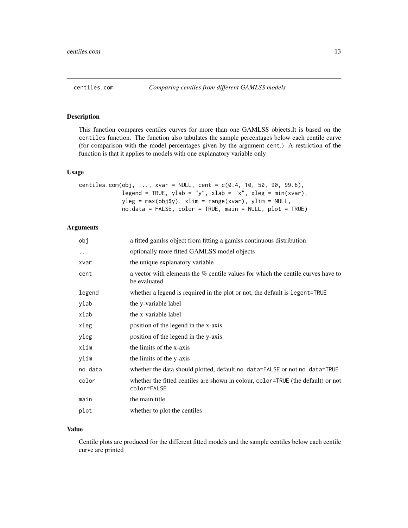<span id="page-12-1"></span><span id="page-12-0"></span>

# Description

This function compares centiles curves for more than one GAMLSS objects.It is based on the centiles function. The function also tabulates the sample percentages below each centile curve (for comparison with the model percentages given by the argument cent.) A restriction of the function is that it applies to models with one explanatory variable only

# Usage

```
centiles.com(obj, ..., xvar = NULL, cent = c(0.4, 10, 50, 90, 99.6),
             legend = TRUE, ylab = "y", xlab = "x", xleg = min(xvar),
            yleg = max(obj$y), xlim = range(xvar), ylim = NULL,
            no.data = FALSE, color = TRUE, main = NULL, plot = TRUE)
```
# Arguments

| obj      | a fitted gamlss object from fitting a gamlss continuous distribution                                |
|----------|-----------------------------------------------------------------------------------------------------|
| $\cdots$ | optionally more fitted GAMLSS model objects                                                         |
| xvar     | the unique explanatory variable                                                                     |
| cent     | a vector with elements the $\%$ centile values for which the centile curves have to<br>be evaluated |
| legend   | whether a legend is required in the plot or not, the default is legent=TRUE                         |
| ylab     | the y-variable label                                                                                |
| xlab     | the x-variable label                                                                                |
| xleg     | position of the legend in the x-axis                                                                |
| yleg     | position of the legend in the y-axis                                                                |
| xlim     | the limits of the x-axis                                                                            |
| ylim     | the limits of the y-axis                                                                            |
| no.data  | whether the data should plotted, default no. data=FALSE or not no. data=TRUE                        |
| color    | whether the fitted centiles are shown in colour, color=TRUE (the default) or not<br>color=FALSE     |
| main     | the main title                                                                                      |
| plot     | whether to plot the centiles                                                                        |
|          |                                                                                                     |

### Value

Centile plots are produced for the different fitted models and the sample centiles below each centile curve are printed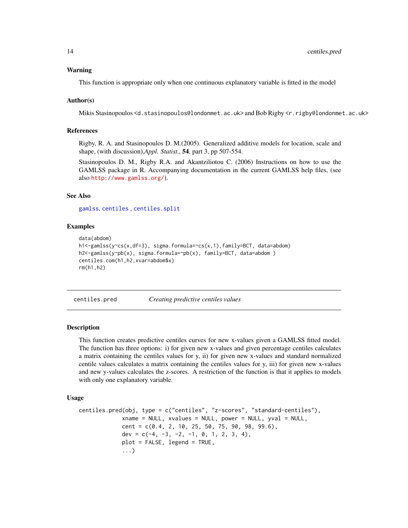#### <span id="page-13-0"></span>Warning

This function is appropriate only when one continuous explanatory variable is fitted in the model

#### Author(s)

Mikis Stasinopoulos <d.stasinopoulos@londonmet.ac.uk> and Bob Rigby <r.rigby@londonmet.ac.uk>

#### References

Rigby, R. A. and Stasinopoulos D. M.(2005). Generalized additive models for location, scale and shape, (with discussion),*Appl. Statist.*, 54, part 3, pp 507-554.

Stasinopoulos D. M., Rigby R.A. and Akantziliotou C. (2006) Instructions on how to use the GAMLSS package in R. Accompanying documentation in the current GAMLSS help files, (see also <http://www.gamlss.org/>).

#### See Also

[gamlss](#page-34-1), [centiles](#page-9-1) , [centiles.split](#page-16-1)

#### Examples

```
data(abdom)
h1<-gamlss(y~cs(x,df=3), sigma.formula=~cs(x,1),family=BCT, data=abdom)
h2<-gamlss(y~pb(x), sigma.formula=~pb(x), family=BCT, data=abdom )
centiles.com(h1,h2,xvar=abdom$x)
rm(h1,h2)
```
centiles.pred *Creating predictive centiles values*

#### **Description**

This function creates predictive centiles curves for new x-values given a GAMLSS fitted model. The function has three options: i) for given new x-values and given percentage centiles calculates a matrix containing the centiles values for y, ii) for given new x-values and standard normalized centile values calculates a matrix containing the centiles values for y, iii) for given new x-values and new y-values calculates the z-scores. A restriction of the function is that it applies to models with only one explanatory variable.

#### Usage

```
centiles.pred(obj, type = c("centiles", "z-scores", "standard-centiles"),
             xname = NULL, xvalues = NULL, power = NULL, yval = NULL,
             cent = c(0.4, 2, 10, 25, 50, 75, 90, 98, 99.6),
             dev = c(-4, -3, -2, -1, 0, 1, 2, 3, 4),
             plot = FALSE, legend = TRUE,
             ...)
```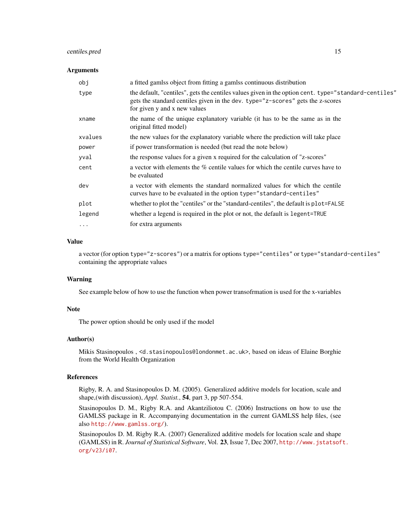# centiles.pred 15

#### **Arguments**

| obj       | a fitted gamlss object from fitting a gamlss continuous distribution                                                                                                                                                   |
|-----------|------------------------------------------------------------------------------------------------------------------------------------------------------------------------------------------------------------------------|
| type      | the default, "centiles", gets the centiles values given in the option cent. type="standard-centiles"<br>gets the standard centiles given in the dev. type="z-scores" gets the z-scores<br>for given y and x new values |
| xname     | the name of the unique explanatory variable (it has to be the same as in the<br>original fitted model)                                                                                                                 |
| xvalues   | the new values for the explanatory variable where the prediction will take place                                                                                                                                       |
| power     | if power transformation is needed (but read the note below)                                                                                                                                                            |
| yval      | the response values for a given x required for the calculation of "z-scores"                                                                                                                                           |
| cent      | a vector with elements the % centile values for which the centile curves have to<br>be evaluated                                                                                                                       |
| dev       | a vector with elements the standard normalized values for which the centile<br>curves have to be evaluated in the option type="standard-centiles"                                                                      |
| plot      | whether to plot the "centiles" or the "standard-centiles", the default is plot=FALSE                                                                                                                                   |
| legend    | whether a legend is required in the plot or not, the default is legent=TRUE                                                                                                                                            |
| $\ddotsc$ | for extra arguments                                                                                                                                                                                                    |
|           |                                                                                                                                                                                                                        |

# Value

a vector (for option type="z-scores") or a matrix for options type="centiles" or type="standard-centiles" containing the appropriate values

### Warning

See example below of how to use the function when power transofrmation is used for the x-variables

#### Note

The power option should be only used if the model

# Author(s)

Mikis Stasinopoulos , <d.stasinopoulos@londonmet.ac.uk>, based on ideas of Elaine Borghie from the World Health Organization

# References

Rigby, R. A. and Stasinopoulos D. M. (2005). Generalized additive models for location, scale and shape,(with discussion), *Appl. Statist.*, 54, part 3, pp 507-554.

Stasinopoulos D. M., Rigby R.A. and Akantziliotou C. (2006) Instructions on how to use the GAMLSS package in R. Accompanying documentation in the current GAMLSS help files, (see also <http://www.gamlss.org/>).

Stasinopoulos D. M. Rigby R.A. (2007) Generalized additive models for location scale and shape (GAMLSS) in R. *Journal of Statistical Software*, Vol. 23, Issue 7, Dec 2007, [http://www.jstatsof](http://www.jstatsoft.org/v23/i07)t. [org/v23/i07](http://www.jstatsoft.org/v23/i07).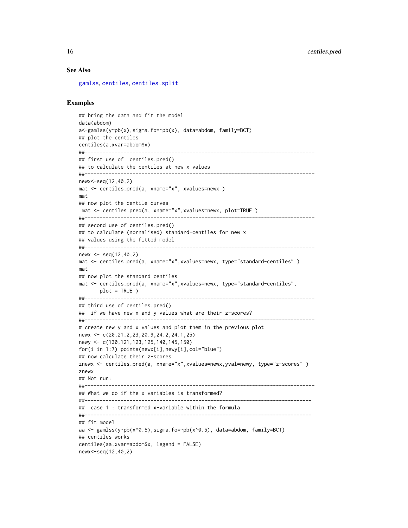#### See Also

[gamlss](#page-34-1), [centiles](#page-9-1), [centiles.split](#page-16-1)

#### Examples

```
## bring the data and fit the model
data(abdom)
a<-gamlss(y~pb(x),sigma.fo=~pb(x), data=abdom, family=BCT)
## plot the centiles
centiles(a,xvar=abdom$x)
##-----------------------------------------------------------------------------
## first use of centiles.pred()
## to calculate the centiles at new x values
##-----------------------------------------------------------------------------
newx<-seq(12,40,2)
mat <- centiles.pred(a, xname="x", xvalues=newx )
mat
## now plot the centile curves
mat <- centiles.pred(a, xname="x",xvalues=newx, plot=TRUE )
##-----------------------------------------------------------------------------
## second use of centiles.pred()
## to calculate (nornalised) standard-centiles for new x
## values using the fitted model
##-----------------------------------------------------------------------------
news \le seq(12,40,2)
mat <- centiles.pred(a, xname="x",xvalues=newx, type="standard-centiles" )
mat
## now plot the standard centiles
mat <- centiles.pred(a, xname="x",xvalues=newx, type="standard-centiles",
plot = TRUE )<br>##------------------------
                               ##-----------------------------------------------------------------------------
## third use of centiles.pred()
## if we have new x and y values what are their z-scores?
##-----------------------------------------------------------------------------
# create new y and x values and plot them in the previous plot
newx <- c(20,21.2,23,20.9,24.2,24.1,25)
newy <- c(130,121,123,125,140,145,150)
for(i in 1:7) points(newx[i],newy[i],col="blue")
## now calculate their z-scores
znewx <- centiles.pred(a, xname="x",xvalues=newx,yval=newy, type="z-scores")
znewx
## Not run:
##-----------------------------------------------------------------------------
## What we do if the x variables is transformed?
##----------------------------------------------------------------------------
## case 1 : transformed x-variable within the formula
##----------------------------------------------------------------------------
## fit model
aa <- gamlss(y~pb(x^0.5),sigma.fo=~pb(x^0.5), data=abdom, family=BCT)
## centiles works
centiles(aa,xvar=abdom$x, legend = FALSE)
newx<-seq(12,40,2)
```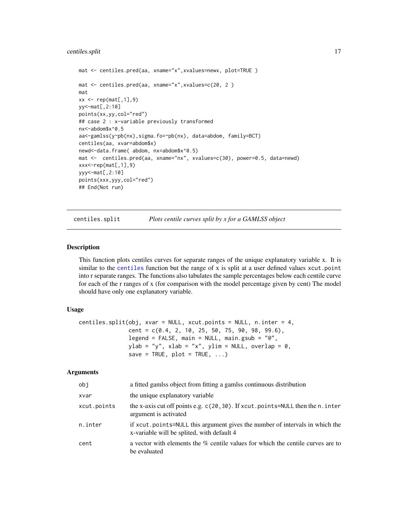# <span id="page-16-0"></span>centiles.split 17

```
mat <- centiles.pred(aa, xname="x",xvalues=newx, plot=TRUE)
mat <- centiles.pred(aa, xname="x",xvalues=c(20, 2 )
mat
xx \leq rep(mat[,1],9)
yy<-mat[,2:10]
points(xx,yy,col="red")
## case 2 : x-variable previously transformed
nx<-abdom$x^0.5
aa<-gamlss(y~pb(nx),sigma.fo=~pb(nx), data=abdom, family=BCT)
centiles(aa, xvar=abdom$x)
newd<-data.frame( abdom, nx=abdom$x^0.5)
mat <- centiles.pred(aa, xname="nx", xvalues=c(30), power=0.5, data=newd)
xxx < -rep(mat[, 1], 9)yyy<-mat[,2:10]
points(xxx,yyy,col="red")
## End(Not run)
```
<span id="page-16-1"></span>centiles.split *Plots centile curves split by x for a GAMLSS object*

#### Description

This function plots centiles curves for separate ranges of the unique explanatory variable x. It is similar to the [centiles](#page-9-1) function but the range of x is split at a user defined values xcut.point into r separate ranges. The functions also tabulates the sample percentages below each centile curve for each of the r ranges of x (for comparison with the model percentage given by cent) The model should have only one explanatory variable.

#### Usage

```
centiles.split(obj, xvar = NULL, xcut.points = NULL, n.inter = 4,
               cent = c(0.4, 2, 10, 25, 50, 75, 90, 98, 99.6),
               legend = FALSE, main = NULL, main.gsub = "@",ylab = "y", xlab = "x", ylim = NULL, overlap = \theta,
               save = TRUE, plot = TRUE, ...
```
#### **Arguments**

| obj         | a fitted gamlss object from fitting a gamlss continuous distribution                                                       |
|-------------|----------------------------------------------------------------------------------------------------------------------------|
| xvar        | the unique explanatory variable                                                                                            |
| xcut.points | the x-axis cut off points e.g. c(20,30). If xcut.points=NULL then the n.inter<br>argument is activated                     |
| n.inter     | if xcut.points=NULL this argument gives the number of intervals in which the<br>x-variable will be splited, with default 4 |
| cent        | a vector with elements the $\%$ centile values for which the centile curves are to<br>be evaluated                         |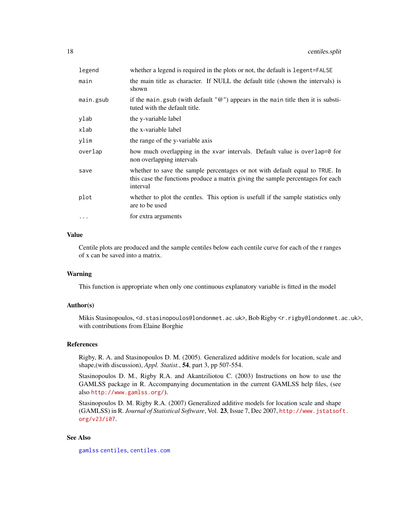| legend    | whether a legend is required in the plots or not, the default is legent=FALSE                                                                                               |
|-----------|-----------------------------------------------------------------------------------------------------------------------------------------------------------------------------|
| main      | the main title as character. If NULL the default title (shown the intervals) is<br>shown                                                                                    |
| main.gsub | if the main.gsub (with default " $@$ ") appears in the main title then it is substi-<br>tuted with the default title.                                                       |
| ylab      | the y-variable label                                                                                                                                                        |
| xlab      | the x-variable label                                                                                                                                                        |
| ylim      | the range of the y-variable axis                                                                                                                                            |
| overlap   | how much overlapping in the xvar intervals. Default value is overlap=0 for<br>non overlapping intervals                                                                     |
| save      | whether to save the sample percentages or not with default equal to TRUE. In<br>this case the functions produce a matrix giving the sample percentages for each<br>interval |
| plot      | whether to plot the centles. This option is usefull if the sample statistics only<br>are to be used                                                                         |
| $\cdots$  | for extra arguments                                                                                                                                                         |
|           |                                                                                                                                                                             |

# Value

Centile plots are produced and the sample centiles below each centile curve for each of the r ranges of x can be saved into a matrix.

#### Warning

This function is appropriate when only one continuous explanatory variable is fitted in the model

### Author(s)

Mikis Stasinopoulos, <d.stasinopoulos@londonmet.ac.uk>, Bob Rigby <r.rigby@londonmet.ac.uk>, with contributions from Elaine Borghie

# References

Rigby, R. A. and Stasinopoulos D. M. (2005). Generalized additive models for location, scale and shape,(with discussion), *Appl. Statist.*, 54, part 3, pp 507-554.

Stasinopoulos D. M., Rigby R.A. and Akantziliotou C. (2003) Instructions on how to use the GAMLSS package in R. Accompanying documentation in the current GAMLSS help files, (see also <http://www.gamlss.org/>).

Stasinopoulos D. M. Rigby R.A. (2007) Generalized additive models for location scale and shape (GAMLSS) in R. *Journal of Statistical Software*, Vol. 23, Issue 7, Dec 2007, [http://www.jstatsof](http://www.jstatsoft.org/v23/i07)t. [org/v23/i07](http://www.jstatsoft.org/v23/i07).

# See Also

[gamlss](#page-34-1) [centiles](#page-9-1), [centiles.com](#page-12-1)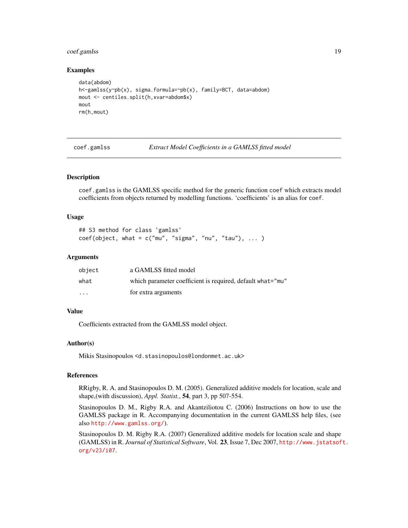# <span id="page-18-0"></span>coef.gamlss 19

#### Examples

```
data(abdom)
h<-gamlss(y~pb(x), sigma.formula=~pb(x), family=BCT, data=abdom)
mout <- centiles.split(h,xvar=abdom$x)
mout
rm(h,mout)
```
coef.gamlss *Extract Model Coefficients in a GAMLSS fitted model*

#### Description

coef.gamlss is the GAMLSS specific method for the generic function coef which extracts model coefficients from objects returned by modelling functions. 'coefficients' is an alias for coef.

# Usage

```
## S3 method for class 'gamlss'
coef(object, what = c("mu", "sigma", "nu", "tau", "tau"), ... )
```
# Arguments

| object                  | a GAMLSS fitted model                                      |
|-------------------------|------------------------------------------------------------|
| what                    | which parameter coefficient is required, default what="mu" |
| $\cdot$ $\cdot$ $\cdot$ | for extra arguments                                        |

#### Value

Coefficients extracted from the GAMLSS model object.

#### Author(s)

Mikis Stasinopoulos <d.stasinopoulos@londonmet.ac.uk>

#### References

RRigby, R. A. and Stasinopoulos D. M. (2005). Generalized additive models for location, scale and shape,(with discussion), *Appl. Statist.*, 54, part 3, pp 507-554.

Stasinopoulos D. M., Rigby R.A. and Akantziliotou C. (2006) Instructions on how to use the GAMLSS package in R. Accompanying documentation in the current GAMLSS help files, (see also <http://www.gamlss.org/>).

Stasinopoulos D. M. Rigby R.A. (2007) Generalized additive models for location scale and shape (GAMLSS) in R. *Journal of Statistical Software*, Vol. 23, Issue 7, Dec 2007, [http://www.jstatsof](http://www.jstatsoft.org/v23/i07)t. [org/v23/i07](http://www.jstatsoft.org/v23/i07).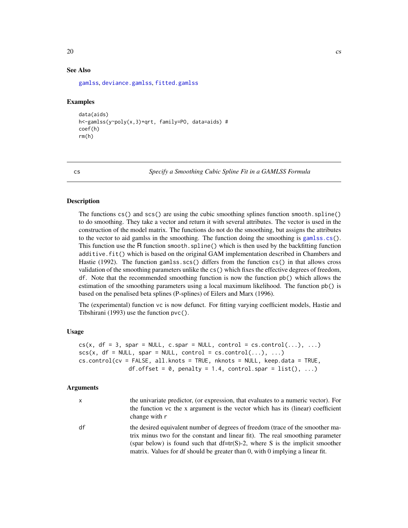# <span id="page-19-0"></span>See Also

[gamlss](#page-34-1), [deviance.gamlss](#page-22-1), [fitted.gamlss](#page-31-1)

#### Examples

```
data(aids)
h<-gamlss(y~poly(x,3)+qrt, family=PO, data=aids) #
coef(h)
rm(h)
```
cs *Specify a Smoothing Cubic Spline Fit in a GAMLSS Formula*

# Description

The functions cs() and scs() are using the cubic smoothing splines function smooth.spline() to do smoothing. They take a vector and return it with several attributes. The vector is used in the construction of the model matrix. The functions do not do the smoothing, but assigns the attributes to the vector to aid gamlss in the smoothing. The function doing the smoothing is [gamlss.cs\(](#page-40-1)). This function use the R function smooth.spline() which is then used by the backfitting function additive.fit() which is based on the original GAM implementation described in Chambers and Hastie (1992). The function gamlss.scs() differs from the function cs() in that allows cross validation of the smoothing parameters unlike the cs() which fixes the effective degrees of freedom, df. Note that the recommended smoothing function is now the function pb() which allows the estimation of the smoothing parameters using a local maximum likelihood. The function pb() is based on the penalised beta splines (P-splines) of Eilers and Marx (1996).

The (experimental) function vc is now defunct. For fitting varying coefficient models, Hastie and Tibshirani (1993) use the function pvc().

#### Usage

```
cs(x, df = 3, spare = NULL, c.spar = NULL, control = cs.contrib(...), ...)scs(x, df = NULL, spare = NULL, control = cs.contrib(…), …)cs.control(cv = FALSE, all.knots = TRUE, nknots = NULL, keep.data = TRUE,
              df.offset = 0, penalty = 1.4, control.spar = list(), ...)
```
### Arguments

| x  | the univariate predictor, (or expression, that evaluates to a numeric vector). For<br>the function vc the x argument is the vector which has its (linear) coefficient<br>change with r                                                                                                                                              |
|----|-------------------------------------------------------------------------------------------------------------------------------------------------------------------------------------------------------------------------------------------------------------------------------------------------------------------------------------|
| df | the desired equivalent number of degrees of freedom (trace of the smoother ma-<br>trix minus two for the constant and linear fit). The real smoothing parameter<br>(spar below) is found such that $df=tr(S)-2$ , where S is the implicit smoother<br>matrix. Values for df should be greater than 0, with 0 implying a linear fit. |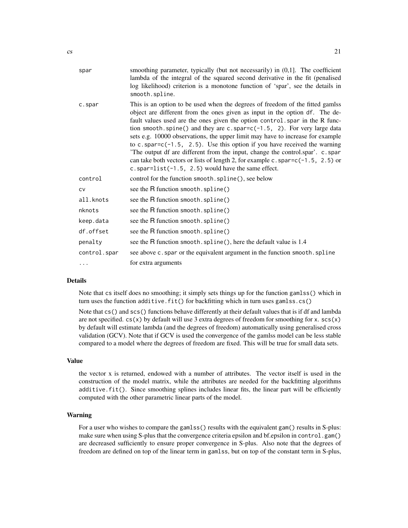| spar    | smoothing parameter, typically (but not necessarily) in (0,1]. The coefficient<br>lambda of the integral of the squared second derivative in the fit (penalised<br>log likelihood) criterion is a monotone function of 'spar', see the details in<br>smooth.spline.                                                                                                                                                                                                                                                                                                                                                                                                                                                              |
|---------|----------------------------------------------------------------------------------------------------------------------------------------------------------------------------------------------------------------------------------------------------------------------------------------------------------------------------------------------------------------------------------------------------------------------------------------------------------------------------------------------------------------------------------------------------------------------------------------------------------------------------------------------------------------------------------------------------------------------------------|
| c.spar  | This is an option to be used when the degrees of freedom of the fitted gamlss<br>object are different from the ones given as input in the option df. The de-<br>fault values used are the ones given the option control, spar in the R func-<br>tion smooth. spine() and they are c. spar= $c(-1.5, 2)$ . For very large data<br>sets e.g. 10000 observations, the upper limit may have to increase for example<br>to c. spar=c( $-1.5$ , 2.5). Use this option if you have received the warning<br>The output df are different from the input, change the control.spar'. c.spar'<br>can take both vectors or lists of length 2, for example c. spar= $c(-1.5, 2.5)$ or<br>c.spar= $list(-1.5, 2.5)$ would have the same effect. |
| control | control for the function smooth. spline(), see below                                                                                                                                                                                                                                                                                                                                                                                                                                                                                                                                                                                                                                                                             |

| control      | control for the function smooth. spline(), see below                        |
|--------------|-----------------------------------------------------------------------------|
| <b>CV</b>    | see the R function smooth.spline()                                          |
| all.knots    | see the R function smooth. spline()                                         |
| nknots       | see the R function smooth. spline()                                         |
| keep.data    | see the R function smooth.spline()                                          |
| df.offset    | see the R function smooth. spline()                                         |
| penalty      | see the R function smooth. spline(), here the default value is 1.4          |
| control.spar | see above c. spar or the equivalent argument in the function smooth. spline |
| $\cdots$     | for extra arguments                                                         |

# Details

Note that cs itself does no smoothing; it simply sets things up for the function gamlss() which in turn uses the function additive.fit() for backfitting which in turn uses gamlss.cs()

Note that cs() and scs() functions behave differently at their default values that is if df and lambda are not specified.  $cs(x)$  by default will use 3 extra degrees of freedom for smoothing for x.  $sc(x)$ by default will estimate lambda (and the degrees of freedom) automatically using generalised cross validation (GCV). Note that if GCV is used the convergence of the gamlss model can be less stable compared to a model where the degrees of freedom are fixed. This will be true for small data sets.

#### Value

the vector x is returned, endowed with a number of attributes. The vector itself is used in the construction of the model matrix, while the attributes are needed for the backfitting algorithms additive. fit(). Since smoothing splines includes linear fits, the linear part will be efficiently computed with the other parametric linear parts of the model.

#### Warning

For a user who wishes to compare the gamlss() results with the equivalent gam() results in S-plus: make sure when using S-plus that the convergence criteria epsilon and bf.epsilon in control.gam() are decreased sufficiently to ensure proper convergence in S-plus. Also note that the degrees of freedom are defined on top of the linear term in gamlss, but on top of the constant term in S-plus,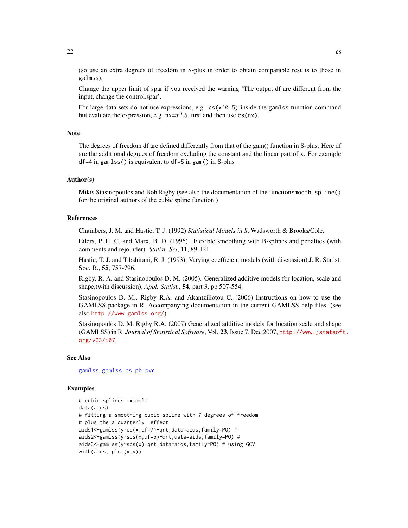(so use an extra degrees of freedom in S-plus in order to obtain comparable results to those in galmss).

Change the upper limit of spar if you received the warning 'The output df are different from the input, change the control.spar'.

For large data sets do not use expressions, e.g.  $cs(x \land 0.5)$  inside the gamlss function command but evaluate the expression, e.g.  $nx = x^0.5$ , first and then use cs(nx).

# **Note**

The degrees of freedom df are defined differently from that of the gam() function in S-plus. Here df are the additional degrees of freedom excluding the constant and the linear part of x. For example df=4 in gamlss() is equivalent to df=5 in gam() in S-plus

# Author(s)

Mikis Stasinopoulos and Bob Rigby (see also the documentation of the functionsmooth.spline() for the original authors of the cubic spline function.)

# References

Chambers, J. M. and Hastie, T. J. (1992) *Statistical Models in S*, Wadsworth & Brooks/Cole.

Eilers, P. H. C. and Marx, B. D. (1996). Flexible smoothing with B-splines and penalties (with comments and rejoinder). *Statist. Sci*, 11, 89-121.

Hastie, T. J. and Tibshirani, R. J. (1993), Varying coefficient models (with discussion),J. R. Statist. Soc. B., 55, 757-796.

Rigby, R. A. and Stasinopoulos D. M. (2005). Generalized additive models for location, scale and shape,(with discussion), *Appl. Statist.*, 54, part 3, pp 507-554.

Stasinopoulos D. M., Rigby R.A. and Akantziliotou C. (2006) Instructions on how to use the GAMLSS package in R. Accompanying documentation in the current GAMLSS help files, (see also <http://www.gamlss.org/>).

Stasinopoulos D. M. Rigby R.A. (2007) Generalized additive models for location scale and shape (GAMLSS) in R. *Journal of Statistical Software*, Vol. 23, Issue 7, Dec 2007, [http://www.jstatsof](http://www.jstatsoft.org/v23/i07)t. [org/v23/i07](http://www.jstatsoft.org/v23/i07).

#### See Also

[gamlss](#page-34-1), [gamlss.cs](#page-40-1), [pb](#page-85-1), [pvc](#page-85-1)

#### Examples

```
# cubic splines example
data(aids)
# fitting a smoothing cubic spline with 7 degrees of freedom
# plus the a quarterly effect
aids1<-gamlss(y~cs(x,df=7)+qrt,data=aids,family=PO) #
aids2<-gamlss(y~scs(x,df=5)+qrt,data=aids,family=PO) #
aids3<-gamlss(y~scs(x)+qrt,data=aids,family=PO) # using GCV
with(aids, plot(x,y))
```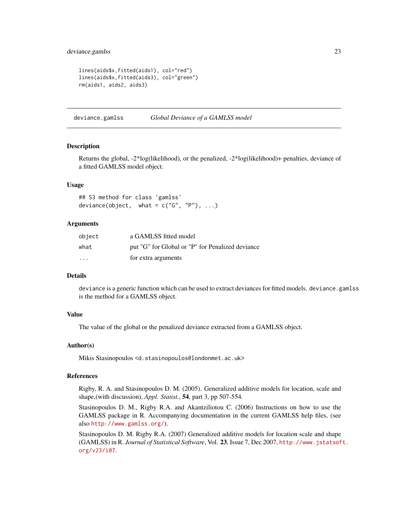# <span id="page-22-0"></span>deviance.gamlss 23

```
lines(aids$x,fitted(aids1), col="red")
lines(aids$x,fitted(aids3), col="green")
rm(aids1, aids2, aids3)
```
<span id="page-22-1"></span>deviance.gamlss *Global Deviance of a GAMLSS model*

#### Description

Returns the global, -2\*log(likelihood), or the penalized, -2\*log(likelihood)+ penalties, deviance of a fitted GAMLSS model object.

#### Usage

```
## S3 method for class 'gamlss'
deviance(object, what = c("G", "P"), ...)
```
#### Arguments

| object  | a GAMLSS fitted model                            |
|---------|--------------------------------------------------|
| what    | put "G" for Global or "P" for Penalized deviance |
| $\cdot$ | for extra arguments                              |

#### Details

deviance is a generic function which can be used to extract deviances for fitted models. deviance.gamlss is the method for a GAMLSS object.

# Value

The value of the global or the penalized deviance extracted from a GAMLSS object.

### Author(s)

Mikis Stasinopoulos <d.stasinopoulos@londonmet.ac.uk>

#### References

Rigby, R. A. and Stasinopoulos D. M. (2005). Generalized additive models for location, scale and shape,(with discussion), *Appl. Statist.*, 54, part 3, pp 507-554.

Stasinopoulos D. M., Rigby R.A. and Akantziliotou C. (2006) Instructions on how to use the GAMLSS package in R. Accompanying documentation in the current GAMLSS help files, (see also <http://www.gamlss.org/>).

Stasinopoulos D. M. Rigby R.A. (2007) Generalized additive models for location scale and shape (GAMLSS) in R. *Journal of Statistical Software*, Vol. 23, Issue 7, Dec 2007, [http://www.jstatsof](http://www.jstatsoft.org/v23/i07)t. [org/v23/i07](http://www.jstatsoft.org/v23/i07).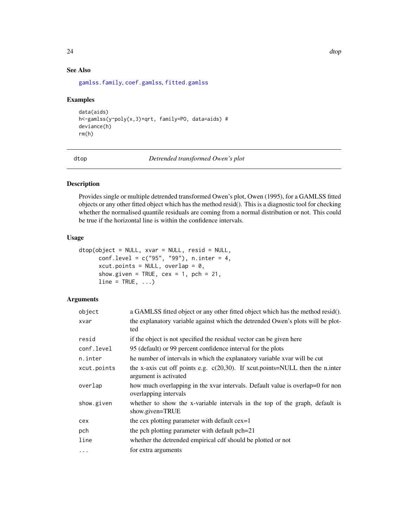# <span id="page-23-0"></span>See Also

[gamlss.family](#page-0-0), [coef.gamlss](#page-18-1), [fitted.gamlss](#page-31-1)

# Examples

```
data(aids)
h<-gamlss(y~poly(x,3)+qrt, family=PO, data=aids) #
deviance(h)
rm(h)
```
dtop *Detrended transformed Owen's plot*

# Description

Provides single or multiple detrended transformed Owen's plot, Owen (1995), for a GAMLSS fitted objects or any other fitted object which has the method resid(). This is a diagnostic tool for checking whether the normalised quantile residuals are coming from a normal distribution or not. This could be true if the horizontal line is within the confidence intervals.

#### Usage

```
dtop(object = NULL, xvar = NULL, resid = NULL,
     conf.level = c("95", "99"), n.inter = 4,
     xcut.points = NULL, overlap = 0,
     show.given = TRUE, cex = 1, pch = 21,
     line = TRUE, ...
```
# Arguments

| object      | a GAMLSS fitted object or any other fitted object which has the method resid().                           |
|-------------|-----------------------------------------------------------------------------------------------------------|
| xvar        | the explanatory variable against which the detrended Owen's plots will be plot-<br>ted                    |
| resid       | if the object is not specified the residual vector can be given here                                      |
| conf.level  | 95 (default) or 99 percent confidence interval for the plots                                              |
| n.inter     | he number of intervals in which the explanatory variable xvar will be cut                                 |
| xcut.points | the x-axis cut off points e.g. $c(20,30)$ . If xcut.points=NULL then the n.inter<br>argument is activated |
| overlap     | how much overlapping in the xvar intervals. Default value is overlap=0 for non<br>overlapping intervals   |
| show.given  | whether to show the x-variable intervals in the top of the graph, default is<br>show.given=TRUE           |
| cex         | the cex plotting parameter with default cex=1                                                             |
| pch         | the pch plotting parameter with default pch=21                                                            |
| line        | whether the detrended empirical cdf should be plotted or not                                              |
| $\cdots$    | for extra arguments                                                                                       |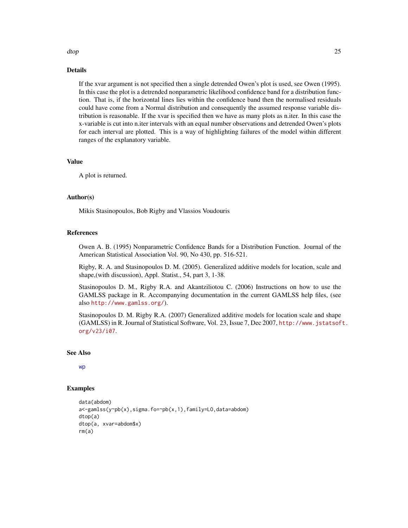# dtop 25

# Details

If the xvar argument is not specified then a single detrended Owen's plot is used, see Owen (1995). In this case the plot is a detrended nonparametric likelihood confidence band for a distribution function. That is, if the horizontal lines lies within the confidence band then the normalised residuals could have come from a Normal distribution and consequently the assumed response variable distribution is reasonable. If the xvar is specified then we have as many plots as n.iter. In this case the x-variable is cut into n.iter intervals with an equal number observations and detrended Owen's plots for each interval are plotted. This is a way of highlighting failures of the model within different ranges of the explanatory variable.

# Value

A plot is returned.

# Author(s)

Mikis Stasinopoulos, Bob Rigby and Vlassios Voudouris

#### References

Owen A. B. (1995) Nonparametric Confidence Bands for a Distribution Function. Journal of the American Statistical Association Vol. 90, No 430, pp. 516-521.

Rigby, R. A. and Stasinopoulos D. M. (2005). Generalized additive models for location, scale and shape,(with discussion), Appl. Statist., 54, part 3, 1-38.

Stasinopoulos D. M., Rigby R.A. and Akantziliotou C. (2006) Instructions on how to use the GAMLSS package in R. Accompanying documentation in the current GAMLSS help files, (see also <http://www.gamlss.org/>).

Stasinopoulos D. M. Rigby R.A. (2007) Generalized additive models for location scale and shape (GAMLSS) in R. Journal of Statistical Software, Vol. 23, Issue 7, Dec 2007, [http://www.jstatsof](http://www.jstatsoft.org/v23/i07)t. [org/v23/i07](http://www.jstatsoft.org/v23/i07).

#### See Also

[wp](#page-118-1)

# Examples

```
data(abdom)
a<-gamlss(y~pb(x),sigma.fo=~pb(x,1),family=LO,data=abdom)
dtop(a)
dtop(a, xvar=abdom$x)
rm(a)
```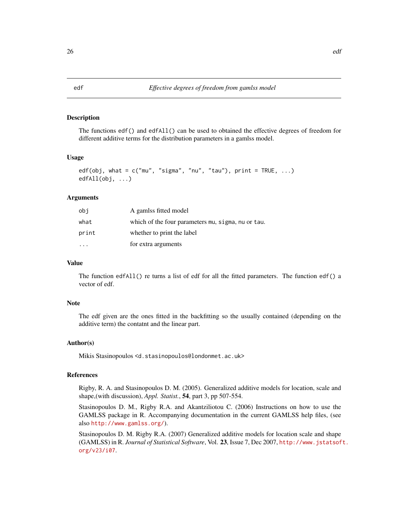## <span id="page-25-0"></span>Description

The functions edf() and edfAll() can be used to obtained the effective degrees of freedom for different additive terms for the distribution parameters in a gamlss model.

#### Usage

```
edf(obj, what = c("mu", "sigma", "nu", "tau"), print = TRUE, ...)
edfAll(obj, ...)
```
#### Arguments

| obi   | A gamlss fitted model                              |
|-------|----------------------------------------------------|
| what  | which of the four parameters mu, sigma, nu or tau. |
| print | whether to print the label                         |
|       | for extra arguments                                |

#### Value

The function edfAll() re turns a list of edf for all the fitted parameters. The function edf() a vector of edf.

#### Note

The edf given are the ones fitted in the backfitting so the usually contained (depending on the additive term) the contatnt and the linear part.

#### Author(s)

Mikis Stasinopoulos <d.stasinopoulos@londonmet.ac.uk>

#### References

Rigby, R. A. and Stasinopoulos D. M. (2005). Generalized additive models for location, scale and shape,(with discussion), *Appl. Statist.*, 54, part 3, pp 507-554.

Stasinopoulos D. M., Rigby R.A. and Akantziliotou C. (2006) Instructions on how to use the GAMLSS package in R. Accompanying documentation in the current GAMLSS help files, (see also <http://www.gamlss.org/>).

Stasinopoulos D. M. Rigby R.A. (2007) Generalized additive models for location scale and shape (GAMLSS) in R. *Journal of Statistical Software*, Vol. 23, Issue 7, Dec 2007, [http://www.jstatsof](http://www.jstatsoft.org/v23/i07)t. [org/v23/i07](http://www.jstatsoft.org/v23/i07).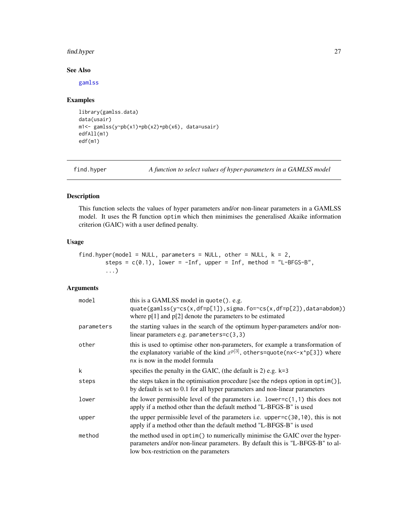# <span id="page-26-0"></span>find.hyper 27

# See Also

[gamlss](#page-34-1)

# Examples

```
library(gamlss.data)
data(usair)
m1<- gamlss(y~pb(x1)+pb(x2)+pb(x6), data=usair)
edfAll(m1)
edf(m1)
```
find.hyper *A function to select values of hyper-parameters in a GAMLSS model*

#### Description

This function selects the values of hyper parameters and/or non-linear parameters in a GAMLSS model. It uses the R function optim which then minimises the generalised Akaike information criterion (GAIC) with a user defined penalty.

# Usage

```
find.hyper(model = NULL, parameters = NULL, other = NULL, k = 2,
       steps = c(0.1), lower = -Inf, upper = Inf, method = "L-BFGS-B",
        ...)
```
# Arguments

| model      | this is a GAMLSS model in quote(). e.g.<br>quate(gamlss(y~cs(x,df=p[1]),sigma.fo=~cs(x,df=p[2]),data=abdom))<br>where $p[1]$ and $p[2]$ denote the parameters to be estimated                         |
|------------|-------------------------------------------------------------------------------------------------------------------------------------------------------------------------------------------------------|
| parameters | the starting values in the search of the optimum hyper-parameters and/or non-<br>linear parameters e.g. parameters= $c(3,3)$                                                                          |
| other      | this is used to optimise other non-parameters, for example a transformation of<br>the explanatory variable of the kind $x^{p[3]}$ , others=quote(nx<-x^p[3]) where<br>nx is now in the model formula  |
| k          | specifies the penalty in the GAIC, (the default is 2) e.g. $k=3$                                                                                                                                      |
| steps      | the steps taken in the optimisation procedure [see the ndeps option in optim()],<br>by default is set to 0.1 for all hyper parameters and non-linear parameters                                       |
| lower      | the lower permissible level of the parameters i.e. lower= $c(1, 1)$ this does not<br>apply if a method other than the default method "L-BFGS-B" is used                                               |
| upper      | the upper permissible level of the parameters i.e. upper= $c(30, 10)$ , this is not<br>apply if a method other than the default method "L-BFGS-B" is used                                             |
| method     | the method used in optim() to numerically minimise the GAIC over the hyper-<br>parameters and/or non-linear parameters. By default this is "L-BFGS-B" to al-<br>low box-restriction on the parameters |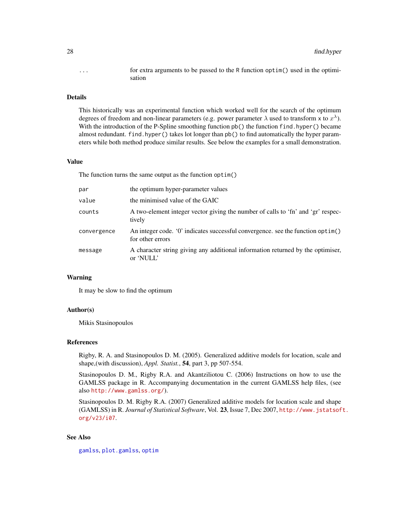... for extra arguments to be passed to the R function optim() used in the optimisation

#### Details

This historically was an experimental function which worked well for the search of the optimum degrees of freedom and non-linear parameters (e.g. power parameter  $\lambda$  used to transform x to  $x^{\lambda}$ ). With the introduction of the P-Spline smoothing function  $pb()$  the function find. hyper() became almost redundant. find.hyper() takes lot longer than pb() to find automatically the hyper parameters while both method produce similar results. See below the examples for a small demonstration.

#### Value

The function turns the same output as the function optim()

| par         | the optimum hyper-parameter values                                                                  |
|-------------|-----------------------------------------------------------------------------------------------------|
| value       | the minimised value of the GAIC                                                                     |
| counts      | A two-element integer vector giving the number of calls to 'fn' and 'gr' respec-<br>tively          |
| convergence | An integer code. '0' indicates successful convergence, see the function optim()<br>for other errors |
| message     | A character string giving any additional information returned by the optimiser,<br>or 'NULL'        |

# Warning

It may be slow to find the optimum

#### Author(s)

Mikis Stasinopoulos

#### References

Rigby, R. A. and Stasinopoulos D. M. (2005). Generalized additive models for location, scale and shape,(with discussion), *Appl. Statist.*, 54, part 3, pp 507-554.

Stasinopoulos D. M., Rigby R.A. and Akantziliotou C. (2006) Instructions on how to use the GAMLSS package in R. Accompanying documentation in the current GAMLSS help files, (see also <http://www.gamlss.org/>).

Stasinopoulos D. M. Rigby R.A. (2007) Generalized additive models for location scale and shape (GAMLSS) in R. *Journal of Statistical Software*, Vol. 23, Issue 7, Dec 2007, [http://www.jstatsof](http://www.jstatsoft.org/v23/i07)t. [org/v23/i07](http://www.jstatsoft.org/v23/i07).

# See Also

[gamlss](#page-34-1), [plot.gamlss](#page-72-1), [optim](#page-0-0)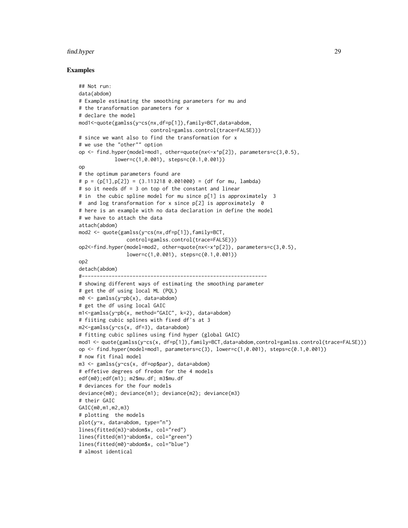#### find.hyper 29

#### Examples

```
## Not run:
data(abdom)
# Example estimating the smoothing parameters for mu and
# the transformation parameters for x
# declare the model
mod1<-quote(gamlss(y~cs(nx,df=p[1]),family=BCT,data=abdom,
                        control=gamlss.control(trace=FALSE)))
# since we want also to find the transformation for x
# we use the "other"" option
op <- find.hyper(model=mod1, other=quote(nx<-x^p[2]), parameters=c(3,0.5),
            lower=c(1,0.001), steps=c(0.1,0.001))
op
# the optimum parameters found are
\# p = (p[1], p[2]) = (3.113218 \ 0.001000) = (df for mu, lambda)# so it needs df = 3 on top of the constant and linear
# in the cubic spline model for mu since p[1] is approximately 3
# and log transformation for x since p[2] is approximately 0
# here is an example with no data declaration in define the model
# we have to attach the data
attach(abdom)
mod2 <- quote(gamlss(y~cs(nx,df=p[1]),family=BCT,
                control=gamlss.control(trace=FALSE)))
op2<-find.hyper(model=mod2, other=quote(nx<-x^p[2]), parameters=c(3,0.5),
                lower=c(1,0.001), steps=c(0.1,0.001))
op2
detach(abdom)
#--------------------------------------------------------------
# showing different ways of estimating the smoothing parameter
# get the df using local ML (PQL)
m0 <- gamlss(y~pb(x), data=abdom)
# get the df using local GAIC
m1<-gamlss(y~pb(x, method="GAIC", k=2), data=abdom)
# fiiting cubic splines with fixed df's at 3
m2<-gamlss(y~cs(x, df=3), data=abdom)
# fitting cubic splines using find hyper (global GAIC)
mod1 <- quote(gamlss(y~cs(x, df=p[1]),family=BCT,data=abdom,control=gamlss.control(trace=FALSE)))
op <- find.hyper(model=mod1, parameters=c(3), lower=c(1,0.001), steps=c(0.1,0.001))
# now fit final model
m3 <- gamlss(y~cs(x, df=op$par), data=abdom)
# effetive degrees of fredom for the 4 models
edf(m0);edf(m1); m2$mu.df; m3$mu.df
# deviances for the four models
deviance(m0); deviance(m1); deviance(m2); deviance(m3)
# their GAIC
GAIC(m0,m1,m2,m3)
# plotting the models
plot(y~x, data=abdom, type="n")
lines(fitted(m3)~abdom$x, col="red")
lines(fitted(m1)~abdom$x, col="green")
lines(fitted(m0)~abdom$x, col="blue")
# almost identical
```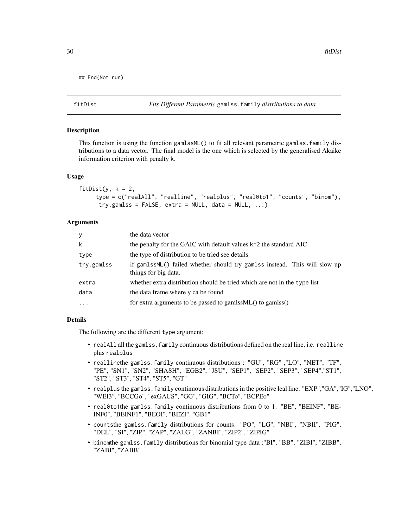```
## End(Not run)
```
fitDist *Fits Different Parametric* gamlss.family *distributions to data*

#### **Description**

This function is using the function gamlssML() to fit all relevant parametric gamlss.family distributions to a data vector. The final model is the one which is selected by the generalised Akaike information criterion with penalty k.

#### Usage

```
fitDist(y, k = 2,
     type = c("realAll", "realline", "realplus", "real0to1", "counts", "binom"),
      try.gamlss = FALSE, extra = NULL, data = NULL, ...)
```
# Arguments

| $\mathbf{y}$ | the data vector                                                                                   |
|--------------|---------------------------------------------------------------------------------------------------|
| k            | the penalty for the GAIC with default values k=2 the standard AIC                                 |
| type         | the type of distribution to be tried see details                                                  |
| try.gamlss   | if gamlssML() failed whether should try gamlss instead. This will slow up<br>things for big data. |
| extra        | whether extra distribution should be tried which are not in the type list                         |
| data         | the data frame where y ca be found                                                                |
| $\ddotsc$    | for extra arguments to be passed to gamlss $ML()$ to gamlss $()$                                  |

#### Details

The following are the different type argument:

- realAll all the gamlss. family continuous distributions defined on the real line, i.e. realline plus realplus
- reallinethe gamlss.family continuous distributions : "GU", "RG" ,"LO", "NET", "TF", "PE", "SN1", "SN2", "SHASH", "EGB2", "JSU", "SEP1", "SEP2", "SEP3", "SEP4","ST1", "ST2", "ST3", "ST4", "ST5", "GT"
- realplus the gamlss.family continuous distributions in the positive leal line: "EXP","GA","IG","LNO", "WEI3", "BCCGo", "exGAUS", "GG", "GIG", "BCTo", "BCPEo"
- real0to1the gamlss.family continuous distributions from 0 to 1: "BE", "BEINF", "BE-INF0", "BEINF1", "BEOI", "BEZI", "GB1"
- countsthe gamlss.family distributions for counts: "PO", "LG", "NBI", "NBII", "PIG", "DEL", "SI", "ZIP", "ZAP", "ZALG", "ZANBI", "ZIP2", "ZIPIG"
- binomthe gamlss.family distributions for binomial type data :"BI", "BB", "ZIBI", "ZIBB", "ZABI", "ZABB"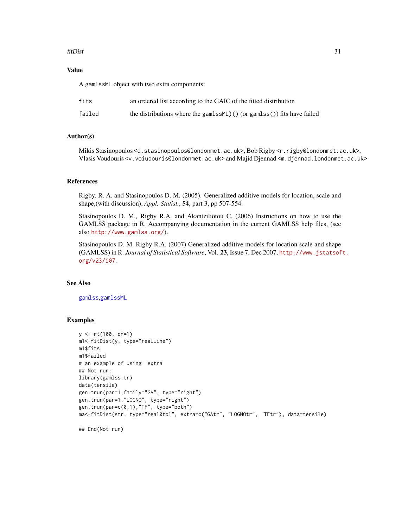#### fitDist 31

# Value

A gamlssML object with two extra components:

| fits   | an ordered list according to the GAIC of the fitted distribution       |
|--------|------------------------------------------------------------------------|
| failed | the distributions where the gamlssML)() (or gamlss()) fits have failed |

## Author(s)

Mikis Stasinopoulos <d.stasinopoulos@londonmet.ac.uk>, Bob Rigby <r.rigby@londonmet.ac.uk>, Vlasis Voudouris <v.voiudouris@londonmet.ac.uk> and Majid Djennad <m.djennad.londonmet.ac.uk>

#### References

Rigby, R. A. and Stasinopoulos D. M. (2005). Generalized additive models for location, scale and shape,(with discussion), *Appl. Statist.*, 54, part 3, pp 507-554.

Stasinopoulos D. M., Rigby R.A. and Akantziliotou C. (2006) Instructions on how to use the GAMLSS package in R. Accompanying documentation in the current GAMLSS help files, (see also <http://www.gamlss.org/>).

Stasinopoulos D. M. Rigby R.A. (2007) Generalized additive models for location scale and shape (GAMLSS) in R. *Journal of Statistical Software*, Vol. 23, Issue 7, Dec 2007, [http://www.jstatsof](http://www.jstatsoft.org/v23/i07)t. [org/v23/i07](http://www.jstatsoft.org/v23/i07).

#### See Also

[gamlss](#page-34-1),[gamlssML](#page-46-1)

#### Examples

```
y <- rt(100, df=1)
m1<-fitDist(y, type="realline")
m1$fits
m1$failed
# an example of using extra
## Not run:
library(gamlss.tr)
data(tensile)
gen.trun(par=1,family="GA", type="right")
gen.trun(par=1,"LOGNO", type="right")
gen.trun(par=c(0,1),"TF", type="both")
ma<-fitDist(str, type="real0to1", extra=c("GAtr", "LOGNOtr", "TFtr"), data=tensile)
```
## End(Not run)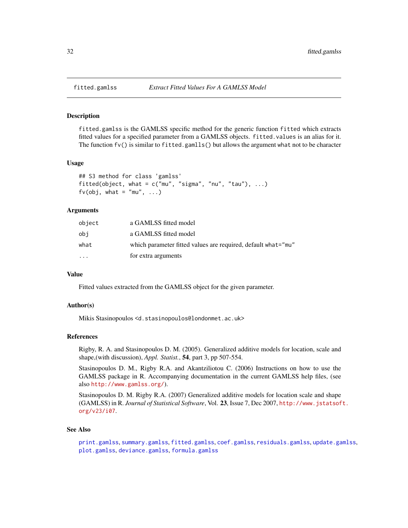<span id="page-31-1"></span><span id="page-31-0"></span>

#### Description

fitted.gamlss is the GAMLSS specific method for the generic function fitted which extracts fitted values for a specified parameter from a GAMLSS objects. fitted.values is an alias for it. The function  $f(v)$  is similar to fitted.gamlls() but allows the argument what not to be character

#### Usage

```
## S3 method for class 'gamlss'
fitted(object, what = c("mu", "sigma", "nu", "tau"), ...)
f(v(obj, what = "mu", ...)
```
### Arguments

| object    | a GAMLSS fitted model                                         |
|-----------|---------------------------------------------------------------|
| obi       | a GAMLSS fitted model                                         |
| what      | which parameter fitted values are required, default what="mu" |
| $\ddotsc$ | for extra arguments                                           |
|           |                                                               |

# Value

Fitted values extracted from the GAMLSS object for the given parameter.

#### Author(s)

Mikis Stasinopoulos <d.stasinopoulos@londonmet.ac.uk>

#### References

Rigby, R. A. and Stasinopoulos D. M. (2005). Generalized additive models for location, scale and shape,(with discussion), *Appl. Statist.*, 54, part 3, pp 507-554.

Stasinopoulos D. M., Rigby R.A. and Akantziliotou C. (2006) Instructions on how to use the GAMLSS package in R. Accompanying documentation in the current GAMLSS help files, (see also <http://www.gamlss.org/>).

Stasinopoulos D. M. Rigby R.A. (2007) Generalized additive models for location scale and shape (GAMLSS) in R. *Journal of Statistical Software*, Vol. 23, Issue 7, Dec 2007, [http://www.jstatsof](http://www.jstatsoft.org/v23/i07)t. [org/v23/i07](http://www.jstatsoft.org/v23/i07).

#### See Also

[print.gamlss](#page-79-1), [summary.gamlss](#page-111-1), [fitted.gamlss](#page-31-1), [coef.gamlss](#page-18-1), [residuals.gamlss](#page-99-1), [update.gamlss](#page-115-1), [plot.gamlss](#page-72-1), [deviance.gamlss](#page-22-1), [formula.gamlss](#page-33-1)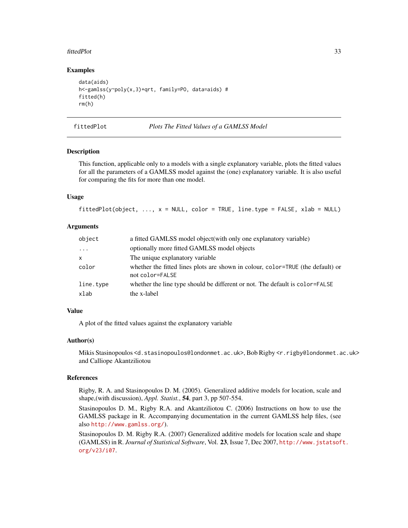#### <span id="page-32-0"></span>fittedPlot 33

#### Examples

```
data(aids)
h<-gamlss(y~poly(x,3)+qrt, family=PO, data=aids) #
fitted(h)
rm(h)
```
fittedPlot *Plots The Fitted Values of a GAMLSS Model*

# **Description**

This function, applicable only to a models with a single explanatory variable, plots the fitted values for all the parameters of a GAMLSS model against the (one) explanatory variable. It is also useful for comparing the fits for more than one model.

#### Usage

```
fittedPlot(Object, ..., x = NULL, color = TRUE, line_type = FALSE, xlab = NULL)
```
#### Arguments

| object       | a fitted GAMLSS model object (with only one explanatory variable)                                  |
|--------------|----------------------------------------------------------------------------------------------------|
| $\cdot$      | optionally more fitted GAMLSS model objects                                                        |
| $\mathsf{x}$ | The unique explanatory variable                                                                    |
| color        | whether the fitted lines plots are shown in colour, color=TRUE (the default) or<br>not color=FALSE |
| line.type    | whether the line type should be different or not. The default is color=FALSE                       |
| xlab         | the x-label                                                                                        |

#### Value

A plot of the fitted values against the explanatory variable

#### Author(s)

Mikis Stasinopoulos <d.stasinopoulos@londonmet.ac.uk>, Bob Rigby <r.rigby@londonmet.ac.uk> and Calliope Akantziliotou

#### References

Rigby, R. A. and Stasinopoulos D. M. (2005). Generalized additive models for location, scale and shape,(with discussion), *Appl. Statist.*, 54, part 3, pp 507-554.

Stasinopoulos D. M., Rigby R.A. and Akantziliotou C. (2006) Instructions on how to use the GAMLSS package in R. Accompanying documentation in the current GAMLSS help files, (see also <http://www.gamlss.org/>).

Stasinopoulos D. M. Rigby R.A. (2007) Generalized additive models for location scale and shape (GAMLSS) in R. *Journal of Statistical Software*, Vol. 23, Issue 7, Dec 2007, [http://www.jstatsof](http://www.jstatsoft.org/v23/i07)t. [org/v23/i07](http://www.jstatsoft.org/v23/i07).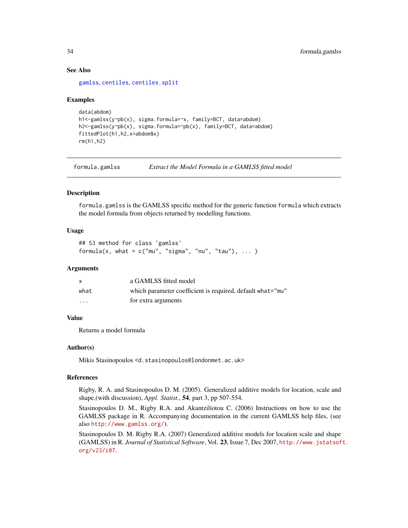### See Also

[gamlss](#page-34-1), [centiles](#page-9-1), [centiles.split](#page-16-1)

# Examples

```
data(abdom)
h1<-gamlss(y~pb(x), sigma.formula=~x, family=BCT, data=abdom)
h2<-gamlss(y~pb(x), sigma.formula=~pb(x), family=BCT, data=abdom)
fittedPlot(h1,h2,x=abdom$x)
rm(h1,h2)
```
<span id="page-33-1"></span>formula.gamlss *Extract the Model Formula in a GAMLSS fitted model*

# Description

formula.gamlss is the GAMLSS specific method for the generic function formula which extracts the model formula from objects returned by modelling functions.

# Usage

```
## S3 method for class 'gamlss'
formula(x, what = c("mu", "sigma", "nu", "tau"), ... )
```
#### Arguments

| X    | a GAMLSS fitted model                                      |
|------|------------------------------------------------------------|
| what | which parameter coefficient is required, default what="mu" |
| .    | for extra arguments                                        |

#### Value

Returns a model formula

#### Author(s)

Mikis Stasinopoulos <d.stasinopoulos@londonmet.ac.uk>

# References

Rigby, R. A. and Stasinopoulos D. M. (2005). Generalized additive models for location, scale and shape,(with discussion), *Appl. Statist.*, 54, part 3, pp 507-554.

Stasinopoulos D. M., Rigby R.A. and Akantziliotou C. (2006) Instructions on how to use the GAMLSS package in R. Accompanying documentation in the current GAMLSS help files, (see also <http://www.gamlss.org/>).

Stasinopoulos D. M. Rigby R.A. (2007) Generalized additive models for location scale and shape (GAMLSS) in R. *Journal of Statistical Software*, Vol. 23, Issue 7, Dec 2007, [http://www.jstatsof](http://www.jstatsoft.org/v23/i07)t. [org/v23/i07](http://www.jstatsoft.org/v23/i07).

<span id="page-33-0"></span>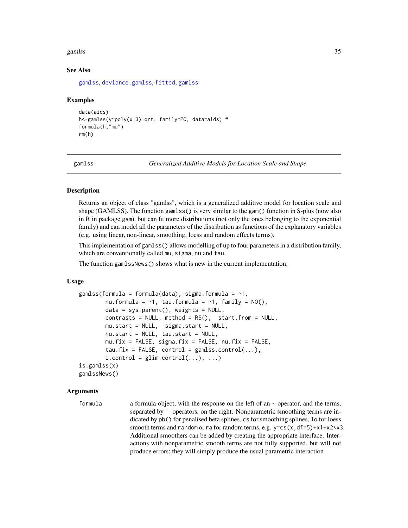#### <span id="page-34-0"></span>gamlss 35

#### See Also

[gamlss](#page-34-1), [deviance.gamlss](#page-22-1), [fitted.gamlss](#page-31-1)

#### Examples

```
data(aids)
h<-gamlss(y~poly(x,3)+qrt, family=PO, data=aids) #
formula(h,"mu")
rm(h)
```
<span id="page-34-1"></span>

gamlss *Generalized Additive Models for Location Scale and Shape*

# **Description**

Returns an object of class "gamlss", which is a generalized additive model for location scale and shape (GAMLSS). The function gamlss() is very similar to the gam() function in S-plus (now also in R in package gam), but can fit more distributions (not only the ones belonging to the exponential family) and can model all the parameters of the distribution as functions of the explanatory variables (e.g. using linear, non-linear, smoothing, loess and random effects terms).

This implementation of gamlss() allows modelling of up to four parameters in a distribution family, which are conventionally called mu, sigma, nu and tau.

The function gamlssNews() shows what is new in the current implementation.

#### Usage

```
gamlss(formula = formula(data), sigma.formula = \sim1,
        nu.formula = \sim1, tau.formula = \sim1, family = NO(),
        data = sys.parent(), weights = NULL,
        contrast = NULL, method = RS(), start.from = NULL,
        mu.start = NULL, sigma.start = NULL,
        nu.start = NULL, tau.start = NULL,
        mu.fix = FALSE, sigma.fix = FALSE, nu.fix = FALSE,tau.fix = FALSE, control = gamlss.control(...),
        i. control = glim. control(...), ...)
is.gamlss(x)
gamlssNews()
```
#### Arguments

```
formula a formula object, with the response on the left of an \sim operator, and the terms,
                  separated by + operators, on the right. Nonparametric smoothing terms are in-
                  dicated by pb() for penalised beta splines, cs for smoothing splines, lo for loess
                  smooth terms and random or ra for random terms, e.g. y \sim cs(x, df=5)+x1+x2*x3.
                  Additional smoothers can be added by creating the appropriate interface. Inter-
                  actions with nonparametric smooth terms are not fully supported, but will not
                  produce errors; they will simply produce the usual parametric interaction
```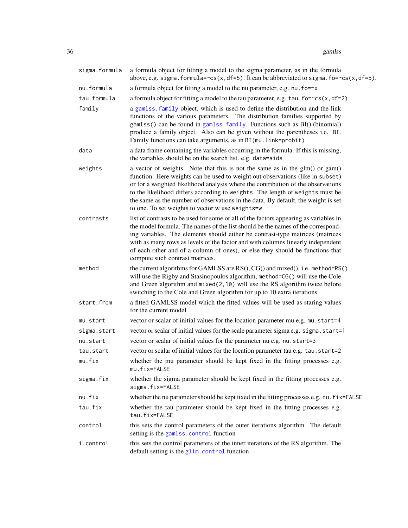36 gamlss

| sigma.formula | a formula object for fitting a model to the sigma parameter, as in the formula<br>above, e.g. sigma. formula= $\sim cs(x, df=5)$ . It can be abbreviated to sigma. fo= $\sim cs(x, df=5)$ .                                                                                                                                                                                                                                                                                  |
|---------------|------------------------------------------------------------------------------------------------------------------------------------------------------------------------------------------------------------------------------------------------------------------------------------------------------------------------------------------------------------------------------------------------------------------------------------------------------------------------------|
| nu.formula    | a formula object for fitting a model to the nu parameter, e.g. nu. fo=~x                                                                                                                                                                                                                                                                                                                                                                                                     |
| tau.formula   | a formula object for fitting a model to the tau parameter, e.g. tau. $fo = \ncsc(x, df = 2)$                                                                                                                                                                                                                                                                                                                                                                                 |
| family        | a gamlss. family object, which is used to define the distribution and the link<br>functions of the various parameters. The distribution families supported by<br>gamlss() can be found in gamlss. family. Functions such as BI() (binomial)<br>produce a family object. Also can be given without the parentheses i.e. BI.<br>Family functions can take arguments, as in BI (mu. link=probit)                                                                                |
| data          | a data frame containing the variables occurring in the formula. If this is missing,<br>the variables should be on the search list. e.g. data=aids                                                                                                                                                                                                                                                                                                                            |
| weights       | a vector of weights. Note that this is not the same as in the glm() or gam()<br>function. Here weights can be used to weight out observations (like in subset)<br>or for a weighted likelihood analysis where the contribution of the observations<br>to the likelihood differs according to weights. The length of weights must be<br>the same as the number of observations in the data. By default, the weight is set<br>to one. To set weights to vector w use weights=w |
| contrasts     | list of contrasts to be used for some or all of the factors appearing as variables in<br>the model formula. The names of the list should be the names of the correspond-<br>ing variables. The elements should either be contrast-type matrices (matrices<br>with as many rows as levels of the factor and with columns linearly independent<br>of each other and of a column of ones), or else they should be functions that<br>compute such contrast matrices.             |
| method        | the current algorithms for GAMLSS are RS(), CG() and mixed(). i.e. method=RS()<br>will use the Rigby and Stasinopoulos algorithm, method=CG() will use the Cole<br>and Green algorithm and $mixed(2, 10)$ will use the RS algorithm twice before<br>switching to the Cole and Green algorithm for up to 10 extra iterations                                                                                                                                                  |
| start.from    | a fitted GAMLSS model which the fitted values will be used as staring values<br>for the current model                                                                                                                                                                                                                                                                                                                                                                        |
| mu.start      | vector or scalar of initial values for the location parameter mu e.g. mu.start=4                                                                                                                                                                                                                                                                                                                                                                                             |
| sigma.start   | vector or scalar of initial values for the scale parameter sigma e.g. sigma.start=1                                                                                                                                                                                                                                                                                                                                                                                          |
| nu.start      | vector or scalar of initial values for the parameter nu e.g. nu. start=3                                                                                                                                                                                                                                                                                                                                                                                                     |
| tau.start     | vector or scalar of initial values for the location parameter tau e.g. tau.start=2                                                                                                                                                                                                                                                                                                                                                                                           |
| mu.fix        | whether the mu parameter should be kept fixed in the fitting processes e.g.<br>mu.fix=FALSE                                                                                                                                                                                                                                                                                                                                                                                  |
| sigma.fix     | whether the sigma parameter should be kept fixed in the fitting processes e.g.<br>sigma.fix=FALSE                                                                                                                                                                                                                                                                                                                                                                            |
| nu.fix        | whether the nu parameter should be kept fixed in the fitting processes e.g. nu. f ix=FALSE                                                                                                                                                                                                                                                                                                                                                                                   |
| tau.fix       | whether the tau parameter should be kept fixed in the fitting processes e.g.<br>tau.fix=FALSE                                                                                                                                                                                                                                                                                                                                                                                |
| control       | this sets the control parameters of the outer iterations algorithm. The default<br>setting is the gamlss.control function                                                                                                                                                                                                                                                                                                                                                    |
| i.control     | this sets the control parameters of the inner iterations of the RS algorithm. The<br>default setting is the glim.control function                                                                                                                                                                                                                                                                                                                                            |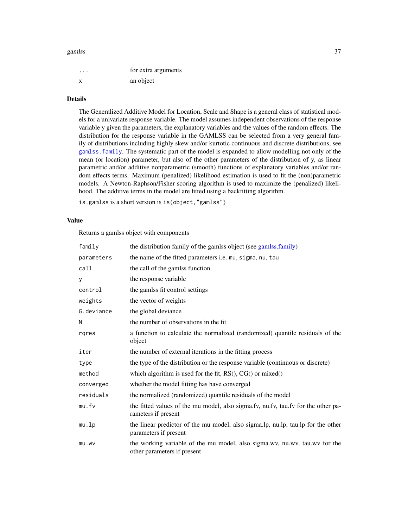#### gamlss 37

| . | for extra arguments |
|---|---------------------|
| x | an object           |

### Details

The Generalized Additive Model for Location, Scale and Shape is a general class of statistical models for a univariate response variable. The model assumes independent observations of the response variable y given the parameters, the explanatory variables and the values of the random effects. The distribution for the response variable in the GAMLSS can be selected from a very general family of distributions including highly skew and/or kurtotic continuous and discrete distributions, see [gamlss.family](#page-0-0). The systematic part of the model is expanded to allow modelling not only of the mean (or location) parameter, but also of the other parameters of the distribution of y, as linear parametric and/or additive nonparametric (smooth) functions of explanatory variables and/or random effects terms. Maximum (penalized) likelihood estimation is used to fit the (non)parametric models. A Newton-Raphson/Fisher scoring algorithm is used to maximize the (penalized) likelihood. The additive terms in the model are fitted using a backfitting algorithm.

is.gamlss is a short version is is(object,"gamlss")

## Value

Returns a gamlss object with components

| family     | the distribution family of the gamlss object (see gamlss.family)                                          |
|------------|-----------------------------------------------------------------------------------------------------------|
| parameters | the name of the fitted parameters i.e. mu, sigma, nu, tau                                                 |
| call       | the call of the gamlss function                                                                           |
| У          | the response variable                                                                                     |
| control    | the gamlss fit control settings                                                                           |
| weights    | the vector of weights                                                                                     |
| G.deviance | the global deviance                                                                                       |
| N          | the number of observations in the fit                                                                     |
| rgres      | a function to calculate the normalized (randomized) quantile residuals of the<br>object                   |
| iter       | the number of external iterations in the fitting process                                                  |
| type       | the type of the distribution or the response variable (continuous or discrete)                            |
| method     | which algorithm is used for the fit, $RS()$ , $CG()$ or mixed $()$                                        |
| converged  | whether the model fitting has have converged                                                              |
| residuals  | the normalized (randomized) quantile residuals of the model                                               |
| mu.fv      | the fitted values of the mu model, also sigma.fv, nu.fv, tau.fv for the other pa-<br>rameters if present  |
| mu.lp      | the linear predictor of the mu model, also sigma.lp, nu.lp, tau.lp for the other<br>parameters if present |
| mu.wv      | the working variable of the mu model, also sigma.wv, nu.wv, tau.wv for the<br>other parameters if present |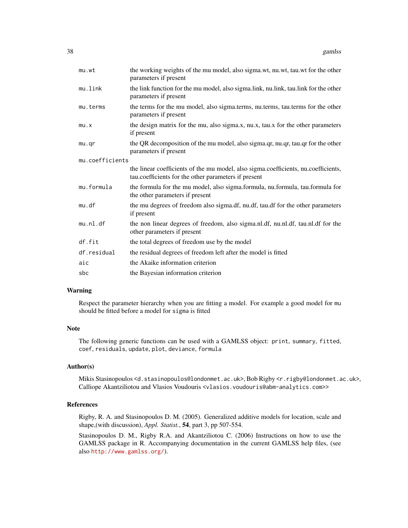| mu.wt           | the working weights of the mu model, also sigma.wt, nu.wt, tau.wt for the other<br>parameters if present                                   |
|-----------------|--------------------------------------------------------------------------------------------------------------------------------------------|
| mu.link         | the link function for the mu model, also sigma.link, nu.link, tau.link for the other<br>parameters if present                              |
| mu.terms        | the terms for the mu model, also sigma.terms, nu.terms, tau.terms for the other<br>parameters if present                                   |
| mu.x            | the design matrix for the mu, also sigma.x, nu.x, tau.x for the other parameters<br>if present                                             |
| mu.qr           | the QR decomposition of the mu model, also sigma.qr, nu.qr, tau.qr for the other<br>parameters if present                                  |
| mu.coefficients |                                                                                                                                            |
|                 | the linear coefficients of the mu model, also sigma.coefficients, nu.coefficients,<br>tau.coefficients for the other parameters if present |
| mu.formula      | the formula for the mu model, also sigma.formula, nu.formula, tau.formula for<br>the other parameters if present                           |
| mu.df           | the mu degrees of freedom also sigma.df, nu.df, tau.df for the other parameters<br>if present                                              |
| mu.n1.df        | the non linear degrees of freedom, also sigma.nl.df, nu.nl.df, tau.nl.df for the<br>other parameters if present                            |
| df.fit          | the total degrees of freedom use by the model                                                                                              |
| df.residual     | the residual degrees of freedom left after the model is fitted                                                                             |
| aic             | the Akaike information criterion                                                                                                           |
| sbc             | the Bayesian information criterion                                                                                                         |

#### Warning

Respect the parameter hierarchy when you are fitting a model. For example a good model for mu should be fitted before a model for sigma is fitted

#### Note

The following generic functions can be used with a GAMLSS object: print, summary, fitted, coef, residuals, update, plot, deviance, formula

## Author(s)

Mikis Stasinopoulos <d.stasinopoulos@londonmet.ac.uk>, Bob Rigby <r.rigby@londonmet.ac.uk>, Calliope Akantziliotou and Vlasios Voudouris <vlasios.voudouris@abm-analytics.com>>

#### References

Rigby, R. A. and Stasinopoulos D. M. (2005). Generalized additive models for location, scale and shape,(with discussion), *Appl. Statist.*, 54, part 3, pp 507-554.

Stasinopoulos D. M., Rigby R.A. and Akantziliotou C. (2006) Instructions on how to use the GAMLSS package in R. Accompanying documentation in the current GAMLSS help files, (see also <http://www.gamlss.org/>).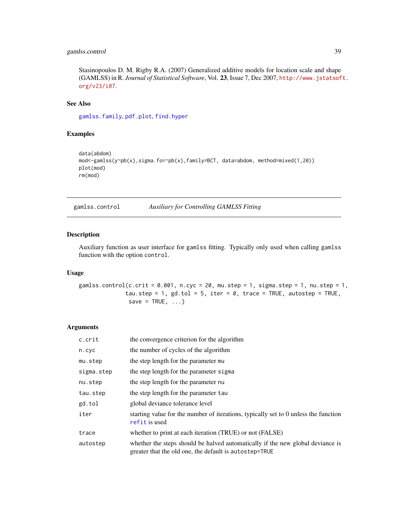## gamlss.control 39

Stasinopoulos D. M. Rigby R.A. (2007) Generalized additive models for location scale and shape (GAMLSS) in R. *Journal of Statistical Software*, Vol. 23, Issue 7, Dec 2007, [http://www.jstatsof](http://www.jstatsoft.org/v23/i07)t. [org/v23/i07](http://www.jstatsoft.org/v23/i07).

## See Also

[gamlss.family](#page-0-0), [pdf.plot](#page-70-0), [find.hyper](#page-26-0)

#### Examples

```
data(abdom)
mod<-gamlss(y~pb(x),sigma.fo=~pb(x),family=BCT, data=abdom, method=mixed(1,20))
plot(mod)
rm(mod)
```
gamlss.control *Auxiliary for Controlling GAMLSS Fitting*

## Description

Auxiliary function as user interface for gamlss fitting. Typically only used when calling gamlss function with the option control.

#### Usage

gamlss.control(c.crit =  $0.001$ , n.cyc =  $20$ , mu.step = 1, sigma.step = 1, nu.step = 1, tau.step = 1, gd.tol = 5, iter = 0, trace = TRUE, autostep = TRUE, save = TRUE,  $\ldots$ )

#### Arguments

| c.crit     | the convergence criterion for the algorithm                                                                                              |
|------------|------------------------------------------------------------------------------------------------------------------------------------------|
| n.cyc      | the number of cycles of the algorithm                                                                                                    |
| mu.step    | the step length for the parameter mu                                                                                                     |
| sigma.step | the step length for the parameter sigma                                                                                                  |
| nu.step    | the step length for the parameter nu                                                                                                     |
| tau.step   | the step length for the parameter tau                                                                                                    |
| gd.tol     | global deviance tolerance level                                                                                                          |
| iter       | starting value for the number of iterations, typically set to 0 unless the function<br>refit is used                                     |
| trace      | whether to print at each iteration (TRUE) or not (FALSE)                                                                                 |
| autostep   | whether the steps should be halved automatically if the new global deviance is<br>greater that the old one, the default is autostep=TRUE |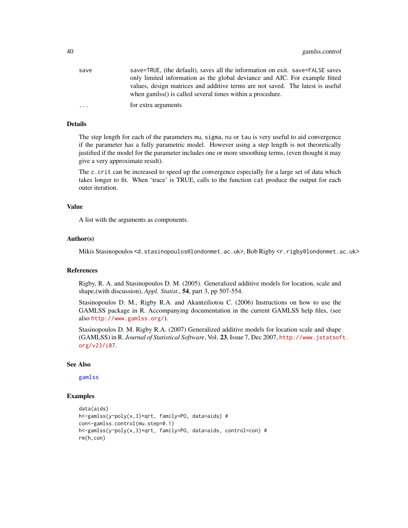| save      | save=TRUE, (the default), saves all the information on exit. save=FALSE saves                                                               |
|-----------|---------------------------------------------------------------------------------------------------------------------------------------------|
|           | only limited information as the global deviance and AIC. For example fitted                                                                 |
|           | values, design matrices and additive terms are not saved. The latest is useful<br>when gamlss() is called several times within a procedure. |
| $\ddotsc$ | for extra arguments                                                                                                                         |

#### Details

The step length for each of the parameters mu, sigma, nu or tau is very useful to aid convergence if the parameter has a fully parametric model. However using a step length is not theoretically justified if the model for the parameter includes one or more smoothing terms, (even thought it may give a very approximate result).

The c.crit can be increased to speed up the convergence especially for a large set of data which takes longer to fit. When 'trace' is TRUE, calls to the function cat produce the output for each outer iteration.

#### Value

A list with the arguments as components.

#### Author(s)

Mikis Stasinopoulos <d.stasinopoulos@londonmet.ac.uk>, Bob Rigby <r.rigby@londonmet.ac.uk>

#### References

Rigby, R. A. and Stasinopoulos D. M. (2005). Generalized additive models for location, scale and shape,(with discussion), *Appl. Statist.*, 54, part 3, pp 507-554.

Stasinopoulos D. M., Rigby R.A. and Akantziliotou C. (2006) Instructions on how to use the GAMLSS package in R. Accompanying documentation in the current GAMLSS help files, (see also <http://www.gamlss.org/>).

Stasinopoulos D. M. Rigby R.A. (2007) Generalized additive models for location scale and shape (GAMLSS) in R. *Journal of Statistical Software*, Vol. 23, Issue 7, Dec 2007, [http://www.jstatsof](http://www.jstatsoft.org/v23/i07)t. [org/v23/i07](http://www.jstatsoft.org/v23/i07).

#### See Also

[gamlss](#page-34-0)

## Examples

```
data(aids)
h<-gamlss(y~poly(x,3)+qrt, family=PO, data=aids) #
con<-gamlss.control(mu.step=0.1)
h<-gamlss(y~poly(x,3)+qrt, family=PO, data=aids, control=con) #
rm(h,con)
```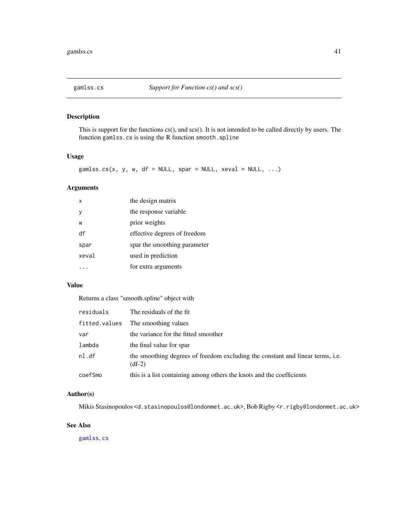## Description

This is support for the functions cs(), and scs(). It is not intended to be called directly by users. The function gamlss.cs is using the R function smooth.spline

#### Usage

```
gamlss.cs(x, y, w, df = NULL, spar = NULL, xeval = NULL, ...)
```
## Arguments

| X     | the design matrix            |
|-------|------------------------------|
| ٧     | the response variable        |
| W     | prior weights                |
| df    | effective degrees of freedom |
| spar  | spar the smoothing parameter |
| xeval | used in prediction           |
|       | for extra arguments          |

## Value

Returns a class "smooth.spline" object with

| residuals     | The residuals of the fit.                                                                  |
|---------------|--------------------------------------------------------------------------------------------|
| fitted.values | The smoothing values                                                                       |
| var           | the variance for the fitted smoother                                                       |
| lambda        | the final value for spar                                                                   |
| nl.df         | the smoothing degrees of freedom excluding the constant and linear terms, i.e.<br>$(df-2)$ |
| coefSmo       | this is a list containing among others the knots and the coefficients                      |

#### Author(s)

Mikis Stasinopoulos <d.stasinopoulos@londonmet.ac.uk>, Bob Rigby <r.rigby@londonmet.ac.uk>

## See Also

[gamlss](#page-34-0), [cs](#page-19-0)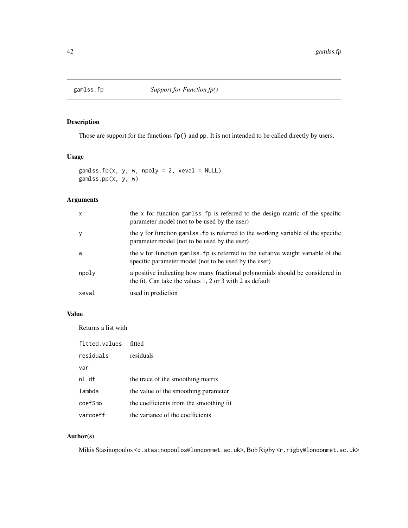## Description

Those are support for the functions fp() and pp. It is not intended to be called directly by users.

## Usage

```
gamlss.fp(x, y, w, npoly = 2, xeval = NULL)
gamlss.pp(x, y, w)
```
## Arguments

| $\mathsf{x}$ | the x for function gamlss, fp is referred to the design matric of the specific<br>parameter model (not to be used by the user)             |
|--------------|--------------------------------------------------------------------------------------------------------------------------------------------|
| y            | the y for function gaments. For is referred to the working variable of the specific<br>parameter model (not to be used by the user)        |
| W            | the w for function gamlss. fp is referred to the iterative weight variable of the<br>specific parameter model (not to be used by the user) |
| npoly        | a positive indicating how many fractional polynomials should be considered in<br>the fit. Can take the values 1, 2 or 3 with 2 as default  |
| xeval        | used in prediction                                                                                                                         |

## Value

Returns a list with

| fitted.values | fitted                                  |
|---------------|-----------------------------------------|
| residuals     | residuals                               |
| var           |                                         |
| nl.df         | the trace of the smoothing matrix       |
| lambda        | the value of the smoothing parameter    |
| coefSmo       | the coefficients from the smoothing fit |
| varcoeff      | the variance of the coefficients        |

## Author(s)

Mikis Stasinopoulos <d.stasinopoulos@londonmet.ac.uk>, Bob Rigby <r.rigby@londonmet.ac.uk>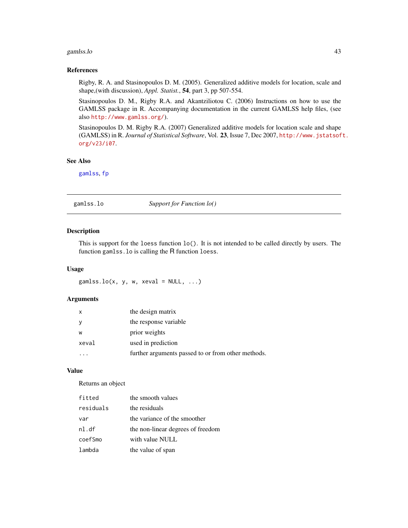#### gamlss.lo 43

#### References

Rigby, R. A. and Stasinopoulos D. M. (2005). Generalized additive models for location, scale and shape,(with discussion), *Appl. Statist.*, 54, part 3, pp 507-554.

Stasinopoulos D. M., Rigby R.A. and Akantziliotou C. (2006) Instructions on how to use the GAMLSS package in R. Accompanying documentation in the current GAMLSS help files, (see also <http://www.gamlss.org/>).

Stasinopoulos D. M. Rigby R.A. (2007) Generalized additive models for location scale and shape (GAMLSS) in R. *Journal of Statistical Software*, Vol. 23, Issue 7, Dec 2007, [http://www.jstatsof](http://www.jstatsoft.org/v23/i07)t. [org/v23/i07](http://www.jstatsoft.org/v23/i07).

## See Also

[gamlss](#page-34-0), [fp](#page-6-0)

gamlss.lo *Support for Function lo()*

# Description

This is support for the loess function lo(). It is not intended to be called directly by users. The function gamlss.lo is calling the R function loess.

#### Usage

gamlss.lo(x, y, w, xeval =  $NULL, ...)$ 

#### Arguments

| $\mathsf{x}$ | the design matrix                                  |
|--------------|----------------------------------------------------|
|              | the response variable                              |
| W            | prior weights                                      |
| xeval        | used in prediction                                 |
|              | further arguments passed to or from other methods. |

#### Value

Returns an object

| fitted    | the smooth values                 |
|-----------|-----------------------------------|
| residuals | the residuals                     |
| var       | the variance of the smoother      |
| nl.df     | the non-linear degrees of freedom |
| coefSmo   | with value NULL                   |
| lambda    | the value of span                 |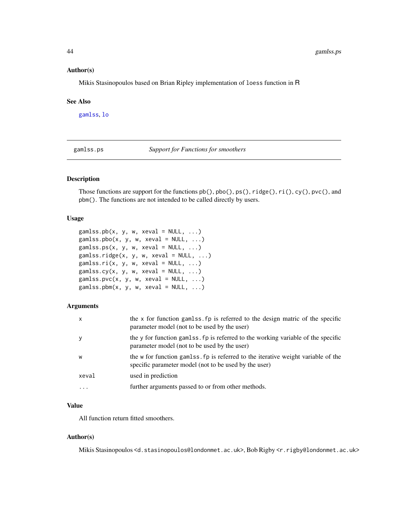#### Author(s)

Mikis Stasinopoulos based on Brian Ripley implementation of loess function in R

#### See Also

[gamlss](#page-34-0), [lo](#page-61-0)

gamlss.ps *Support for Functions for smoothers*

#### Description

Those functions are support for the functions  $pb(), pb(), rs(), ridge(), ri(), cy(), proc(), and$ pbm(). The functions are not intended to be called directly by users.

#### Usage

```
gamlss.pb(x, y, w, xeval = NULL, ...)gamlss.pbo(x, y, w, xeval = NULL, ...)gamlss.ps(x, y, w, xeval = NULL, ...)gamma(s, y, w, xeval = NULL, ...)gamma(s, y, w, xeval = NULL, ...)gamlss.cy(x, y, w, xeval = NULL, ...)gamlss.pvc(x, y, w, xeval = NULL, ...)gamlss.pbm(x, y, w, xeval = NULL, ...)
```
#### Arguments

| $\mathsf{x}$            | the x for function gamlss. fp is referred to the design matric of the specific<br>parameter model (not to be used by the user)              |
|-------------------------|---------------------------------------------------------------------------------------------------------------------------------------------|
| y                       | the y for function gaments. For is referred to the working variable of the specific<br>parameter model (not to be used by the user)         |
| W                       | the w for function gaments for is referred to the iterative weight variable of the<br>specific parameter model (not to be used by the user) |
| xeval                   | used in prediction                                                                                                                          |
| $\cdot$ $\cdot$ $\cdot$ | further arguments passed to or from other methods.                                                                                          |

## Value

All function return fitted smoothers.

#### Author(s)

Mikis Stasinopoulos <d.stasinopoulos@londonmet.ac.uk>, Bob Rigby <r.rigby@londonmet.ac.uk>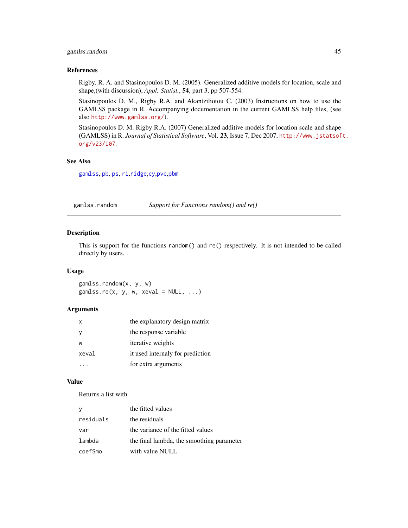## gamlss.random 45

#### References

Rigby, R. A. and Stasinopoulos D. M. (2005). Generalized additive models for location, scale and shape,(with discussion), *Appl. Statist.*, 54, part 3, pp 507-554.

Stasinopoulos D. M., Rigby R.A. and Akantziliotou C. (2003) Instructions on how to use the GAMLSS package in R. Accompanying documentation in the current GAMLSS help files, (see also <http://www.gamlss.org/>).

Stasinopoulos D. M. Rigby R.A. (2007) Generalized additive models for location scale and shape (GAMLSS) in R. *Journal of Statistical Software*, Vol. 23, Issue 7, Dec 2007, [http://www.jstatsof](http://www.jstatsoft.org/v23/i07)t. [org/v23/i07](http://www.jstatsoft.org/v23/i07).

## See Also

[gamlss](#page-34-0), [pb](#page-85-0), [ps](#page-85-1), [ri](#page-100-0),[ridge](#page-100-1),[cy](#page-85-0),[pvc](#page-85-0),[pbm](#page-85-0)

gamlss.random *Support for Functions random() and re()*

## Description

This is support for the functions random() and re() respectively. It is not intended to be called directly by users. .

#### Usage

gamlss.random(x, y, w) gamlss.re(x, y, w, xeval =  $NULL, ...)$ 

#### Arguments

| $\mathsf{x}$ | the explanatory design matrix    |
|--------------|----------------------------------|
|              | the response variable            |
| W            | <i>iterative</i> weights         |
| xeval        | it used internaly for prediction |
|              | for extra arguments              |

#### Value

Returns a list with

| y         | the fitted values                         |
|-----------|-------------------------------------------|
| residuals | the residuals                             |
| var       | the variance of the fitted values         |
| lambda    | the final lambda, the smoothing parameter |
| coefSmo   | with value NULL                           |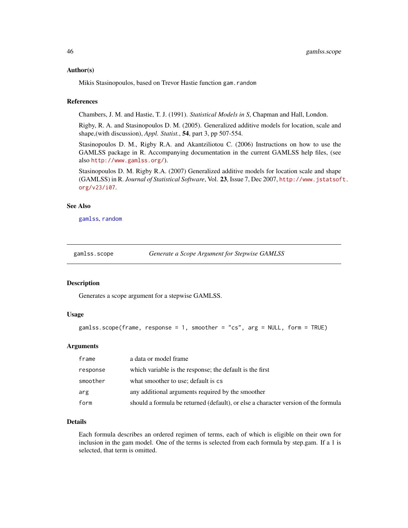#### Author(s)

Mikis Stasinopoulos, based on Trevor Hastie function gam.random

#### References

Chambers, J. M. and Hastie, T. J. (1991). *Statistical Models in S*, Chapman and Hall, London.

Rigby, R. A. and Stasinopoulos D. M. (2005). Generalized additive models for location, scale and shape,(with discussion), *Appl. Statist.*, 54, part 3, pp 507-554.

Stasinopoulos D. M., Rigby R.A. and Akantziliotou C. (2006) Instructions on how to use the GAMLSS package in R. Accompanying documentation in the current GAMLSS help files, (see also <http://www.gamlss.org/>).

Stasinopoulos D. M. Rigby R.A. (2007) Generalized additive models for location scale and shape (GAMLSS) in R. *Journal of Statistical Software*, Vol. 23, Issue 7, Dec 2007, [http://www.jstatsof](http://www.jstatsoft.org/v23/i07)t. [org/v23/i07](http://www.jstatsoft.org/v23/i07).

#### See Also

[gamlss](#page-34-0), [random](#page-93-0)

gamlss.scope *Generate a Scope Argument for Stepwise GAMLSS*

#### **Description**

Generates a scope argument for a stepwise GAMLSS.

#### Usage

```
gamlss.scope(frame, response = 1, smoother = "cs", arg = NULL, form = TRUE)
```
#### Arguments

| frame    | a data or model frame                                                              |
|----------|------------------------------------------------------------------------------------|
| response | which variable is the response; the default is the first                           |
| smoother | what smoother to use; default is cs                                                |
| arg      | any additional arguments required by the smoother                                  |
| form     | should a formula be returned (default), or else a character version of the formula |

## Details

Each formula describes an ordered regimen of terms, each of which is eligible on their own for inclusion in the gam model. One of the terms is selected from each formula by step.gam. If a 1 is selected, that term is omitted.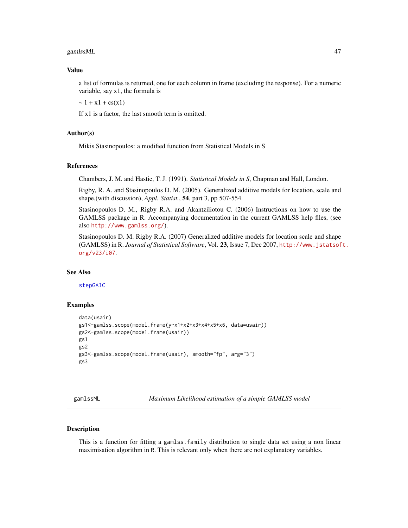#### $\boldsymbol{\mathit{gam}}$ lssML  $\boldsymbol{\mathit{47}}$

#### Value

a list of formulas is returned, one for each column in frame (excluding the response). For a numeric variable, say x1, the formula is

 $\sim 1 + x1 + cs(x1)$ 

If x1 is a factor, the last smooth term is omitted.

#### Author(s)

Mikis Stasinopoulos: a modified function from Statistical Models in S

## References

Chambers, J. M. and Hastie, T. J. (1991). *Statistical Models in S*, Chapman and Hall, London.

Rigby, R. A. and Stasinopoulos D. M. (2005). Generalized additive models for location, scale and shape,(with discussion), *Appl. Statist.*, 54, part 3, pp 507-554.

Stasinopoulos D. M., Rigby R.A. and Akantziliotou C. (2006) Instructions on how to use the GAMLSS package in R. Accompanying documentation in the current GAMLSS help files, (see also <http://www.gamlss.org/>).

Stasinopoulos D. M. Rigby R.A. (2007) Generalized additive models for location scale and shape (GAMLSS) in R. *Journal of Statistical Software*, Vol. 23, Issue 7, Dec 2007, [http://www.jstatsof](http://www.jstatsoft.org/v23/i07)t. [org/v23/i07](http://www.jstatsoft.org/v23/i07).

## See Also

[stepGAIC](#page-106-0)

#### Examples

```
data(usair)
gs1<-gamlss.scope(model.frame(y~x1+x2+x3+x4+x5+x6, data=usair))
gs2<-gamlss.scope(model.frame(usair))
gs1
gs2
gs3<-gamlss.scope(model.frame(usair), smooth="fp", arg="3")
gs3
```
gamlssML *Maximum Likelihood estimation of a simple GAMLSS model*

#### Description

This is a function for fitting a gamlss.family distribution to single data set using a non linear maximisation algorithm in R. This is relevant only when there are not explanatory variables.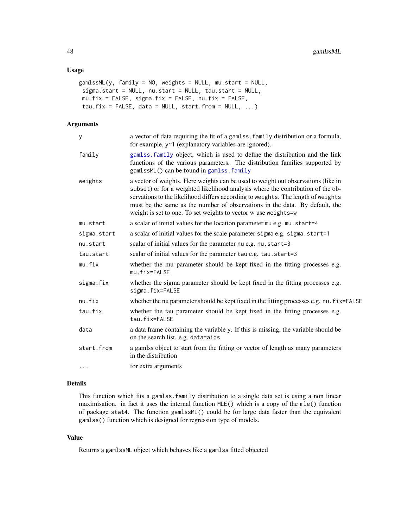#### Usage

```
gamlssML(y, family = NO, weights = NULL, mu.start = NULL,
sigma.start = NULL, nu.start = NULL, tau.start = NULL,
mu.fix = FALSE, sigma.fix = FALSE, nu.fix = FALSE,tau.fix = FALSE, data = NULL, start.from = NULL, \ldots)
```
#### Arguments

| y           | a vector of data requiring the fit of a gamlss. family distribution or a formula,<br>for example, y~1 (explanatory variables are ignored).                                                                                                                                                                                                                                                                |
|-------------|-----------------------------------------------------------------------------------------------------------------------------------------------------------------------------------------------------------------------------------------------------------------------------------------------------------------------------------------------------------------------------------------------------------|
| family      | gamlss. family object, which is used to define the distribution and the link<br>functions of the various parameters. The distribution families supported by<br>gamlssML() can be found in gamlss. family                                                                                                                                                                                                  |
| weights     | a vector of weights. Here weights can be used to weight out observations (like in<br>subset) or for a weighted likelihood analysis where the contribution of the ob-<br>servations to the likelihood differs according to weights. The length of weights<br>must be the same as the number of observations in the data. By default, the<br>weight is set to one. To set weights to vector w use weights=w |
| mu.start    | a scalar of initial values for the location parameter mu e.g. mu.start=4                                                                                                                                                                                                                                                                                                                                  |
| sigma.start | a scalar of initial values for the scale parameter sigma e.g. sigma.start=1                                                                                                                                                                                                                                                                                                                               |
| nu.start    | scalar of initial values for the parameter nu e.g. nu.start=3                                                                                                                                                                                                                                                                                                                                             |
| tau.start   | scalar of initial values for the parameter tau e.g. tau.start=3                                                                                                                                                                                                                                                                                                                                           |
| mu.fix      | whether the mu parameter should be kept fixed in the fitting processes e.g.<br>mu.fix=FALSE                                                                                                                                                                                                                                                                                                               |
| sigma.fix   | whether the sigma parameter should be kept fixed in the fitting processes e.g.<br>sigma.fix=FALSE                                                                                                                                                                                                                                                                                                         |
| nu.fix      | whether the nu parameter should be kept fixed in the fitting processes e.g. nu. fix=FALSE                                                                                                                                                                                                                                                                                                                 |
| tau.fix     | whether the tau parameter should be kept fixed in the fitting processes e.g.<br>tau.fix=FALSE                                                                                                                                                                                                                                                                                                             |
| data        | a data frame containing the variable y. If this is missing, the variable should be<br>on the search list. e.g. data=aids                                                                                                                                                                                                                                                                                  |
| start.from  | a gamlss object to start from the fitting or vector of length as many parameters<br>in the distribution                                                                                                                                                                                                                                                                                                   |
| .           | for extra arguments                                                                                                                                                                                                                                                                                                                                                                                       |

#### Details

This function which fits a gamlss.family distribution to a single data set is using a non linear maximisation. in fact it uses the internal function MLE() which is a copy of the mle() function of package stat4. The function gamlssML() could be for large data faster than the equivalent gamlss() function which is designed for regression type of models.

## Value

Returns a gamlssML object which behaves like a gamlss fitted objected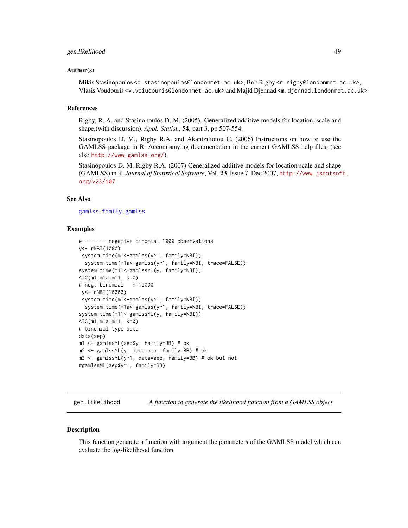#### gen.likelihood 49

#### Author(s)

Mikis Stasinopoulos <d.stasinopoulos@londonmet.ac.uk>, Bob Rigby <r.rigby@londonmet.ac.uk>, Vlasis Voudouris <v.voiudouris@londonmet.ac.uk> and Majid Djennad <m.djennad.londonmet.ac.uk>

#### References

Rigby, R. A. and Stasinopoulos D. M. (2005). Generalized additive models for location, scale and shape,(with discussion), *Appl. Statist.*, 54, part 3, pp 507-554.

Stasinopoulos D. M., Rigby R.A. and Akantziliotou C. (2006) Instructions on how to use the GAMLSS package in R. Accompanying documentation in the current GAMLSS help files, (see also <http://www.gamlss.org/>).

Stasinopoulos D. M. Rigby R.A. (2007) Generalized additive models for location scale and shape (GAMLSS) in R. *Journal of Statistical Software*, Vol. 23, Issue 7, Dec 2007, [http://www.jstatsof](http://www.jstatsoft.org/v23/i07)t. [org/v23/i07](http://www.jstatsoft.org/v23/i07).

#### See Also

[gamlss.family](#page-0-0), [gamlss](#page-34-0)

#### Examples

```
#-------- negative binomial 1000 observations
y<- rNBI(1000)
 system.time(m1 <- gamlss(y ~ 1, family=NBI))
  system.time(m1a<-gamlss(y~1, family=NBI, trace=FALSE))
system.time(m11<-gamlssML(y, family=NBI))
AIC(m1,m1a,m11, k=0)
# neg. binomial n=10000
 y<- rNBI(10000)
 system.time(m1 <- gamlss(y ~1, family=NBI))
  system.time(m1a<-gamlss(y~1, family=NBI, trace=FALSE))
system.time(m11<-gamlssML(y, family=NBI))
AIC(m1,m1a,m11, k=0)
# binomial type data
data(aep)
m1 <- gamlssML(aep$y, family=BB) # ok
m2 <- gamlssML(y, data=aep, family=BB) # ok
m3 <- gamlssML(y~1, data=aep, family=BB) # ok but not
#gamlssML(aep$y~1, family=BB)
```
gen.likelihood *A function to generate the likelihood function from a GAMLSS object*

#### Description

This function generate a function with argument the parameters of the GAMLSS model which can evaluate the log-likelihood function.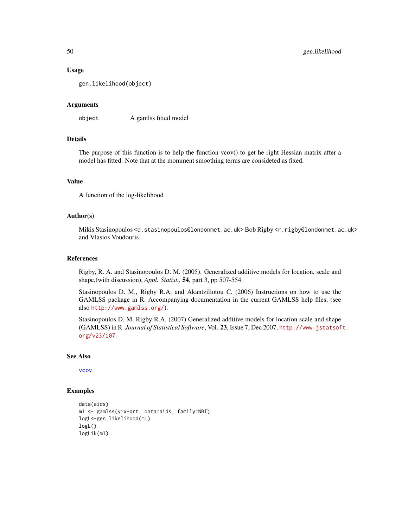#### Usage

gen.likelihood(object)

#### **Arguments**

object A gamlss fitted model

## Details

The purpose of this function is to help the function vcov() to get he right Hessian matrix after a model has fitted. Note that at the momment smoothing terms are consideted as fixed.

#### Value

A function of the log-likelihood

## Author(s)

Mikis Stasinopoulos <d.stasinopoulos@londonmet.ac.uk> Bob Rigby <r.rigby@londonmet.ac.uk> and Vlasios Voudouris

#### References

Rigby, R. A. and Stasinopoulos D. M. (2005). Generalized additive models for location, scale and shape,(with discussion), *Appl. Statist.*, 54, part 3, pp 507-554.

Stasinopoulos D. M., Rigby R.A. and Akantziliotou C. (2006) Instructions on how to use the GAMLSS package in R. Accompanying documentation in the current GAMLSS help files, (see also <http://www.gamlss.org/>).

Stasinopoulos D. M. Rigby R.A. (2007) Generalized additive models for location scale and shape (GAMLSS) in R. *Journal of Statistical Software*, Vol. 23, Issue 7, Dec 2007, [http://www.jstatsof](http://www.jstatsoft.org/v23/i07)t. [org/v23/i07](http://www.jstatsoft.org/v23/i07).

## See Also

[vcov](#page-0-0)

#### Examples

```
data(aids)
m1 <- gamlss(y~x+qrt, data=aids, family=NBI)
logL<-gen.likelihood(m1)
logL()
logLik(m1)
```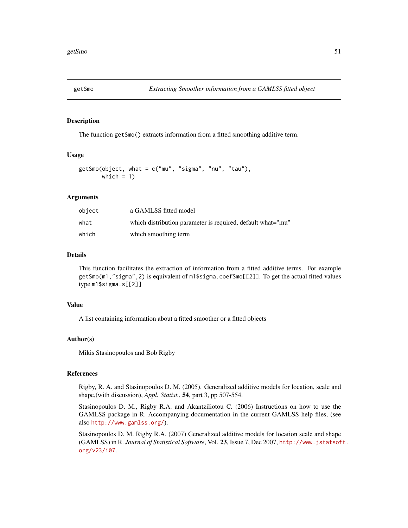## Description

The function getSmo() extracts information from a fitted smoothing additive term.

#### Usage

```
getSmo(object, what = c("mu", "sigma", "nu", "tau"),
      which = 1)
```
## Arguments

| object | a GAMLSS fitted model                                       |
|--------|-------------------------------------------------------------|
| what   | which distribution parameter is required, default what="mu" |
| which  | which smoothing term                                        |

#### Details

This function facilitates the extraction of information from a fitted additive terms. For example getSmo(m1,"sigma",2) is equivalent of m1\$sigma.coefSmo[[2]]. To get the actual fitted values type m1\$sigma.s[[2]]

## Value

A list containing information about a fitted smoother or a fitted objects

#### Author(s)

Mikis Stasinopoulos and Bob Rigby

## References

Rigby, R. A. and Stasinopoulos D. M. (2005). Generalized additive models for location, scale and shape,(with discussion), *Appl. Statist.*, 54, part 3, pp 507-554.

Stasinopoulos D. M., Rigby R.A. and Akantziliotou C. (2006) Instructions on how to use the GAMLSS package in R. Accompanying documentation in the current GAMLSS help files, (see also <http://www.gamlss.org/>).

Stasinopoulos D. M. Rigby R.A. (2007) Generalized additive models for location scale and shape (GAMLSS) in R. *Journal of Statistical Software*, Vol. 23, Issue 7, Dec 2007, [http://www.jstatsof](http://www.jstatsoft.org/v23/i07)t. [org/v23/i07](http://www.jstatsoft.org/v23/i07).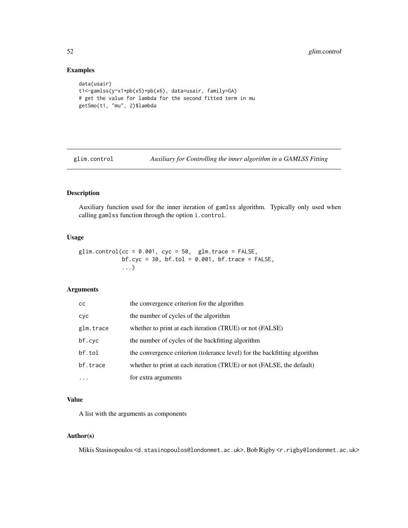## Examples

```
data(usair)
t1<-gamlss(y~x1+pb(x5)+pb(x6), data=usair, family=GA)
# get the value for lambda for the second fitted term in mu
getSmo(t1, "mu", 2)$lambda
```
glim.control *Auxiliary for Controlling the inner algorithm in a GAMLSS Fitting*

## Description

Auxiliary function used for the inner iteration of gamlss algorithm. Typically only used when calling gamlss function through the option i.control.

#### Usage

glim.control(cc =  $0.001$ , cyc =  $50$ , glm.trace =  $FALSE$ ,  $bfcyc = 30$ ,  $bf.tol = 0.001$ ,  $bf.trace = FALSE$ , ...)

## Arguments

| cс         | the convergence criterion for the algorithm                               |
|------------|---------------------------------------------------------------------------|
| <b>CVC</b> | the number of cycles of the algorithm                                     |
| glm.trace  | whether to print at each iteration (TRUE) or not (FALSE)                  |
| bf.cyc     | the number of cycles of the backfitting algorithm                         |
| bf.tol     | the convergence criterion (tolerance level) for the backfitting algorithm |
| bf.trace   | whether to print at each iteration (TRUE) or not (FALSE, the default)     |
| $\ddotsc$  | for extra arguments                                                       |

## Value

A list with the arguments as components

## Author(s)

Mikis Stasinopoulos <d.stasinopoulos@londonmet.ac.uk>, Bob Rigby <r.rigby@londonmet.ac.uk>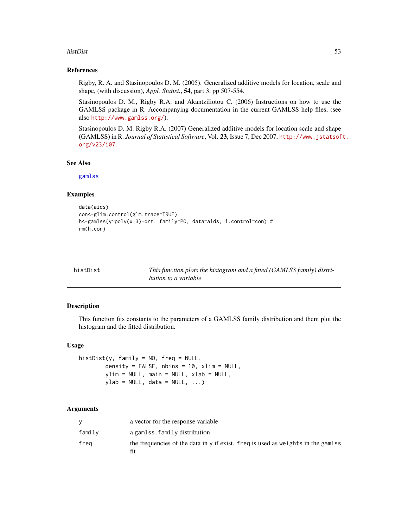#### histDist 53

#### References

Rigby, R. A. and Stasinopoulos D. M. (2005). Generalized additive models for location, scale and shape, (with discussion), *Appl. Statist.*, 54, part 3, pp 507-554.

Stasinopoulos D. M., Rigby R.A. and Akantziliotou C. (2006) Instructions on how to use the GAMLSS package in R. Accompanying documentation in the current GAMLSS help files, (see also <http://www.gamlss.org/>).

Stasinopoulos D. M. Rigby R.A. (2007) Generalized additive models for location scale and shape (GAMLSS) in R. *Journal of Statistical Software*, Vol. 23, Issue 7, Dec 2007, [http://www.jstatsof](http://www.jstatsoft.org/v23/i07)t. [org/v23/i07](http://www.jstatsoft.org/v23/i07).

#### See Also

[gamlss](#page-34-0)

## Examples

```
data(aids)
con<-glim.control(glm.trace=TRUE)
h<-gamlss(y~poly(x,3)+qrt, family=PO, data=aids, i.control=con) #
rm(h,con)
```

| histDist | This function plots the histogram and a fitted (GAMLSS family) distri- |
|----------|------------------------------------------------------------------------|
|          | bution to a variable                                                   |

#### Description

This function fits constants to the parameters of a GAMLSS family distribution and them plot the histogram and the fitted distribution.

#### Usage

```
histDist(y, family = NO, freq = NULL,
        density = FALSE, nbins = 10, xlim = NULL,
        ylim = NULL, main = NULL, xlab = NULL,
        ylab = NULL, data = NULL, ...)
```
#### Arguments

|        | a vector for the response variable                                                      |
|--------|-----------------------------------------------------------------------------------------|
| family | a gamlss.family distribution                                                            |
| frea   | the frequencies of the data in y if exist. freq is used as weights in the gamlss<br>fit |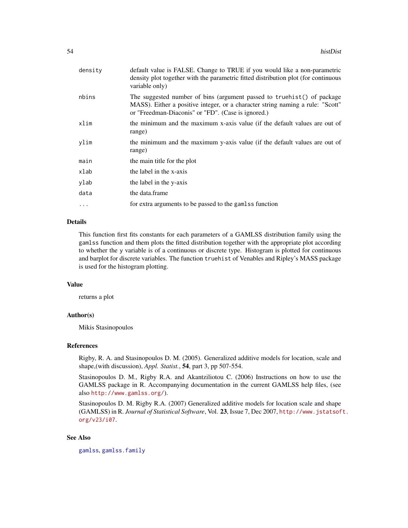| density    | default value is FALSE. Change to TRUE if you would like a non-parametric<br>density plot together with the parametric fitted distribution plot (for continuous<br>variable only)                              |
|------------|----------------------------------------------------------------------------------------------------------------------------------------------------------------------------------------------------------------|
| nbins      | The suggested number of bins (argument passed to truehist() of package<br>MASS). Either a positive integer, or a character string naming a rule: "Scott"<br>or "Freedman-Diaconis" or "FD". (Case is ignored.) |
| xlim       | the minimum and the maximum x-axis value (if the default values are out of<br>range)                                                                                                                           |
| ylim       | the minimum and the maximum y-axis value (if the default values are out of<br>range)                                                                                                                           |
| main       | the main title for the plot                                                                                                                                                                                    |
| xlab       | the label in the x-axis                                                                                                                                                                                        |
| ylab       | the label in the y-axis                                                                                                                                                                                        |
| data       | the data frame                                                                                                                                                                                                 |
| $\ddots$ . | for extra arguments to be passed to the gamlss function                                                                                                                                                        |

#### Details

This function first fits constants for each parameters of a GAMLSS distribution family using the gamlss function and them plots the fitted distribution together with the appropriate plot according to whether the y variable is of a continuous or discrete type. Histogram is plotted for continuous and barplot for discrete variables. The function truehist of Venables and Ripley's MASS package is used for the histogram plotting.

#### Value

returns a plot

## Author(s)

Mikis Stasinopoulos

#### References

Rigby, R. A. and Stasinopoulos D. M. (2005). Generalized additive models for location, scale and shape,(with discussion), *Appl. Statist.*, 54, part 3, pp 507-554.

Stasinopoulos D. M., Rigby R.A. and Akantziliotou C. (2006) Instructions on how to use the GAMLSS package in R. Accompanying documentation in the current GAMLSS help files, (see also <http://www.gamlss.org/>).

Stasinopoulos D. M. Rigby R.A. (2007) Generalized additive models for location scale and shape (GAMLSS) in R. *Journal of Statistical Software*, Vol. 23, Issue 7, Dec 2007, [http://www.jstatsof](http://www.jstatsoft.org/v23/i07)t. [org/v23/i07](http://www.jstatsoft.org/v23/i07).

#### See Also

[gamlss](#page-34-0), [gamlss.family](#page-0-0)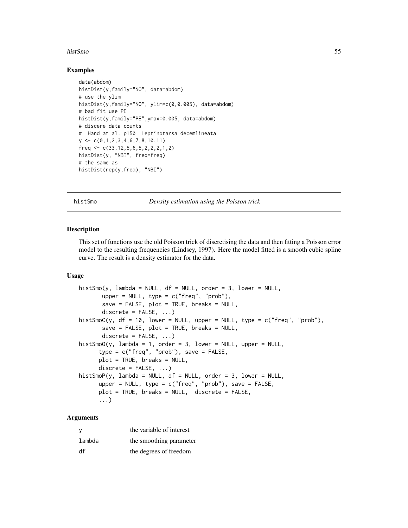#### histSmo 55

#### Examples

```
data(abdom)
histDist(y,family="NO", data=abdom)
# use the ylim
histDist(y,family="NO", ylim=c(0,0.005), data=abdom)
# bad fit use PE
histDist(y,family="PE",ymax=0.005, data=abdom)
# discere data counts
# Hand at al. p150 Leptinotarsa decemlineata
y \leq C(0,1,2,3,4,6,7,8,10,11)freq \leq c(33, 12, 5, 6, 5, 2, 2, 2, 1, 2)histDist(y, "NBI", freq=freq)
# the same as
histDist(rep(y,freq), "NBI")
```
histSmo *Density estimation using the Poisson trick*

#### Description

This set of functions use the old Poisson trick of discretising the data and then fitting a Poisson error model to the resulting frequencies (Lindsey, 1997). Here the model fitted is a smooth cubic spline curve. The result is a density estimator for the data.

#### Usage

```
histSmo(y, lambda = NULL, df = NULL, order = 3, lower = NULL,upper = NULL, type = c("freq", "prob"),
      save = FALSE, plot = TRUE, breaks = NULL,
      discrete = FALSE, ...)histSmoC(y, df = 10, lower = NULL, upper = NULL, type = c("freq", "prob"),
       save = FALSE, plot = TRUE, breaks = NULL,discrete = FALSE, ...)histSmO(y, lambda = 1, order = 3, lower = NULL, upper = NULL,type = c("freq", "prob"), save = FALSE,
     plot = TRUE, breaks = NULL,
     discrete = FALSE, ...)histSmoP(y, lambda = NULL, df = NULL, order = 3, lower = NULL,upper = NULL, type = c("freq", "prob"), save = FALSE,
     plot = TRUE, breaks = NULL, discrete = FALSE,
      ...)
```
#### Arguments

| у      | the variable of interest |
|--------|--------------------------|
| lambda | the smoothing parameter  |
| df     | the degrees of freedom   |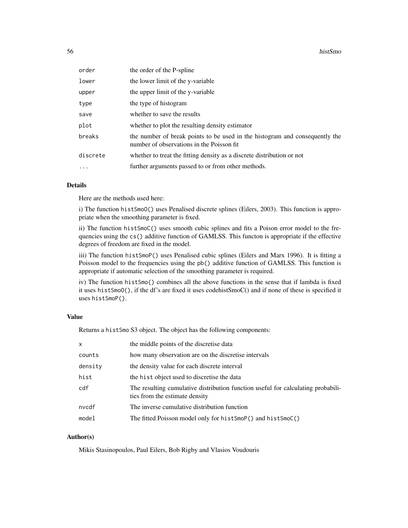| order    | the order of the P-spline                                                                                                |
|----------|--------------------------------------------------------------------------------------------------------------------------|
| lower    | the lower limit of the y-variable                                                                                        |
| upper    | the upper limit of the y-variable                                                                                        |
| type     | the type of histogram                                                                                                    |
| save     | whether to save the results                                                                                              |
| plot     | whether to plot the resulting density estimator                                                                          |
| breaks   | the number of break points to be used in the histogram and consequently the<br>number of observations in the Poisson fit |
| discrete | whether to treat the fitting density as a discrete distribution or not                                                   |
| $\ddots$ | further arguments passed to or from other methods.                                                                       |

## Details

Here are the methods used here:

i) The function histSmoO() uses Penalised discrete splines (Eilers, 2003). This function is appropriate when the smoothing parameter is fixed.

ii) The function histSmoC() uses smooth cubic splines and fits a Poison error model to the frequencies using the cs() additive function of GAMLSS. This functon is appropriate if the effective degrees of freedom are fixed in the model.

iii) The function histSmoP() uses Penalised cubic splines (Eilers and Marx 1996). It is fitting a Poisson model to the frequencies using the pb() additive function of GAMLSS. This function is appropriate if automatic selection of the smoothing parameter is required.

iv) The function histSmo() combines all the above functions in the sense that if lambda is fixed it uses histSmoO(), if the df's are fixed it uses codehistSmoC() and if none of these is specified it uses histSmoP().

#### Value

Returns a histSmo S3 object. The object has the following components:

| $\times$ | the middle points of the discretise data                                                                           |
|----------|--------------------------------------------------------------------------------------------------------------------|
| counts   | how many observation are on the discretise intervals                                                               |
| density  | the density value for each discrete interval                                                                       |
| hist     | the hist object used to discretise the data                                                                        |
| cdf      | The resulting cumulative distribution function useful for calculating probabili-<br>ties from the estimate density |
| nvcdf    | The inverse cumulative distribution function                                                                       |
| model    | The fitted Poisson model only for histSmoP() and histSmoC()                                                        |

## Author(s)

Mikis Stasinopoulos, Paul Eilers, Bob Rigby and Vlasios Voudouris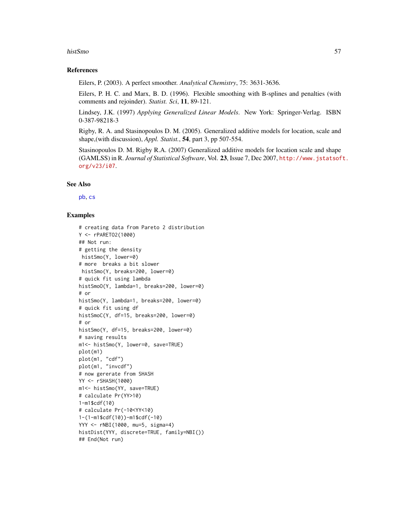#### histSmo 57

#### References

Eilers, P. (2003). A perfect smoother. *Analytical Chemistry*, 75: 3631-3636.

Eilers, P. H. C. and Marx, B. D. (1996). Flexible smoothing with B-splines and penalties (with comments and rejoinder). *Statist. Sci*, 11, 89-121.

Lindsey, J.K. (1997) *Applying Generalized Linear Models*. New York: Springer-Verlag. ISBN 0-387-98218-3

Rigby, R. A. and Stasinopoulos D. M. (2005). Generalized additive models for location, scale and shape,(with discussion), *Appl. Statist.*, 54, part 3, pp 507-554.

Stasinopoulos D. M. Rigby R.A. (2007) Generalized additive models for location scale and shape (GAMLSS) in R. *Journal of Statistical Software*, Vol. 23, Issue 7, Dec 2007, [http://www.jstatsof](http://www.jstatsoft.org/v23/i07)t. [org/v23/i07](http://www.jstatsoft.org/v23/i07).

#### See Also

[pb](#page-85-0), [cs](#page-19-0)

#### Examples

```
# creating data from Pareto 2 distribution
Y <- rPARETO2(1000)
## Not run:
# getting the density
histSmo(Y, lower=0)
# more breaks a bit slower
histSmo(Y, breaks=200, lower=0)
# quick fit using lambda
histSmoO(Y, lambda=1, breaks=200, lower=0)
# or
histSmo(Y, lambda=1, breaks=200, lower=0)
# quick fit using df
histSmoC(Y, df=15, breaks=200, lower=0)
# or
histSmo(Y, df=15, breaks=200, lower=0)
# saving results
m1<- histSmo(Y, lower=0, save=TRUE)
plot(m1)
plot(m1, "cdf")
plot(m1, "invcdf")
# now gererate from SHASH
YY <- rSHASH(1000)
m1<- histSmo(YY, save=TRUE)
# calculate Pr(YY>10)
1-m1$cdf(10)
# calculate Pr(-10<YY<10)
1-(1-m1$cdf(10))-m1$cdf(-10)
YYY <- rNBI(1000, mu=5, sigma=4)
histDist(YYY, discrete=TRUE, family=NBI())
## End(Not run)
```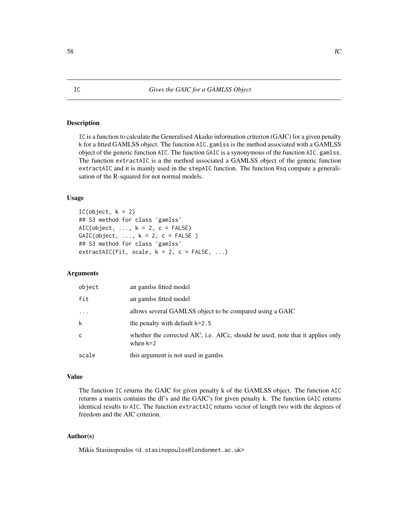#### Description

IC is a function to calculate the Generalised Akaike information criterion (GAIC) for a given penalty k for a fitted GAMLSS object. The function AIC.gamlss is the method associated with a GAMLSS object of the generic function AIC. The function GAIC is a synonymous of the function AIC.gamlss. The function extractAIC is a the method associated a GAMLSS object of the generic function extractAIC and it is mainly used in the stepAIC function. The function Rsq compute a generalisation of the R-squared for not normal models.

#### Usage

```
IC(object, k = 2)## S3 method for class 'gamlss'
AIC(object, \dots, k = 2, c = FALSE)
GAIC(object, ..., k = 2, c = FALSE)## S3 method for class 'gamlss'
extractAIC(fit, scale, k = 2, c = FALSE, ...)
```
## Arguments

| object  | an gamlss fitted model                                                                        |
|---------|-----------------------------------------------------------------------------------------------|
| fit     | an gamlss fitted model                                                                        |
| $\cdot$ | allows several GAMLSS object to be compared using a GAIC                                      |
| k       | the penalty with default k=2.5                                                                |
| C       | whether the corrected AIC, i.e. AICc, should be used, note that it applies only<br>when $k=2$ |
| scale   | this argument is not used in gamlss                                                           |

#### Value

The function IC returns the GAIC for given penalty k of the GAMLSS object. The function AIC returns a matrix contains the df's and the GAIC's for given penalty k. The function GAIC returns identical results to AIC. The function extractAIC returns vector of length two with the degrees of freedom and the AIC criterion.

#### Author(s)

Mikis Stasinopoulos <d.stasinopoulos@londonmet.ac.uk>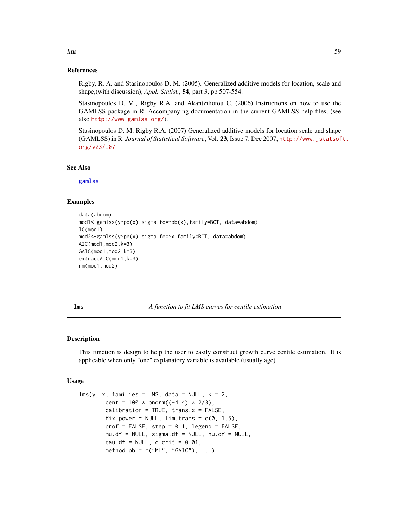#### References

Rigby, R. A. and Stasinopoulos D. M. (2005). Generalized additive models for location, scale and shape,(with discussion), *Appl. Statist.*, 54, part 3, pp 507-554.

Stasinopoulos D. M., Rigby R.A. and Akantziliotou C. (2006) Instructions on how to use the GAMLSS package in R. Accompanying documentation in the current GAMLSS help files, (see also <http://www.gamlss.org/>).

Stasinopoulos D. M. Rigby R.A. (2007) Generalized additive models for location scale and shape (GAMLSS) in R. *Journal of Statistical Software*, Vol. 23, Issue 7, Dec 2007, [http://www.jstatsof](http://www.jstatsoft.org/v23/i07)t. [org/v23/i07](http://www.jstatsoft.org/v23/i07).

#### See Also

[gamlss](#page-34-0)

## Examples

```
data(abdom)
mod1<-gamlss(y~pb(x),sigma.fo=~pb(x),family=BCT, data=abdom)
IC(mod1)
mod2<-gamlss(y~pb(x),sigma.fo=~x,family=BCT, data=abdom)
AIC(mod1,mod2,k=3)
GAIC(mod1,mod2,k=3)
extractAIC(mod1,k=3)
rm(mod1,mod2)
```
lms *A function to fit LMS curves for centile estimation*

#### Description

This function is design to help the user to easily construct growth curve centile estimation. It is applicable when only "one" explanatory variable is available (usually age).

## Usage

```
lms(y, x, families = LMS, data = NULL, k = 2,cent = 100 * pnorm((-4:4) * 2/3),
       calibration = TRUE, trans.x = FALSE,
       fix.power = NULL, \lim. trans = c(0, 1.5),
       prof = FALSE, step = 0.1, legend = FALSE,mu. df = NULL, sigma.df = NULL, nu. df = NULL,
       tau.df = NULL, c.crit = 0.01,
       method.pb = c("ML", "GAIC"), ...
```
lms 59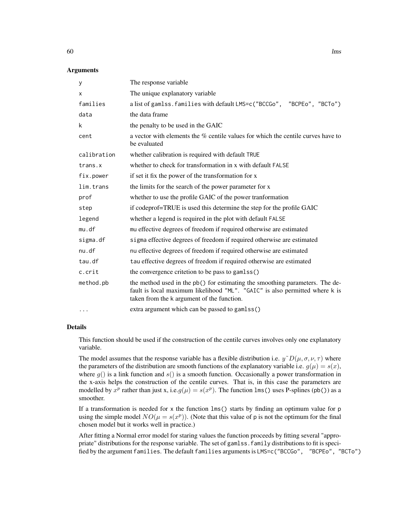## **Arguments**

| У           | The response variable                                                                                                                                                                                     |
|-------------|-----------------------------------------------------------------------------------------------------------------------------------------------------------------------------------------------------------|
| X           | The unique explanatory variable                                                                                                                                                                           |
| families    | a list of gamlss. families with default LMS=c("BCCGo", "BCPEo", "BCTo")                                                                                                                                   |
| data        | the data frame                                                                                                                                                                                            |
| k           | the penalty to be used in the GAIC                                                                                                                                                                        |
| cent        | a vector with elements the $\%$ centile values for which the centile curves have to<br>be evaluated                                                                                                       |
| calibration | whether calibration is required with default TRUE                                                                                                                                                         |
| trans.x     | whether to check for transformation in x with default FALSE                                                                                                                                               |
| fix.power   | if set it fix the power of the transformation for x                                                                                                                                                       |
| lim.trans   | the limits for the search of the power parameter for x                                                                                                                                                    |
| prof        | whether to use the profile GAIC of the power tranformation                                                                                                                                                |
| step        | if codeprof=TRUE is used this determine the step for the profile GAIC                                                                                                                                     |
| legend      | whether a legend is required in the plot with default FALSE                                                                                                                                               |
| mu.df       | mu effective degrees of freedom if required otherwise are estimated                                                                                                                                       |
| sigma.df    | sigma effective degrees of freedom if required otherwise are estimated                                                                                                                                    |
| nu.df       | nu effective degrees of freedom if required otherwise are estimated                                                                                                                                       |
| tau.df      | tau effective degrees of freedom if required otherwise are estimated                                                                                                                                      |
| c.crit      | the convergence critetion to be pass to gamlss()                                                                                                                                                          |
| method.pb   | the method used in the pb() for estimating the smoothing parameters. The de-<br>fault is local maximum likelihood "ML". "GAIC" is also permitted where k is<br>taken from the k argument of the function. |
| $\cdots$    | extra argument which can be passed to gamlss()                                                                                                                                                            |

#### Details

This function should be used if the construction of the centile curves involves only one explanatory variable.

The model assumes that the response variable has a flexible distribution i.e.  $y^{\sim}D(\mu, \sigma, \nu, \tau)$  where the parameters of the distribution are smooth functions of the explanatory variable i.e.  $g(\mu) = s(x)$ , where  $g()$  is a link function and  $s()$  is a smooth function. Occasionally a power transformation in the x-axis helps the construction of the centile curves. That is, in this case the parameters are modelled by  $x^p$  rather than just x, i.e. $g(\mu) = s(x^p)$ . The function lms() uses P-splines (pb()) as a smoother.

If a transformation is needed for  $x$  the function  $\text{Lms}(x)$  starts by finding an optimum value for p using the simple model  $NO(\mu = s(x^p))$ . (Note that this value of p is not the optimum for the final chosen model but it works well in practice.)

After fitting a Normal error model for staring values the function proceeds by fitting several "appropriate" distributions for the response variable. The set of gamlss.family distributions to fit is specified by the argument families. The default families arguments is LMS=c("BCCGo", "BCPEo", "BCTo")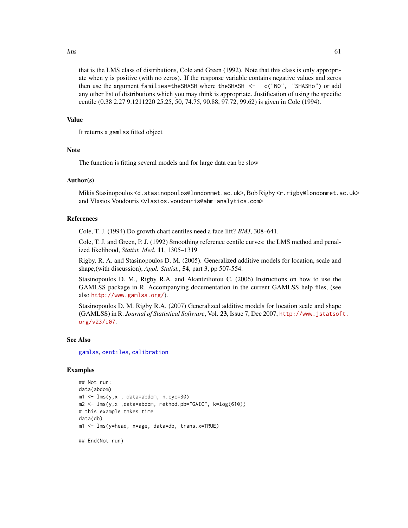#### $\ell$  lms 61

that is the LMS class of distributions, Cole and Green (1992). Note that this class is only appropriate when y is positive (with no zeros). If the response variable contains negative values and zeros then use the argument families=theSHASH where theSHASH <- c("NO", "SHASHo") or add any other list of distributions which you may think is appropriate. Justification of using the specific centile (0.38 2.27 9.1211220 25.25, 50, 74.75, 90.88, 97.72, 99.62) is given in Cole (1994).

#### Value

It returns a gamlss fitted object

## **Note**

The function is fitting several models and for large data can be slow

## Author(s)

Mikis Stasinopoulos <d.stasinopoulos@londonmet.ac.uk>, Bob Rigby <r.rigby@londonmet.ac.uk> and Vlasios Voudouris <vlasios.voudouris@abm-analytics.com>

## References

Cole, T. J. (1994) Do growth chart centiles need a face lift? *BMJ*, 308–641.

Cole, T. J. and Green, P. J. (1992) Smoothing reference centile curves: the LMS method and penalized likelihood, *Statist. Med.* 11, 1305–1319

Rigby, R. A. and Stasinopoulos D. M. (2005). Generalized additive models for location, scale and shape,(with discussion), *Appl. Statist.*, 54, part 3, pp 507-554.

Stasinopoulos D. M., Rigby R.A. and Akantziliotou C. (2006) Instructions on how to use the GAMLSS package in R. Accompanying documentation in the current GAMLSS help files, (see also <http://www.gamlss.org/>).

Stasinopoulos D. M. Rigby R.A. (2007) Generalized additive models for location scale and shape (GAMLSS) in R. *Journal of Statistical Software*, Vol. 23, Issue 7, Dec 2007, [http://www.jstatsof](http://www.jstatsoft.org/v23/i07)t. [org/v23/i07](http://www.jstatsoft.org/v23/i07).

## See Also

[gamlss](#page-34-0), [centiles](#page-9-0), [calibration](#page-8-0)

#### Examples

```
## Not run:
data(abdom)
ml \leq -\ln(s, x, data = abdom, n.cyc = 30)m2 <- lms(y,x ,data=abdom, method.pb="GAIC", k=log(610))
# this example takes time
data(db)
m1 <- lms(y=head, x=age, data=db, trans.x=TRUE)
```
## End(Not run)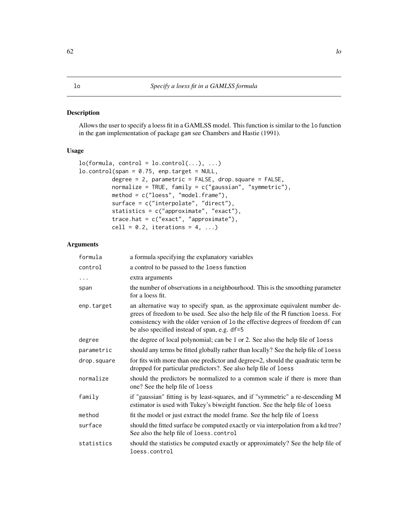#### <span id="page-61-0"></span>Description

Allows the user to specify a loess fit in a GAMLSS model. This function is similar to the lo function in the gam implementation of package gam see Chambers and Hastie (1991).

## Usage

```
lo(formula, control = lo.contrib(...), ...)lo.contrib(span = 0.75, enp.target = NULL,degree = 2, parametric = FALSE, drop.square = FALSE,
         normalize = TRUE, family = c("gaussian", "symmetric"),
         method = c("loess", "model.frame"),
         surface = c("interpolate", "direct"),
         statistics = c("approximate", "exact"),
         trace.hat = c("exact", "approximate"),
         cell = 0.2, iterations = 4, ...)
```
#### Arguments

| formula     | a formula specifying the explanatory variables                                                                                                                                                                                                                                                       |
|-------------|------------------------------------------------------------------------------------------------------------------------------------------------------------------------------------------------------------------------------------------------------------------------------------------------------|
| control     | a control to be passed to the loess function                                                                                                                                                                                                                                                         |
| $\ddots$ .  | extra arguments                                                                                                                                                                                                                                                                                      |
| span        | the number of observations in a neighbourhood. This is the smoothing parameter<br>for a loess fit.                                                                                                                                                                                                   |
| enp.target  | an alternative way to specify span, as the approximate equivalent number de-<br>grees of freedom to be used. See also the help file of the R function loess. For<br>consistency with the older version of 1o the effective degrees of freedom df can<br>be also specified instead of span, e.g. df=5 |
| degree      | the degree of local polynomial; can be 1 or 2. See also the help file of loess                                                                                                                                                                                                                       |
| parametric  | should any terms be fitted globally rather than locally? See the help file of loess                                                                                                                                                                                                                  |
| drop.square | for fits with more than one predictor and degree=2, should the quadratic term be<br>dropped for particular predictors?. See also help file of loess                                                                                                                                                  |
| normalize   | should the predictors be normalized to a common scale if there is more than<br>one? See the help file of loess                                                                                                                                                                                       |
| family      | if "gaussian" fitting is by least-squares, and if "symmetric" a re-descending M<br>estimator is used with Tukey's biweight function. See the help file of loess                                                                                                                                      |
| method      | fit the model or just extract the model frame. See the help file of loess                                                                                                                                                                                                                            |
| surface     | should the fitted surface be computed exactly or via interpolation from a kd tree?<br>See also the help file of loess.control                                                                                                                                                                        |
| statistics  | should the statistics be computed exactly or approximately? See the help file of<br>loess.control                                                                                                                                                                                                    |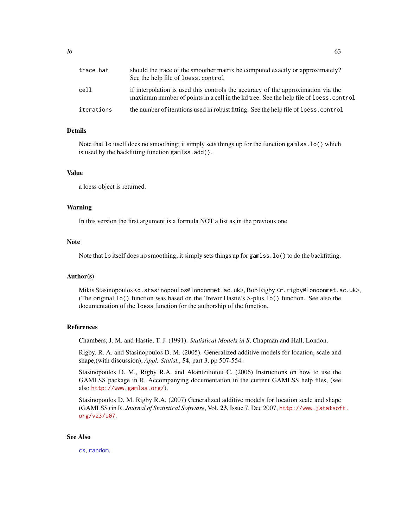| trace.hat  | should the trace of the smoother matrix be computed exactly or approximately?<br>See the help file of loess.control                                                       |
|------------|---------------------------------------------------------------------------------------------------------------------------------------------------------------------------|
| cell       | if interpolation is used this controls the accuracy of the approximation via the<br>maximum number of points in a cell in the kd tree. See the help file of loess.control |
| iterations | the number of iterations used in robust fitting. See the help file of loess.control                                                                                       |

#### Details

Note that lo itself does no smoothing; it simply sets things up for the function gamlss.lo() which is used by the backfitting function gamlss.add().

## Value

a loess object is returned.

#### Warning

In this version the first argument is a formula NOT a list as in the previous one

## Note

Note that lo itself does no smoothing; it simply sets things up for gamlss.lo() to do the backfitting.

#### Author(s)

Mikis Stasinopoulos <d.stasinopoulos@londonmet.ac.uk>, Bob Rigby <r.rigby@londonmet.ac.uk>, (The original lo() function was based on the Trevor Hastie's S-plus lo() function. See also the documentation of the loess function for the authorship of the function.

#### References

Chambers, J. M. and Hastie, T. J. (1991). *Statistical Models in S*, Chapman and Hall, London.

Rigby, R. A. and Stasinopoulos D. M. (2005). Generalized additive models for location, scale and shape,(with discussion), *Appl. Statist.*, 54, part 3, pp 507-554.

Stasinopoulos D. M., Rigby R.A. and Akantziliotou C. (2006) Instructions on how to use the GAMLSS package in R. Accompanying documentation in the current GAMLSS help files, (see also <http://www.gamlss.org/>).

Stasinopoulos D. M. Rigby R.A. (2007) Generalized additive models for location scale and shape (GAMLSS) in R. *Journal of Statistical Software*, Vol. 23, Issue 7, Dec 2007, [http://www.jstatsof](http://www.jstatsoft.org/v23/i07)t. [org/v23/i07](http://www.jstatsoft.org/v23/i07).

## See Also

[cs](#page-19-0), [random](#page-93-0),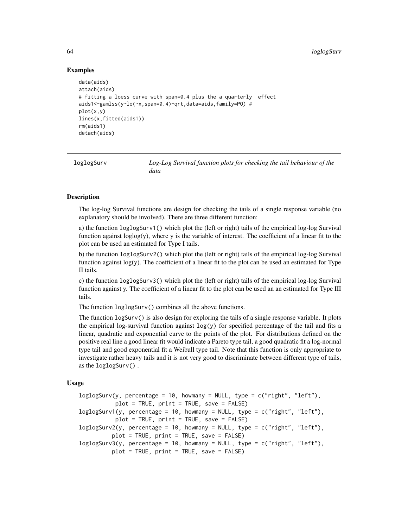## Examples

```
data(aids)
attach(aids)
# fitting a loess curve with span=0.4 plus the a quarterly effect
aids1<-gamlss(y~lo(~x,span=0.4)+qrt,data=aids,family=PO) #
plot(x,y)
lines(x,fitted(aids1))
rm(aids1)
detach(aids)
```
loglogSurv *Log-Log Survival function plots for checking the tail behaviour of the data*

## **Description**

The log-log Survival functions are design for checking the tails of a single response variable (no explanatory should be involved). There are three different function:

a) the function loglogSurv1() which plot the (left or right) tails of the empirical log-log Survival function against  $log(y)$ , where y is the variable of interest. The coefficient of a linear fit to the plot can be used an estimated for Type I tails.

b) the function loglogSurv2() which plot the (left or right) tails of the empirical log-log Survival function against  $log(y)$ . The coefficient of a linear fit to the plot can be used an estimated for Type II tails.

c) the function loglogSurv3() which plot the (left or right) tails of the empirical log-log Survival function against y. The coefficient of a linear fit to the plot can be used an an estimated for Type III tails.

The function loglogSurv() combines all the above functions.

The function logSurv() is also design for exploring the tails of a single response variable. It plots the empirical log-survival function against  $log(y)$  for specified percentage of the tail and fits a linear, quadratic and exponential curve to the points of the plot. For distributions defined on the positive real line a good linear fit would indicate a Pareto type tail, a good quadratic fit a log-normal type tail and good exponential fit a Weibull type tail. Note that this function is only appropriate to investigate rather heavy tails and it is not very good to discriminate between different type of tails, as the loglogSurv() .

#### Usage

```
loglogSurv(y, percentage = 10, howmany = NULL, type = c("right", "left"),
          plot = TRUE, print = TRUE, save = FALSE)
loglogSurv1(y, percentage = 10, howmany = NULL, type = c("right", "left"),plot = TRUE, print = TRUE, save = FALSE)
loglogSurv2(y, percentage = 10, howmany = NULL, type = c("right", "left"),plot = TRUE, print = TRUE, save = FALSE)
loglogSurv3(y, percentage = 10, howmany = NULL, type = c("right", "left"),
         plot = TRUE, print = TRUE, save = FALSE)
```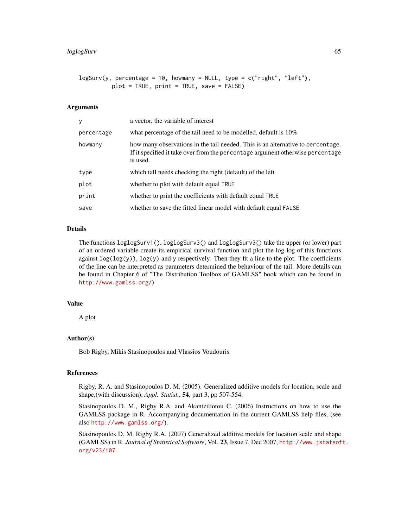```
logSurv(y, percentage = 10, howmany = NULL, type = c("right", "left"),plot = TRUE, print = TRUE, save = FALSE)
```
#### Arguments

| y          | a vector, the variable of interest                                                                                                                                            |
|------------|-------------------------------------------------------------------------------------------------------------------------------------------------------------------------------|
| percentage | what percentage of the tail need to be modelled, default is $10\%$                                                                                                            |
| howmany    | how many observations in the tail needed. This is an alternative to percentage.<br>If it specified it take over from the percentage argument otherwise percentage<br>is used. |
| type       | which tall needs checking the right (default) of the left                                                                                                                     |
| plot       | whether to plot with default equal TRUE                                                                                                                                       |
| print      | whether to print the coefficients with default equal TRUE                                                                                                                     |
| save       | whether to save the fitted linear model with default equal FALSE                                                                                                              |

#### Details

The functions loglogSurv1(), loglogSurv3() and loglogSurv3() take the upper (or lower) part of an ordered variable create its empirical survival function and plot the log-log of this functions against  $\log(\log(y))$ ,  $\log(y)$  and y respectively. Then they fit a line to the plot. The coefficients of the line can be interpreted as parameters determined the behaviour of the tail. More details can be found in Chapter 6 of "The Distribution Toolbox of GAMLSS" book which can be found in <http://www.gamlss.org/>)

#### Value

A plot

## Author(s)

Bob Rigby, Mikis Stasinopoulos and Vlassios Voudouris

#### References

Rigby, R. A. and Stasinopoulos D. M. (2005). Generalized additive models for location, scale and shape,(with discussion), *Appl. Statist.*, 54, part 3, pp 507-554.

Stasinopoulos D. M., Rigby R.A. and Akantziliotou C. (2006) Instructions on how to use the GAMLSS package in R. Accompanying documentation in the current GAMLSS help files, (see also <http://www.gamlss.org/>).

Stasinopoulos D. M. Rigby R.A. (2007) Generalized additive models for location scale and shape (GAMLSS) in R. *Journal of Statistical Software*, Vol. 23, Issue 7, Dec 2007, [http://www.jstatsof](http://www.jstatsoft.org/v23/i07)t. [org/v23/i07](http://www.jstatsoft.org/v23/i07).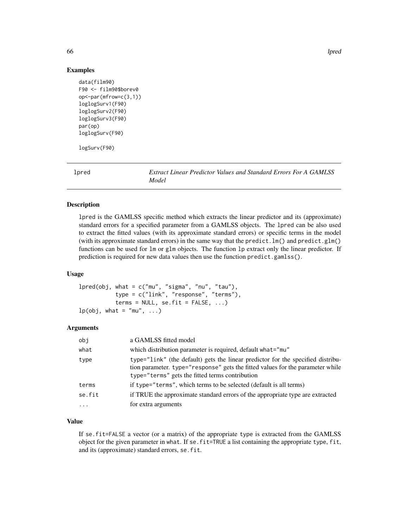66 lpred

#### Examples

```
data(film90)
F90 <- film90$borev0
op<-par(mfrow=c(3,1))
loglogSurv1(F90)
loglogSurv2(F90)
loglogSurv3(F90)
par(op)
loglogSurv(F90)
```
logSurv(F90)

lpred *Extract Linear Predictor Values and Standard Errors For A GAMLSS Model*

## Description

lpred is the GAMLSS specific method which extracts the linear predictor and its (approximate) standard errors for a specified parameter from a GAMLSS objects. The lpred can be also used to extract the fitted values (with its approximate standard errors) or specific terms in the model (with its approximate standard errors) in the same way that the predict.  $lm()$  and predict.glm() functions can be used for lm or glm objects. The function lp extract only the linear predictor. If prediction is required for new data values then use the function predict.gamlss().

## Usage

```
lpred(obj, what = c("mu", "sigma", "nu", "tau", "tau")type = c("link", "response", "terms"),
           terms = NULL, se.fit = FALSE, ...)lp(obj, what = "mu", ...)
```
#### Arguments

| obi     | a GAMLSS fitted model                                                                                                                                                                                                |
|---------|----------------------------------------------------------------------------------------------------------------------------------------------------------------------------------------------------------------------|
| what    | which distribution parameter is required, default what="mu"                                                                                                                                                          |
| type    | type="link" (the default) gets the linear predictor for the specified distribu-<br>tion parameter. type="response" gets the fitted values for the parameter while<br>type="terms" gets the fitted terms contribution |
| terms   | if type="terms", which terms to be selected (default is all terms)                                                                                                                                                   |
| se.fit  | if TRUE the approximate standard errors of the appropriate type are extracted                                                                                                                                        |
| $\cdot$ | for extra arguments                                                                                                                                                                                                  |

## Value

If se.fit=FALSE a vector (or a matrix) of the appropriate type is extracted from the GAMLSS object for the given parameter in what. If se.fit=TRUE a list containing the appropriate type, fit, and its (approximate) standard errors, se.fit.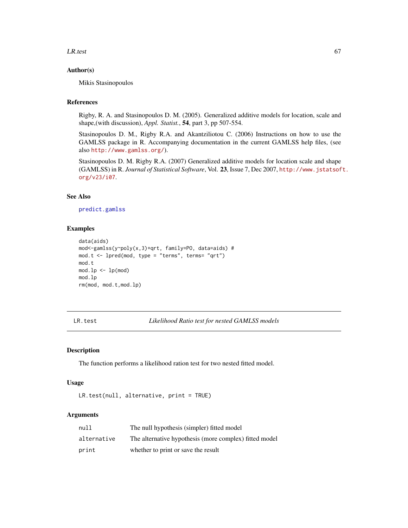#### $LR.test$  67

#### Author(s)

Mikis Stasinopoulos

## References

Rigby, R. A. and Stasinopoulos D. M. (2005). Generalized additive models for location, scale and shape,(with discussion), *Appl. Statist.*, 54, part 3, pp 507-554.

Stasinopoulos D. M., Rigby R.A. and Akantziliotou C. (2006) Instructions on how to use the GAMLSS package in R. Accompanying documentation in the current GAMLSS help files, (see also <http://www.gamlss.org/>).

Stasinopoulos D. M. Rigby R.A. (2007) Generalized additive models for location scale and shape (GAMLSS) in R. *Journal of Statistical Software*, Vol. 23, Issue 7, Dec 2007, [http://www.jstatsof](http://www.jstatsoft.org/v23/i07)t. [org/v23/i07](http://www.jstatsoft.org/v23/i07).

## See Also

[predict.gamlss](#page-77-0)

#### Examples

```
data(aids)
mod<-gamlss(y~poly(x,3)+qrt, family=PO, data=aids) #
mod.t < - lpred(mod, type = "terms", terms = "qrt")mod.t
mod.lp \leftarrow lp(mod)mod.lp
rm(mod, mod.t,mod.lp)
```
LR.test *Likelihood Ratio test for nested GAMLSS models*

#### Description

The function performs a likelihood ration test for two nested fitted model.

#### Usage

```
LR.test(null, alternative, print = TRUE)
```
#### Arguments

| null        | The null hypothesis (simpler) fitted model             |
|-------------|--------------------------------------------------------|
| alternative | The alternative hypothesis (more complex) fitted model |
| print       | whether to print or save the result                    |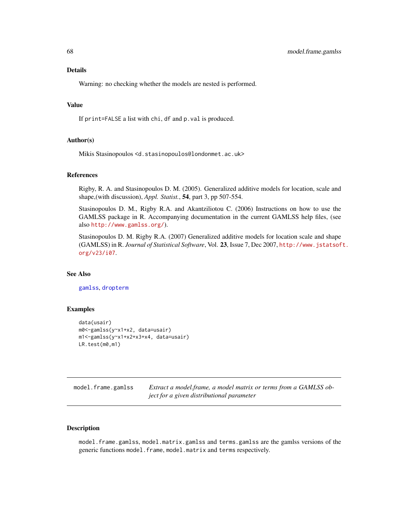Details

Warning: no checking whether the models are nested is performed.

#### Value

If print=FALSE a list with chi, df and p.val is produced.

#### Author(s)

Mikis Stasinopoulos <d.stasinopoulos@londonmet.ac.uk>

## References

Rigby, R. A. and Stasinopoulos D. M. (2005). Generalized additive models for location, scale and shape,(with discussion), *Appl. Statist.*, 54, part 3, pp 507-554.

Stasinopoulos D. M., Rigby R.A. and Akantziliotou C. (2006) Instructions on how to use the GAMLSS package in R. Accompanying documentation in the current GAMLSS help files, (see also <http://www.gamlss.org/>).

Stasinopoulos D. M. Rigby R.A. (2007) Generalized additive models for location scale and shape (GAMLSS) in R. *Journal of Statistical Software*, Vol. 23, Issue 7, Dec 2007, [http://www.jstatsof](http://www.jstatsoft.org/v23/i07)t. [org/v23/i07](http://www.jstatsoft.org/v23/i07).

#### See Also

[gamlss](#page-34-0), [dropterm](#page-0-0)

#### Examples

```
data(usair)
m0<-gamlss(y~x1+x2, data=usair)
m1<-gamlss(y~x1+x2+x3+x4, data=usair)
LR.test(m0,m1)
```

| model.frame.gamlss | Extract a model frame, a model matrix or terms from a GAMLSS ob- |
|--------------------|------------------------------------------------------------------|
|                    | ject for a given distributional parameter                        |

## Description

model.frame.gamlss, model.matrix.gamlss and terms.gamlss are the gamlss versions of the generic functions model.frame, model.matrix and terms respectively.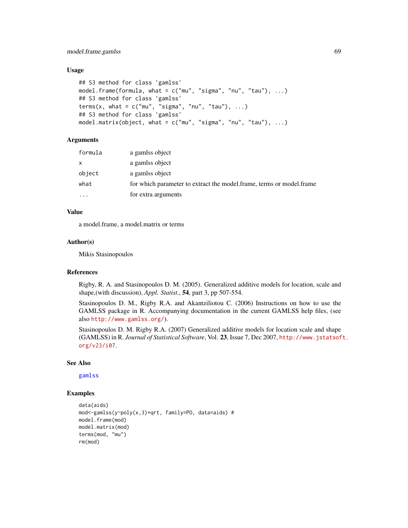## Usage

```
## S3 method for class 'gamlss'
model.frame(formula, what = c("mu", "sigma", "nu", "tau"), ...)
## S3 method for class 'gamlss'
terms(x, what = c("mu", "sigma", "nu", "tau"), ...)
## S3 method for class 'gamlss'
model.matrix(object, what = c("mu", "sigma", "nu", "tau"), ...)
```
## **Arguments**

| formula  | a gamlss object                                                      |
|----------|----------------------------------------------------------------------|
| $\times$ | a gamlss object                                                      |
| object   | a gamlss object                                                      |
| what     | for which parameter to extract the model.frame, terms or model.frame |
| .        | for extra arguments                                                  |
|          |                                                                      |

## Value

a model.frame, a model.matrix or terms

#### Author(s)

Mikis Stasinopoulos

## References

Rigby, R. A. and Stasinopoulos D. M. (2005). Generalized additive models for location, scale and shape,(with discussion), *Appl. Statist.*, 54, part 3, pp 507-554.

Stasinopoulos D. M., Rigby R.A. and Akantziliotou C. (2006) Instructions on how to use the GAMLSS package in R. Accompanying documentation in the current GAMLSS help files, (see also <http://www.gamlss.org/>).

Stasinopoulos D. M. Rigby R.A. (2007) Generalized additive models for location scale and shape (GAMLSS) in R. *Journal of Statistical Software*, Vol. 23, Issue 7, Dec 2007, [http://www.jstatsof](http://www.jstatsoft.org/v23/i07)t. [org/v23/i07](http://www.jstatsoft.org/v23/i07).

## See Also

[gamlss](#page-34-0)

## Examples

```
data(aids)
mod<-gamlss(y~poly(x,3)+qrt, family=PO, data=aids) #
model.frame(mod)
model.matrix(mod)
terms(mod, "mu")
rm(mod)
```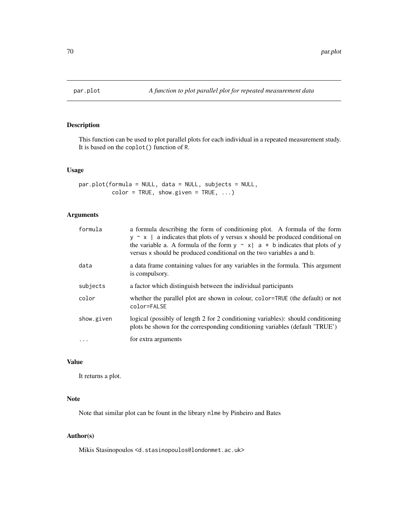## Description

This function can be used to plot parallel plots for each individual in a repeated measurement study. It is based on the coplot() function of R.

## Usage

```
par.plot(formula = NULL, data = NULL, subjects = NULL,
         color = TRUE, show.given = TRUE, ...)
```
## Arguments

| formula    | a formula describing the form of conditioning plot. A formula of the form<br>$y \sim x$   a indicates that plots of y versus x should be produced conditional on<br>the variable a. A formula of the form $y \sim x   a \star b$ indicates that plots of y<br>versus x should be produced conditional on the two variables a and b. |
|------------|-------------------------------------------------------------------------------------------------------------------------------------------------------------------------------------------------------------------------------------------------------------------------------------------------------------------------------------|
| data       | a data frame containing values for any variables in the formula. This argument<br>is compulsory.                                                                                                                                                                                                                                    |
| subjects   | a factor which distinguish between the individual participants                                                                                                                                                                                                                                                                      |
| color      | whether the parallel plot are shown in colour, color=TRUE (the default) or not<br>color=FALSE                                                                                                                                                                                                                                       |
| show.given | logical (possibly of length 2 for 2 conditioning variables): should conditioning<br>plots be shown for the corresponding conditioning variables (default 'TRUE')                                                                                                                                                                    |
| .          | for extra arguments                                                                                                                                                                                                                                                                                                                 |

## Value

It returns a plot.

## Note

Note that similar plot can be fount in the library nlme by Pinheiro and Bates

## Author(s)

Mikis Stasinopoulos <d.stasinopoulos@londonmet.ac.uk>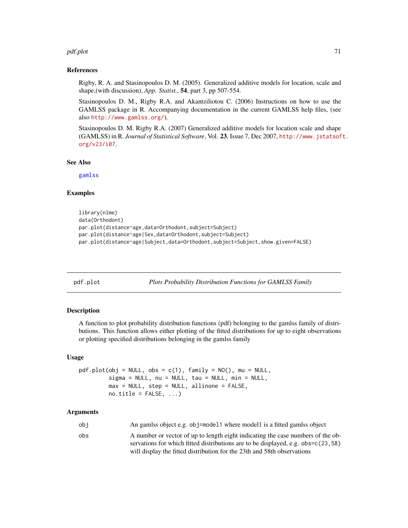#### pdf.plot 71

#### References

Rigby, R. A. and Stasinopoulos D. M. (2005). Generalized additive models for location, scale and shape,(with discussion), *App. Statist.*, 54, part 3, pp 507-554.

Stasinopoulos D. M., Rigby R.A. and Akantziliotou C. (2006) Instructions on how to use the GAMLSS package in R. Accompanying documentation in the current GAMLSS help files, (see also <http://www.gamlss.org/>).

Stasinopoulos D. M. Rigby R.A. (2007) Generalized additive models for location scale and shape (GAMLSS) in R. *Journal of Statistical Software*, Vol. 23, Issue 7, Dec 2007, [http://www.jstatsof](http://www.jstatsoft.org/v23/i07)t. [org/v23/i07](http://www.jstatsoft.org/v23/i07).

See Also

[gamlss](#page-34-0)

#### Examples

```
library(nlme)
data(Orthodont)
par.plot(distance~age,data=Orthodont,subject=Subject)
par.plot(distance~age|Sex,data=Orthodont,subject=Subject)
par.plot(distance~age|Subject,data=Orthodont,subject=Subject,show.given=FALSE)
```
<span id="page-70-0"></span>pdf.plot *Plots Probability Distribution Functions for GAMLSS Family*

#### Description

A function to plot probability distribution functions (pdf) belonging to the gamlss family of distributions. This function allows either plotting of the fitted distributions for up to eight observations or plotting specified distributions belonging in the gamlss family

#### Usage

```
pdf.plot(obj = NULL, obs = c(1), family = NO(), mu = NULL,sigma = NULL, nu = NULL, tau = NULL, tau = NULL, min = NULL,
         max = NULL, step = NULL, allinone = FALSE,
         no.title = FALSE, ...)
```
### Arguments

| obi | An gamlss object e.g. obj=model1 where model1 is a fitted gamlss object          |
|-----|----------------------------------------------------------------------------------|
| obs | A number or vector of up to length eight indicating the case numbers of the ob-  |
|     | servations for which fitted distributions are to be displayed, e.g. obs=c(23,58) |
|     | will display the fitted distribution for the 23th and 58th observations          |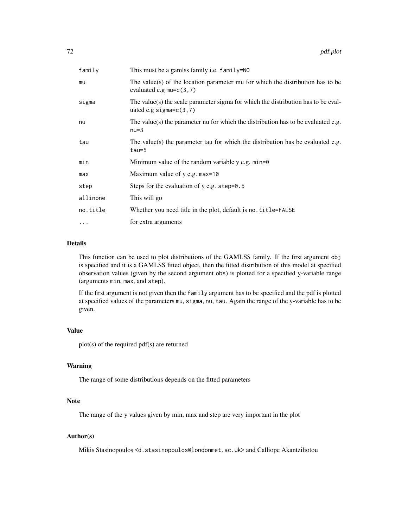| family     | This must be a gamlss family <i>i.e.</i> family=NO                                                             |
|------------|----------------------------------------------------------------------------------------------------------------|
| mu         | The value(s) of the location parameter mu for which the distribution has to be<br>evaluated e.g $mu=c(3,7)$    |
| sigma      | The value(s) the scale parameter sigma for which the distribution has to be eval-<br>uated e.g sigma= $c(3,7)$ |
| nu         | The value(s) the parameter nu for which the distribution has to be evaluated e.g.<br>$nu=3$                    |
| tau        | The value(s) the parameter tau for which the distribution has be evaluated e.g.<br>$tau=5$                     |
| min        | Minimum value of the random variable $y$ e.g. $min=0$                                                          |
| max        | Maximum value of y e.g. max=10                                                                                 |
| step       | Steps for the evaluation of $y$ e.g. step=0.5                                                                  |
| allinone   | This will go                                                                                                   |
| no.title   | Whether you need title in the plot, default is no. title=FALSE                                                 |
| $\ddots$ . | for extra arguments                                                                                            |

## Details

This function can be used to plot distributions of the GAMLSS family. If the first argument obj is specified and it is a GAMLSS fitted object, then the fitted distribution of this model at specified observation values (given by the second argument obs) is plotted for a specified y-variable range (arguments min, max, and step).

If the first argument is not given then the family argument has to be specified and the pdf is plotted at specified values of the parameters mu, sigma, nu, tau. Again the range of the y-variable has to be given.

## Value

plot(s) of the required pdf(s) are returned

#### Warning

The range of some distributions depends on the fitted parameters

## Note

The range of the y values given by min, max and step are very important in the plot

## Author(s)

Mikis Stasinopoulos <d.stasinopoulos@londonmet.ac.uk> and Calliope Akantziliotou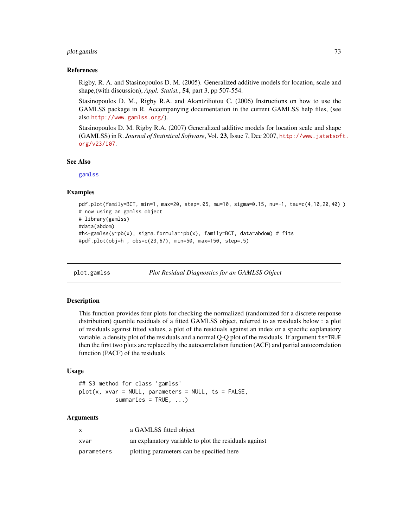# plot.gamlss 73

#### References

Rigby, R. A. and Stasinopoulos D. M. (2005). Generalized additive models for location, scale and shape,(with discussion), *Appl. Statist.*, 54, part 3, pp 507-554.

Stasinopoulos D. M., Rigby R.A. and Akantziliotou C. (2006) Instructions on how to use the GAMLSS package in R. Accompanying documentation in the current GAMLSS help files, (see also <http://www.gamlss.org/>).

Stasinopoulos D. M. Rigby R.A. (2007) Generalized additive models for location scale and shape (GAMLSS) in R. *Journal of Statistical Software*, Vol. 23, Issue 7, Dec 2007, [http://www.jstatsof](http://www.jstatsoft.org/v23/i07)t. [org/v23/i07](http://www.jstatsoft.org/v23/i07).

#### See Also

[gamlss](#page-34-0)

## Examples

```
pdf.plot(family=BCT, min=1, max=20, step=.05, mu=10, sigma=0.15, nu=-1, tau=c(4,10,20,40) )
# now using an gamlss object
# library(gamlss)
#data(abdom)
#h<-gamlss(y~pb(x), sigma.formula=~pb(x), family=BCT, data=abdom) # fits
#pdf.plot(obj=h , obs=c(23,67), min=50, max=150, step=.5)
```
<span id="page-72-0"></span>

plot.gamlss *Plot Residual Diagnostics for an GAMLSS Object*

## Description

This function provides four plots for checking the normalized (randomized for a discrete response distribution) quantile residuals of a fitted GAMLSS object, referred to as residuals below : a plot of residuals against fitted values, a plot of the residuals against an index or a specific explanatory variable, a density plot of the residuals and a normal Q-Q plot of the residuals. If argument ts=TRUE then the first two plots are replaced by the autocorrelation function (ACF) and partial autocorrelation function (PACF) of the residuals

#### Usage

```
## S3 method for class 'gamlss'
plot(x, xvar = NULL, parameters = NULL, ts = FALSE,summaries = TRUE, ...)
```
# Arguments

| X          | a GAMLSS fitted object                                |
|------------|-------------------------------------------------------|
| xvar       | an explanatory variable to plot the residuals against |
| parameters | plotting parameters can be specified here             |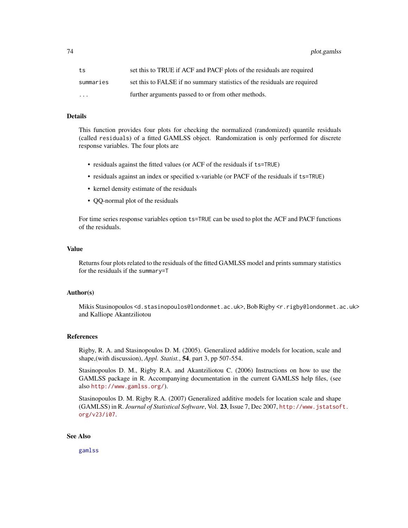74 plot.gamlss

| ts                      | set this to TRUE if ACF and PACF plots of the residuals are required     |
|-------------------------|--------------------------------------------------------------------------|
| summaries               | set this to FALSE if no summary statistics of the residuals are required |
| $\cdot$ $\cdot$ $\cdot$ | further arguments passed to or from other methods.                       |

## Details

This function provides four plots for checking the normalized (randomized) quantile residuals (called residuals) of a fitted GAMLSS object. Randomization is only performed for discrete response variables. The four plots are

- residuals against the fitted values (or ACF of the residuals if ts=TRUE)
- residuals against an index or specified x-variable (or PACF of the residuals if ts=TRUE)
- kernel density estimate of the residuals
- QQ-normal plot of the residuals

For time series response variables option ts=TRUE can be used to plot the ACF and PACF functions of the residuals.

## Value

Returns four plots related to the residuals of the fitted GAMLSS model and prints summary statistics for the residuals if the summary=T

# Author(s)

Mikis Stasinopoulos <d.stasinopoulos@londonmet.ac.uk>, Bob Rigby <r.rigby@londonmet.ac.uk> and Kalliope Akantziliotou

#### References

Rigby, R. A. and Stasinopoulos D. M. (2005). Generalized additive models for location, scale and shape,(with discussion), *Appl. Statist.*, 54, part 3, pp 507-554.

Stasinopoulos D. M., Rigby R.A. and Akantziliotou C. (2006) Instructions on how to use the GAMLSS package in R. Accompanying documentation in the current GAMLSS help files, (see also <http://www.gamlss.org/>).

Stasinopoulos D. M. Rigby R.A. (2007) Generalized additive models for location scale and shape (GAMLSS) in R. *Journal of Statistical Software*, Vol. 23, Issue 7, Dec 2007, [http://www.jstatsof](http://www.jstatsoft.org/v23/i07)t. [org/v23/i07](http://www.jstatsoft.org/v23/i07).

#### See Also

[gamlss](#page-34-0)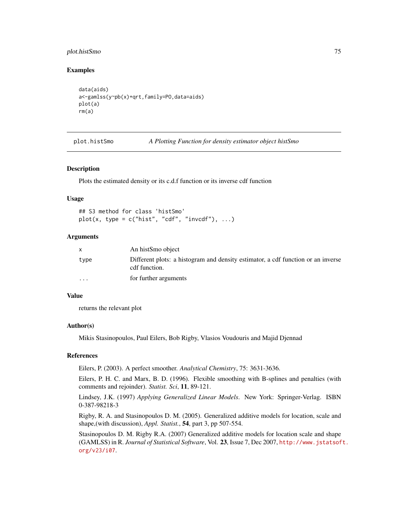# plot.histSmo 75

## Examples

```
data(aids)
a<-gamlss(y~pb(x)+qrt,family=PO,data=aids)
plot(a)
rm(a)
```

| plot.histSmo |  | A Plotting Function for density estimator object histSmo |  |
|--------------|--|----------------------------------------------------------|--|
|              |  |                                                          |  |

#### Description

Plots the estimated density or its c.d.f function or its inverse cdf function

#### Usage

```
## S3 method for class 'histSmo'
plot(x, type = c("hist", "cdf", "invcdf"), ...)
```
## Arguments

| X        | An histSmo object                                                                                 |
|----------|---------------------------------------------------------------------------------------------------|
| type     | Different plots: a histogram and density estimator, a cdf function or an inverse<br>cdf function. |
| $\cdots$ | for further arguments                                                                             |

#### Value

returns the relevant plot

# Author(s)

Mikis Stasinopoulos, Paul Eilers, Bob Rigby, Vlasios Voudouris and Majid Djennad

# References

Eilers, P. (2003). A perfect smoother. *Analytical Chemistry*, 75: 3631-3636.

Eilers, P. H. C. and Marx, B. D. (1996). Flexible smoothing with B-splines and penalties (with comments and rejoinder). *Statist. Sci*, 11, 89-121.

Lindsey, J.K. (1997) *Applying Generalized Linear Models*. New York: Springer-Verlag. ISBN 0-387-98218-3

Rigby, R. A. and Stasinopoulos D. M. (2005). Generalized additive models for location, scale and shape,(with discussion), *Appl. Statist.*, 54, part 3, pp 507-554.

Stasinopoulos D. M. Rigby R.A. (2007) Generalized additive models for location scale and shape (GAMLSS) in R. *Journal of Statistical Software*, Vol. 23, Issue 7, Dec 2007, [http://www.jstatsof](http://www.jstatsoft.org/v23/i07)t. [org/v23/i07](http://www.jstatsoft.org/v23/i07).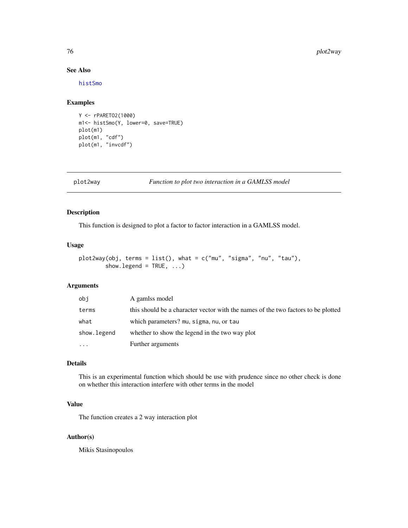# See Also

[histSmo](#page-54-0)

# Examples

```
Y <- rPARETO2(1000)
m1<- histSmo(Y, lower=0, save=TRUE)
plot(m1)
plot(m1, "cdf")
plot(m1, "invcdf")
```
plot2way *Function to plot two interaction in a GAMLSS model*

# Description

This function is designed to plot a factor to factor interaction in a GAMLSS model.

# Usage

```
plot2way(obj, terms = list(), what = c("mu", "sigma", "nu", "tau"),
        show.legend = TRUE, ...)
```
# Arguments

| obi         | A gamlss model                                                                    |
|-------------|-----------------------------------------------------------------------------------|
| terms       | this should be a character vector with the names of the two factors to be plotted |
| what        | which parameters? mu, sigma, nu, or tau                                           |
| show.legend | whether to show the legend in the two way plot                                    |
| $\cdots$    | Further arguments                                                                 |

# Details

This is an experimental function which should be use with prudence since no other check is done on whether this interaction interfere with other terms in the model

# Value

The function creates a 2 way interaction plot

# Author(s)

Mikis Stasinopoulos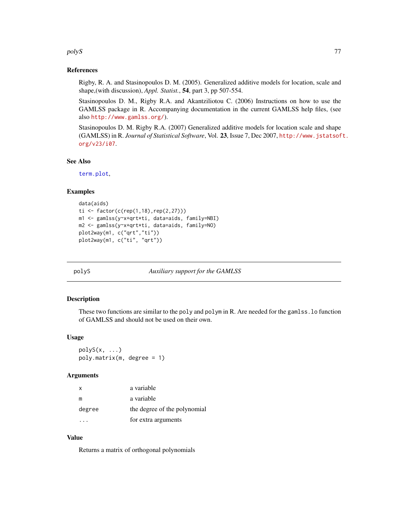#### polyS and the contract of the contract of the contract of the contract of the contract of the contract of the contract of the contract of the contract of the contract of the contract of the contract of the contract of the

## References

Rigby, R. A. and Stasinopoulos D. M. (2005). Generalized additive models for location, scale and shape,(with discussion), *Appl. Statist.*, 54, part 3, pp 507-554.

Stasinopoulos D. M., Rigby R.A. and Akantziliotou C. (2006) Instructions on how to use the GAMLSS package in R. Accompanying documentation in the current GAMLSS help files, (see also <http://www.gamlss.org/>).

Stasinopoulos D. M. Rigby R.A. (2007) Generalized additive models for location scale and shape (GAMLSS) in R. *Journal of Statistical Software*, Vol. 23, Issue 7, Dec 2007, [http://www.jstatsof](http://www.jstatsoft.org/v23/i07)t. [org/v23/i07](http://www.jstatsoft.org/v23/i07).

# See Also

[term.plot](#page-113-0),

## Examples

```
data(aids)
ti <- factor(c(rep(1,18),rep(2,27)))
m1 <- gamlss(y~x+qrt*ti, data=aids, family=NBI)
m2 <- gamlss(y~x+qrt*ti, data=aids, family=NO)
plot2way(m1, c("qrt","ti"))
plot2way(m1, c("ti", "qrt"))
```
polyS *Auxiliary support for the GAMLSS*

## Description

These two functions are similar to the poly and polym in R. Are needed for the gamlss.lo function of GAMLSS and should not be used on their own.

#### Usage

 $polyS(x, \ldots)$ poly.matrix(m, degree = 1)

#### Arguments

| $\mathsf{x}$ | a variable                   |
|--------------|------------------------------|
| m            | a variable                   |
| degree       | the degree of the polynomial |
|              | for extra arguments          |

# Value

Returns a matrix of orthogonal polynomials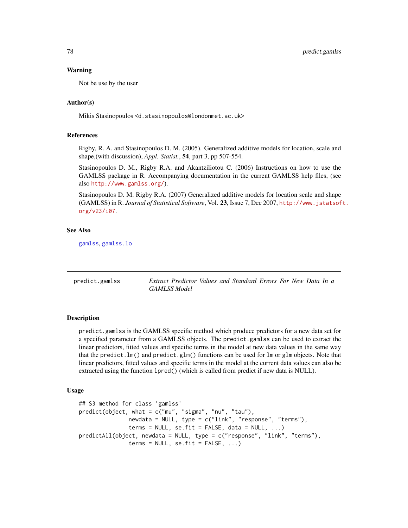## Warning

Not be use by the user

## Author(s)

Mikis Stasinopoulos <d.stasinopoulos@londonmet.ac.uk>

## References

Rigby, R. A. and Stasinopoulos D. M. (2005). Generalized additive models for location, scale and shape,(with discussion), *Appl. Statist.*, 54, part 3, pp 507-554.

Stasinopoulos D. M., Rigby R.A. and Akantziliotou C. (2006) Instructions on how to use the GAMLSS package in R. Accompanying documentation in the current GAMLSS help files, (see also <http://www.gamlss.org/>).

Stasinopoulos D. M. Rigby R.A. (2007) Generalized additive models for location scale and shape (GAMLSS) in R. *Journal of Statistical Software*, Vol. 23, Issue 7, Dec 2007, [http://www.jstatsof](http://www.jstatsoft.org/v23/i07)t. [org/v23/i07](http://www.jstatsoft.org/v23/i07).

#### See Also

[gamlss](#page-34-0), [gamlss.lo](#page-42-0)

predict.gamlss *Extract Predictor Values and Standard Errors For New Data In a GAMLSS Model*

# Description

predict.gamlss is the GAMLSS specific method which produce predictors for a new data set for a specified parameter from a GAMLSS objects. The predict.gamlss can be used to extract the linear predictors, fitted values and specific terms in the model at new data values in the same way that the predict.  $lm()$  and predict.  $glm()$  functions can be used for  $lm$  or glm objects. Note that linear predictors, fitted values and specific terms in the model at the current data values can also be extracted using the function lpred() (which is called from predict if new data is NULL).

#### Usage

```
## S3 method for class 'gamlss'
predict(object, what = c("mu", "sigma", "nu", "tau"),
               newdata = NULL, type = c("link", "response", "terms"),terms = NULL, se.fit = FALSE, data = NULL, ...)predictAll(object, newdata = NULL, type = c("response", "link", "terms"),
               terms = NULL, se.fit = FALSE, ...)
```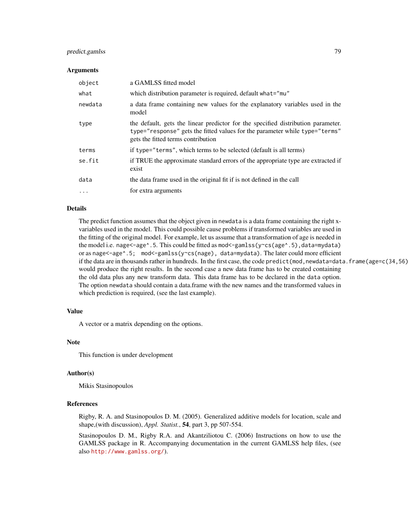# predict.gamlss 79

#### Arguments

| object    | a GAMLSS fitted model                                                                                                                                                                                 |
|-----------|-------------------------------------------------------------------------------------------------------------------------------------------------------------------------------------------------------|
| what      | which distribution parameter is required, default what="mu"                                                                                                                                           |
| newdata   | a data frame containing new values for the explanatory variables used in the<br>model                                                                                                                 |
| type      | the default, gets the linear predictor for the specified distribution parameter.<br>type="response" gets the fitted values for the parameter while type="terms"<br>gets the fitted terms contribution |
| terms     | if type="terms", which terms to be selected (default is all terms)                                                                                                                                    |
| se.fit    | if TRUE the approximate standard errors of the appropriate type are extracted if<br>exist                                                                                                             |
| data      | the data frame used in the original fit if is not defined in the call                                                                                                                                 |
| $\ddotsc$ | for extra arguments                                                                                                                                                                                   |

## Details

The predict function assumes that the object given in newdata is a data frame containing the right xvariables used in the model. This could possible cause problems if transformed variables are used in the fitting of the original model. For example, let us assume that a transformation of age is needed in the model i.e. nage<-age^.5. This could be fitted as mod<-gamlss(y~cs(age^.5),data=mydata) or as nage<-age^.5; mod<-gamlss(y~cs(nage), data=mydata). The later could more efficient if the data are in thousands rather in hundreds. In the first case, the code predict (mod, newdata=data.frame(age=c(34,56) would produce the right results. In the second case a new data frame has to be created containing the old data plus any new transform data. This data frame has to be declared in the data option. The option newdata should contain a data.frame with the new names and the transformed values in which prediction is required, (see the last example).

#### Value

A vector or a matrix depending on the options.

# Note

This function is under development

#### Author(s)

Mikis Stasinopoulos

#### References

Rigby, R. A. and Stasinopoulos D. M. (2005). Generalized additive models for location, scale and shape,(with discussion), *Appl. Statist.*, 54, part 3, pp 507-554.

Stasinopoulos D. M., Rigby R.A. and Akantziliotou C. (2006) Instructions on how to use the GAMLSS package in R. Accompanying documentation in the current GAMLSS help files, (see also <http://www.gamlss.org/>).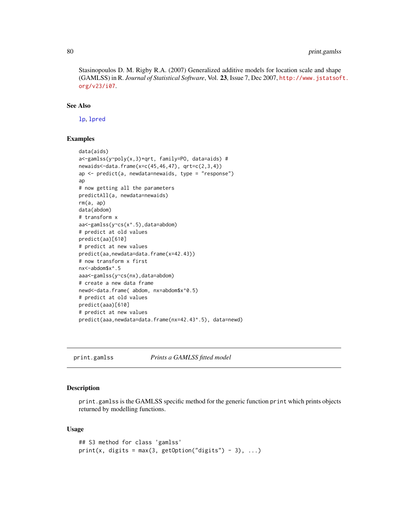Stasinopoulos D. M. Rigby R.A. (2007) Generalized additive models for location scale and shape (GAMLSS) in R. *Journal of Statistical Software*, Vol. 23, Issue 7, Dec 2007, [http://www.jstatsof](http://www.jstatsoft.org/v23/i07)t. [org/v23/i07](http://www.jstatsoft.org/v23/i07).

# See Also

[lp](#page-65-0), [lpred](#page-65-1)

#### Examples

```
data(aids)
a<-gamlss(y~poly(x,3)+qrt, family=PO, data=aids) #
newaids<-data.frame(x=c(45,46,47), qrt=c(2,3,4))
ap <- predict(a, newdata=newaids, type = "response")
ap
# now getting all the parameters
predictAll(a, newdata=newaids)
rm(a, ap)
data(abdom)
# transform x
aa<-gamlss(y~cs(x^.5),data=abdom)
# predict at old values
predict(aa)[610]
# predict at new values
predict(aa,newdata=data.frame(x=42.43))
# now transform x first
nx<-abdom$x^.5
aaa<-gamlss(y~cs(nx),data=abdom)
# create a new data frame
newd<-data.frame( abdom, nx=abdom$x^0.5)
# predict at old values
predict(aaa)[610]
# predict at new values
predict(aaa,newdata=data.frame(nx=42.43^.5), data=newd)
```
<span id="page-79-0"></span>print.gamlss *Prints a GAMLSS fitted model*

# Description

print.gamlss is the GAMLSS specific method for the generic function print which prints objects returned by modelling functions.

#### Usage

```
## S3 method for class 'gamlss'
print(x, digits = max(3, getOption("digits") - 3), ...)
```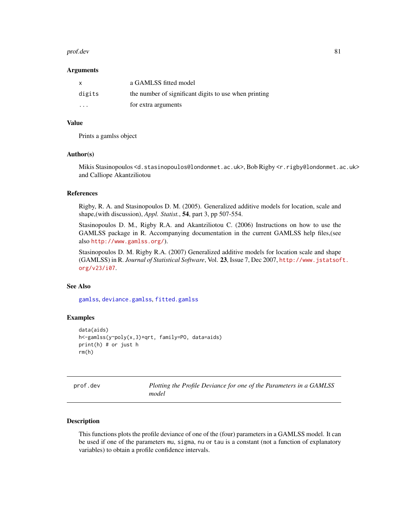#### prof.dev 81

#### **Arguments**

| $\mathsf{x}$            | a GAMLSS fitted model                                 |
|-------------------------|-------------------------------------------------------|
| digits                  | the number of significant digits to use when printing |
| $\cdot$ $\cdot$ $\cdot$ | for extra arguments                                   |

## Value

Prints a gamlss object

#### Author(s)

Mikis Stasinopoulos <d.stasinopoulos@londonmet.ac.uk>, Bob Rigby <r.rigby@londonmet.ac.uk> and Calliope Akantziliotou

## References

Rigby, R. A. and Stasinopoulos D. M. (2005). Generalized additive models for location, scale and shape,(with discussion), *Appl. Statist.*, 54, part 3, pp 507-554.

Stasinopoulos D. M., Rigby R.A. and Akantziliotou C. (2006) Instructions on how to use the GAMLSS package in R. Accompanying documentation in the current GAMLSS help files,(see also <http://www.gamlss.org/>).

Stasinopoulos D. M. Rigby R.A. (2007) Generalized additive models for location scale and shape (GAMLSS) in R. *Journal of Statistical Software*, Vol. 23, Issue 7, Dec 2007, [http://www.jstatsof](http://www.jstatsoft.org/v23/i07)t. [org/v23/i07](http://www.jstatsoft.org/v23/i07).

## See Also

[gamlss](#page-34-0), [deviance.gamlss](#page-22-0), [fitted.gamlss](#page-31-0)

## Examples

```
data(aids)
h<-gamlss(y~poly(x,3)+qrt, family=PO, data=aids)
print(h) # or just h
rm(h)
```
<span id="page-80-0"></span>

| prof.dev |  |  |
|----------|--|--|
|----------|--|--|

Plotting the Profile Deviance for one of the Parameters in a GAMLSS *model*

# Description

This functions plots the profile deviance of one of the (four) parameters in a GAMLSS model. It can be used if one of the parameters mu, sigma, nu or tau is a constant (not a function of explanatory variables) to obtain a profile confidence intervals.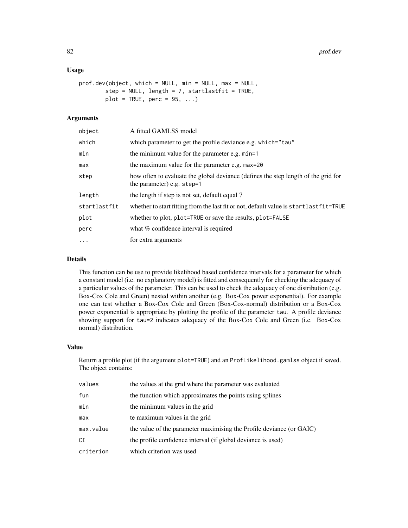# Usage

```
prof.dev(object, which = NULL, min = NULL, max = NULL,
        step = NULL, length = 7, startlastfit = TRUE,
        plot = TRUE, perc = 95, ...)
```
# Arguments

| object       | A fitted GAMLSS model                                                                                            |
|--------------|------------------------------------------------------------------------------------------------------------------|
| which        | which parameter to get the profile deviance e.g. which="tau"                                                     |
| min          | the minimum value for the parameter e.g. min=1                                                                   |
| max          | the maximum value for the parameter e.g. max=20                                                                  |
| step         | how often to evaluate the global deviance (defines the step length of the grid for<br>the parameter) e.g. step=1 |
| length       | the length if step is not set, default equal 7                                                                   |
| startlastfit | whether to start fitting from the last fit or not, default value is startlastfit=TRUE                            |
| plot         | whether to plot, plot=TRUE or save the results, plot=FALSE                                                       |
| perc         | what % confidence interval is required                                                                           |
| $\ddots$     | for extra arguments                                                                                              |

# Details

This function can be use to provide likelihood based confidence intervals for a parameter for which a constant model (i.e. no explanatory model) is fitted and consequently for checking the adequacy of a particular values of the parameter. This can be used to check the adequacy of one distribution (e.g. Box-Cox Cole and Green) nested within another (e.g. Box-Cox power exponential). For example one can test whether a Box-Cox Cole and Green (Box-Cox-normal) distribution or a Box-Cox power exponential is appropriate by plotting the profile of the parameter tau. A profile deviance showing support for tau=2 indicates adequacy of the Box-Cox Cole and Green (i.e. Box-Cox normal) distribution.

#### Value

Return a profile plot (if the argument plot=TRUE) and an ProfLikelihood.gamlss object if saved. The object contains:

| values    | the values at the grid where the parameter was evaluated             |
|-----------|----------------------------------------------------------------------|
| fun       | the function which approximates the points using splines             |
| min       | the minimum values in the grid                                       |
| max       | te maximum values in the grid                                        |
| max.value | the value of the parameter maximising the Profile deviance (or GAIC) |
| CI        | the profile confidence interval (if global deviance is used)         |
| criterion | which criterion was used                                             |
|           |                                                                      |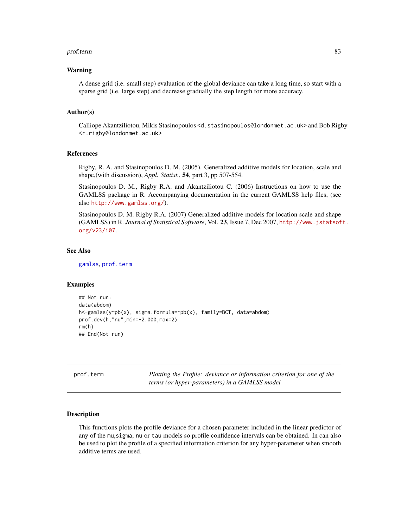#### prof.term 83

## Warning

A dense grid (i.e. small step) evaluation of the global deviance can take a long time, so start with a sparse grid (i.e. large step) and decrease gradually the step length for more accuracy.

#### Author(s)

Calliope Akantziliotou, Mikis Stasinopoulos <d.stasinopoulos@londonmet.ac.uk> and Bob Rigby <r.rigby@londonmet.ac.uk>

# References

Rigby, R. A. and Stasinopoulos D. M. (2005). Generalized additive models for location, scale and shape,(with discussion), *Appl. Statist.*, 54, part 3, pp 507-554.

Stasinopoulos D. M., Rigby R.A. and Akantziliotou C. (2006) Instructions on how to use the GAMLSS package in R. Accompanying documentation in the current GAMLSS help files, (see also <http://www.gamlss.org/>).

Stasinopoulos D. M. Rigby R.A. (2007) Generalized additive models for location scale and shape (GAMLSS) in R. *Journal of Statistical Software*, Vol. 23, Issue 7, Dec 2007, [http://www.jstatsof](http://www.jstatsoft.org/v23/i07)t. [org/v23/i07](http://www.jstatsoft.org/v23/i07).

## See Also

[gamlss](#page-34-0), [prof.term](#page-82-0)

## Examples

```
## Not run:
data(abdom)
h<-gamlss(y~pb(x), sigma.formula=~pb(x), family=BCT, data=abdom)
prof.dev(h,"nu",min=-2.000,max=2)
rm(h)
## End(Not run)
```
<span id="page-82-0"></span>prof.term *Plotting the Profile: deviance or information criterion for one of the terms (or hyper-parameters) in a GAMLSS model*

## Description

This functions plots the profile deviance for a chosen parameter included in the linear predictor of any of the mu,sigma, nu or tau models so profile confidence intervals can be obtained. In can also be used to plot the profile of a specified information criterion for any hyper-parameter when smooth additive terms are used.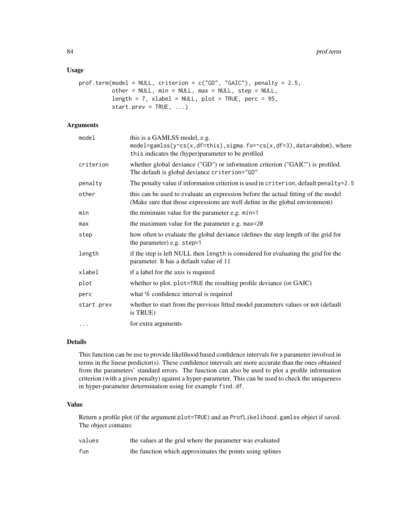## Usage

```
prof.term(model = NULL, criterion = c("GD", "GAIC"), penalty = 2.5,
          other = NULL, min = NULL, max = NULL, step = NULL,
          length = 7, xlabel = NULL, plot = TRUE, perc = 95,
          start.prev = TRUE, ...)
```
# Arguments

| model      | this is a GAMLSS model, e.g.<br>model=gamlss( $y$ ~cs(x,df=this),sigma.fo=~cs(x,df=3),data=abdom),where<br>this indicates the (hyper)parameter to be profiled     |
|------------|-------------------------------------------------------------------------------------------------------------------------------------------------------------------|
| criterion  | whether global deviance ("GD") or information criterion ("GAIC") is profiled.<br>The default is global deviance criterion="GD"                                    |
| penalty    | The penalty value if information criterion is used in criterion, default penalty=2.5                                                                              |
| other      | this can be used to evaluate an expression before the actual fitting of the model<br>(Make sure that those expressions are well define in the global environment) |
| min        | the minimum value for the parameter e.g. min=1                                                                                                                    |
| max        | the maximum value for the parameter e.g. max=20                                                                                                                   |
| step       | how often to evaluate the global deviance (defines the step length of the grid for<br>the parameter) e.g. step=1                                                  |
| length     | if the step is left NULL then length is considered for evaluating the grid for the<br>parameter. It has a default value of 11                                     |
| xlabel     | if a label for the axis is required                                                                                                                               |
| plot       | whether to plot, plot=TRUE the resulting profile deviance (or GAIC)                                                                                               |
| perc       | what % confidence interval is required                                                                                                                            |
| start.prev | whether to start from the previous fitted model parameters values or not (default<br>is TRUE)                                                                     |
| $\cdot$    | for extra arguments                                                                                                                                               |

## Details

This function can be use to provide likelihood based confidence intervals for a parameter involved in terms in the linear predictor(s). These confidence intervals are more accurate than the ones obtained from the parameters' standard errors. The function can also be used to plot a profile information criterion (with a given penalty) against a hyper-parameter. This can be used to check the uniqueness in hyper-parameter determination using for example find.df.

#### Value

Return a profile plot (if the argument plot=TRUE) and an ProfLikelihood.gamlss object if saved. The object contains:

| values | the values at the grid where the parameter was evaluated |
|--------|----------------------------------------------------------|
| fun    | the function which approximates the points using splines |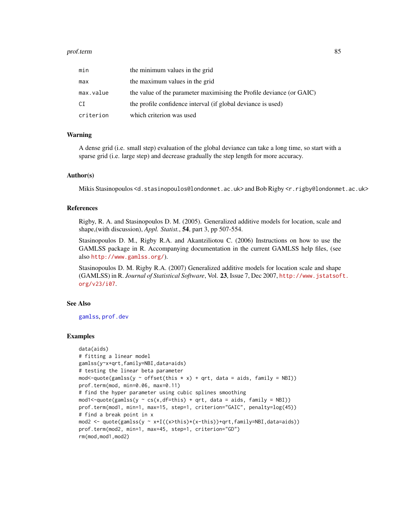#### prof.term 85

| min       | the minimum values in the grid                                       |
|-----------|----------------------------------------------------------------------|
| max       | the maximum values in the grid                                       |
| max.value | the value of the parameter maximising the Profile deviance (or GAIC) |
| CI        | the profile confidence interval (if global deviance is used)         |
| criterion | which criterion was used                                             |

## Warning

A dense grid (i.e. small step) evaluation of the global deviance can take a long time, so start with a sparse grid (i.e. large step) and decrease gradually the step length for more accuracy.

#### Author(s)

Mikis Stasinopoulos <d.stasinopoulos@londonmet.ac.uk> and Bob Rigby <r.rigby@londonmet.ac.uk>

# References

Rigby, R. A. and Stasinopoulos D. M. (2005). Generalized additive models for location, scale and shape,(with discussion), *Appl. Statist.*, 54, part 3, pp 507-554.

Stasinopoulos D. M., Rigby R.A. and Akantziliotou C. (2006) Instructions on how to use the GAMLSS package in R. Accompanying documentation in the current GAMLSS help files, (see also <http://www.gamlss.org/>).

Stasinopoulos D. M. Rigby R.A. (2007) Generalized additive models for location scale and shape (GAMLSS) in R. *Journal of Statistical Software*, Vol. 23, Issue 7, Dec 2007, [http://www.jstatsof](http://www.jstatsoft.org/v23/i07)t. [org/v23/i07](http://www.jstatsoft.org/v23/i07).

## See Also

[gamlss](#page-34-0), [prof.dev](#page-80-0)

#### Examples

```
data(aids)
# fitting a linear model
gamlss(y~x+qrt,family=NBI,data=aids)
# testing the linear beta parameter
mod \le -quotegamlss(y \sim offset(this \times x) + qrt, data = aids, family = NBI))prof.term(mod, min=0.06, max=0.11)
# find the hyper parameter using cubic splines smoothing
mod1<-quote(gamlss(y \sim cs(x,df=this) + qrt, data = aids, family = NBI))
prof.term(mod1, min=1, max=15, step=1, criterion="GAIC", penalty=log(45))
# find a break point in x
mod2 <- quote(gamlss(y ~ x+I((x>this)*(x-this))+qrt, family=NBI, data=aids))
prof.term(mod2, min=1, max=45, step=1, criterion="GD")
rm(mod,mod1,mod2)
```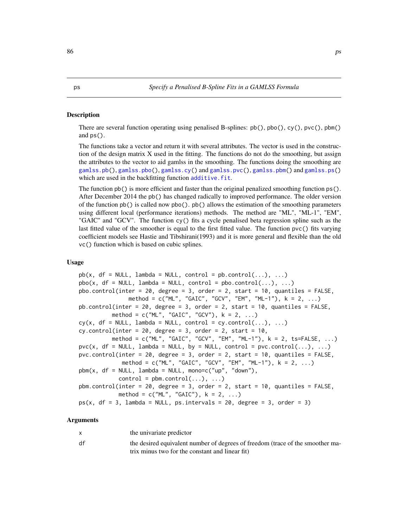#### Description

There are several function operating using penalised B-splines:  $pb($ ),  $pbo($ ),  $cy()$ ,  $pvc()$ ,  $pbm($ ) and ps().

The functions take a vector and return it with several attributes. The vector is used in the construction of the design matrix X used in the fitting. The functions do not do the smoothing, but assign the attributes to the vector to aid gamlss in the smoothing. The functions doing the smoothing are [gamlss.pb\(](#page-43-0)), [gamlss.pbo\(](#page-43-0)), [gamlss.cy\(](#page-43-0)) and [gamlss.pvc\(](#page-43-0)), [gamlss.pbm\(](#page-43-0)) and [gamlss.ps\(](#page-43-1)) which are used in the backfitting function additive. fit.

The function pb() is more efficient and faster than the original penalized smoothing function ps(). After December 2014 the pb() has changed radically to improved performance. The older version of the function pb() is called now pbo(). pb() allows the estimation of the smoothing parameters using different local (performance iterations) methods. The method are "ML", "ML-1", "EM", "GAIC" and "GCV". The function cy() fits a cycle penalised beta regression spline such as the last fitted value of the smoother is equal to the first fitted value. The function pvc() fits varying coefficient models see Hastie and Tibshirani(1993) and it is more general and flexible than the old vc() function which is based on cubic splines.

#### Usage

```
pb(x, df = NULL, lambda = NULL, control = pb.control(...), ...)pbo(x, df = NULL, lambda = NULL, control = pbo.contrib(…), …)pbo.control(inter = 20, degree = 3, order = 2, start = 10, quantiles = FALSE,
              method = c("ML", "GAIC", "GCV", "EM", "ML-1"), k = 2, ...)
pb.control(inter = 20, degree = 3, order = 2, start = 10, quantiles = FALSE,
         method = c("ML", "GAIC", "GCV"), k = 2, ...)cy(x, df = NULL, lambda = NULL, control = cy.contrib(...), ...)cy-control(inter = 20, degree = 3, order = 2, start = 10,method = c("ML", "GAIC", "GCV", "EM", "ML-1"), k = 2, ts=FALSE, ...)pvc(x, df = NULL, lambda = NULL, by = NULL, control = pvc.control(...), ...)
pvc.control(inter = 20, degree = 3, order = 2, start = 10, quantiles = FALSE,
            method = c("ML", "GAIC", "GCV", "EM", "ML-1"), k = 2, ...pbm(x, df = NULL, lambda = NULL, mono=c("up", "down"),control = pbm.control(...), ...pbm.control(inter = 20, degree = 3, order = 2, start = 10, quantiles = FALSE,
           method = c("ML", "GAIC"), k = 2, ...)ps(x, df = 3, lambda = NULL, ps.intervals = 20, degree = 3, order = 3)
```
#### Arguments

| $\mathsf{x}$ | the univariate predictor                                                       |
|--------------|--------------------------------------------------------------------------------|
| df           | the desired equivalent number of degrees of freedom (trace of the smoother ma- |
|              | trix minus two for the constant and linear fit)                                |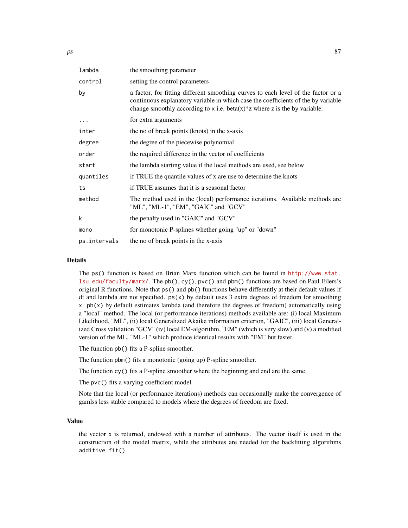| the smoothing parameter                                                                                                                                                                                                                                             |
|---------------------------------------------------------------------------------------------------------------------------------------------------------------------------------------------------------------------------------------------------------------------|
| setting the control parameters                                                                                                                                                                                                                                      |
| a factor, for fitting different smoothing curves to each level of the factor or a<br>continuous explanatory variable in which case the coefficients of the by variable<br>change smoothly according to x i.e. beta $(x)$ <sup>*</sup> z where z is the by variable. |
| for extra arguments                                                                                                                                                                                                                                                 |
| the no of break points (knots) in the x-axis                                                                                                                                                                                                                        |
| the degree of the piecewise polynomial                                                                                                                                                                                                                              |
| the required difference in the vector of coefficients                                                                                                                                                                                                               |
| the lambda starting value if the local methods are used, see below                                                                                                                                                                                                  |
| if TRUE the quantile values of x are use to determine the knots                                                                                                                                                                                                     |
| if TRUE assumes that it is a seasonal factor                                                                                                                                                                                                                        |
| The method used in the (local) performance iterations. Available methods are<br>"ML", "ML-1", "EM", "GAIC" and "GCV"                                                                                                                                                |
| the penalty used in "GAIC" and "GCV"                                                                                                                                                                                                                                |
| for monotonic P-splines whether going "up" or "down"                                                                                                                                                                                                                |
| the no of break points in the x-axis                                                                                                                                                                                                                                |
|                                                                                                                                                                                                                                                                     |

## Details

The ps() function is based on Brian Marx function which can be found in [http://www.stat.](http://www.stat.lsu.edu/faculty/marx/) [lsu.edu/faculty/marx/](http://www.stat.lsu.edu/faculty/marx/). The pb(), cy(), pvc() and pbm() functions are based on Paul Eilers's original R functions. Note that ps() and pb() functions behave differently at their default values if df and lambda are not specified.  $ps(x)$  by default uses 3 extra degrees of freedom for smoothing x.  $pb(x)$  by default estimates lambda (and therefore the degrees of freedom) automatically using a "local" method. The local (or performance iterations) methods available are: (i) local Maximum Likelihood, "ML", (ii) local Generalized Akaike information criterion, "GAIC", (iii) local Generalized Cross validation "GCV" (iv) local EM-algorithm, "EM" (which is very slow) and (v) a modified version of the ML, "ML-1" which produce identical results with "EM" but faster.

The function pb() fits a P-spline smoother.

The function pbm() fits a monotonic (going up) P-spline smoother.

The function cy() fits a P-spline smoother where the beginning and end are the same.

The pvc() fits a varying coefficient model.

Note that the local (or performance iterations) methods can occasionally make the convergence of gamlss less stable compared to models where the degrees of freedom are fixed.

## Value

the vector x is returned, endowed with a number of attributes. The vector itself is used in the construction of the model matrix, while the attributes are needed for the backfitting algorithms additive.fit().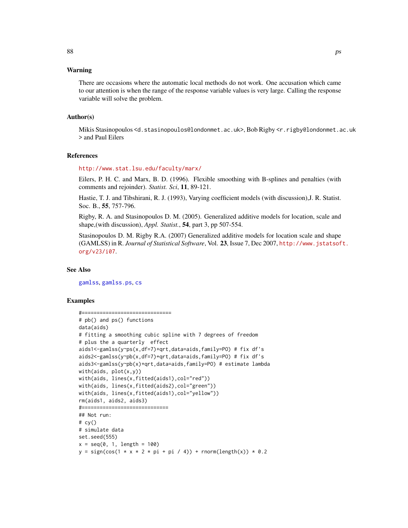There are occasions where the automatic local methods do not work. One accusation which came to our attention is when the range of the response variable values is very large. Calling the response variable will solve the problem.

#### Author(s)

Mikis Stasinopoulos <d.stasinopoulos@londonmet.ac.uk>, Bob Rigby <r.rigby@londonmet.ac.uk > and Paul Eilers

#### References

<http://www.stat.lsu.edu/faculty/marx/>

Eilers, P. H. C. and Marx, B. D. (1996). Flexible smoothing with B-splines and penalties (with comments and rejoinder). *Statist. Sci*, 11, 89-121.

Hastie, T. J. and Tibshirani, R. J. (1993), Varying coefficient models (with discussion),J. R. Statist. Soc. B., 55, 757-796.

Rigby, R. A. and Stasinopoulos D. M. (2005). Generalized additive models for location, scale and shape,(with discussion), *Appl. Statist.*, 54, part 3, pp 507-554.

Stasinopoulos D. M. Rigby R.A. (2007) Generalized additive models for location scale and shape (GAMLSS) in R. *Journal of Statistical Software*, Vol. 23, Issue 7, Dec 2007, [http://www.jstatsof](http://www.jstatsoft.org/v23/i07)t. [org/v23/i07](http://www.jstatsoft.org/v23/i07).

#### See Also

[gamlss](#page-34-0), [gamlss.ps](#page-43-1), [cs](#page-19-0)

## Examples

```
#==============================
# pb() and ps() functions
data(aids)
# fitting a smoothing cubic spline with 7 degrees of freedom
# plus the a quarterly effect
aids1<-gamlss(y~ps(x,df=7)+qrt,data=aids,family=PO) # fix df's
aids2<-gamlss(y~pb(x,df=7)+qrt,data=aids,family=PO) # fix df's
aids3<-gamlss(y~pb(x)+qrt,data=aids,family=PO) # estimate lambda
with(aids, plot(x,y))
with(aids, lines(x,fitted(aids1),col="red"))
with(aids, lines(x,fitted(aids2),col="green"))
with(aids, lines(x,fitted(aids1),col="yellow"))
rm(aids1, aids2, aids3)
#=============================
## Not run:
# cy()# simulate data
set.seed(555)
x = seq(0, 1, length = 100)y = sign(cos(1 + x + 2 + pi + pi / 4)) + rnorm(length(x)) + 0.2
```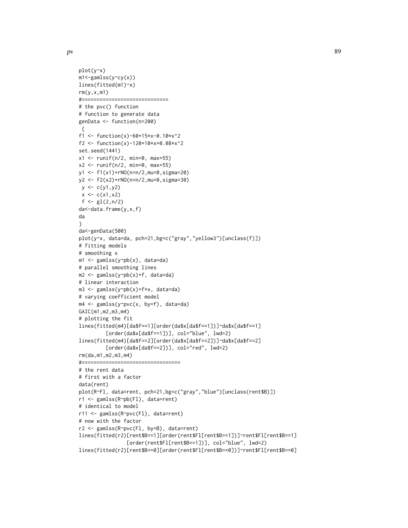```
plot(y~x)
m1<-gamlss(y~cy(x))
lines(fitted(m1)~x)
rm(y,x,m1)#=============================
# the pvc() function
# function to generate data
genData <- function(n=200)
{
f1 <- function(x)-60+15*x-0.10*x^2
f2 <- function(x)-120+10*x+0.08*x^2
set.seed(1441)
x1 \leftarrow runif(n/2, min=0, max=55)x2 \le runif(n/2, min=0, max=55)
y1 <- f1(x1)+rNO(n=n/2,mu=0,sigma=20)
y2 <- f2(x2)+rNO(n=n/2,mu=0,sigma=30)
y \leftarrow c(y1, y2)x \leftarrow c(x1, x2)f \leftarrow gl(2, n/2)da<-data.frame(y,x,f)
da
}
da<-genData(500)
plot(y~x, data=da, pch=21,bg=c("gray","yellow3")[unclass(f)])
# fitting models
# smoothing x
m1 <- gamlss(y~pb(x), data=da)
# parallel smoothing lines
m2 <- gamlss(y~pb(x)+f, data=da)
# linear interaction
m3 <- gamlss(y~pb(x)+f*x, data=da)
# varying coefficient model
m4 <- gamlss(y~pvc(x, by=f), data=da)
GAIC(m1,m2,m3,m4)
# plotting the fit
lines(fitted(m4)[da$f==1][order(da$x[da$f==1])]~da$x[da$f==1]
         [order(da$x[da$f==1])], col="blue", lwd=2)
lines(fitted(m4)[da$f==2][order(da$x[da$f==2])]~da$x[da$f==2]
         [order(da$x[da$f==2])], col="red", lwd=2)
rm(da,m1,m2,m3,m4)
#=================================
# the rent data
# first with a factor
data(rent)
plot(R~Fl, data=rent, pch=21,bg=c("gray","blue")[unclass(rent$B)])
r1 <- gamlss(R~pb(Fl), data=rent)
# identical to model
r11 <- gamlss(R~pvc(Fl), data=rent)
# now with the factor
r2 <- gamlss(R~pvc(Fl, by=B), data=rent)
lines(fitted(r2)[rent$B==1][order(rent$Fl[rent$B==1])]~rent$Fl[rent$B==1]
                [order(rent$Fl[rent$B==1])], col="blue", lwd=2)
lines(fitted(r2)[rent$B==0][order(rent$Fl[rent$B==0])]~rent$Fl[rent$B==0]
```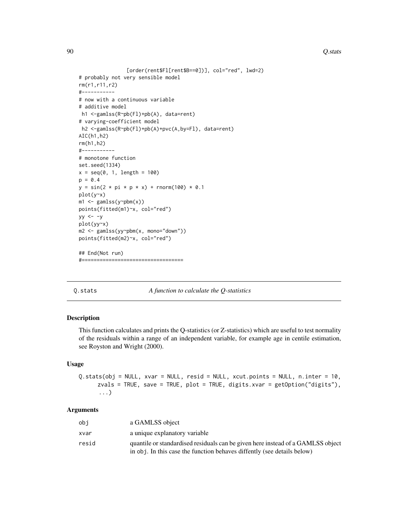#### 90 Q.stats and  $\overline{Q}$ .stats and  $\overline{Q}$ .stats and  $\overline{Q}$ .stats and  $\overline{Q}$ .stats and  $\overline{Q}$ .stats and  $\overline{Q}$ .stats and  $\overline{Q}$ .stats and  $\overline{Q}$ .stats and  $\overline{Q}$ .stats and  $\overline{Q}$ .stats and  $\overline{Q}$ .stats an

```
[order(rent$Fl[rent$B==0])], col="red", lwd=2)
# probably not very sensible model
rm(r1,r11,r2)
#-----------
# now with a continuous variable
# additive model
h1 <-gamlss(R~pb(Fl)+pb(A), data=rent)
# varying-coefficient model
h2 <-gamlss(R~pb(Fl)+pb(A)+pvc(A,by=Fl), data=rent)
AIC(h1,h2)
rm(h1,h2)
#-----------
# monotone function
set.seed(1334)
x = seq(0, 1, length = 100)p = 0.4y = sin(2 * pi * p * x) + rnorm(100) * 0.1plot(y~x)
m1 <- gamlss(y~pbm(x))
points(fitted(m1)~x, col="red")
yy \le -yplot(yy~x)
m2 <- gamlss(yy~pbm(x, mono="down"))
points(fitted(m2)~x, col="red")
## End(Not run)
#==================================
```
### Q.stats *A function to calculate the Q-statistics*

## Description

This function calculates and prints the Q-statistics (or Z-statistics) which are useful to test normality of the residuals within a range of an independent variable, for example age in centile estimation, see Royston and Wright (2000).

## Usage

Q.stats(obj = NULL, xvar = NULL, resid = NULL, xcut.points = NULL, n.inter = 10, zvals = TRUE, save = TRUE, plot = TRUE, digits.xvar = getOption("digits"), ...)

## Arguments

| obi   | a GAMLSS object                                                                                                                                            |
|-------|------------------------------------------------------------------------------------------------------------------------------------------------------------|
| xvar  | a unique explanatory variable                                                                                                                              |
| resid | quantile or standardised residuals can be given here instead of a GAMLSS object<br>in obj. In this case the function behaves diffently (see details below) |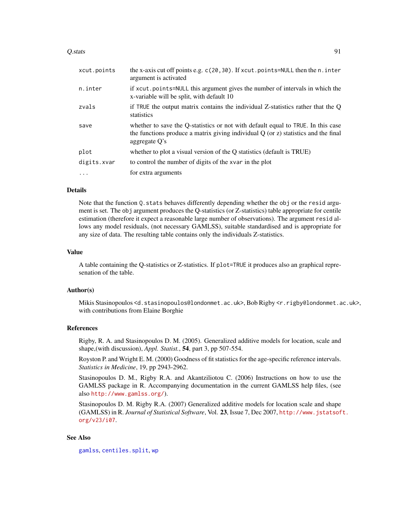#### $Q.$ stats  $91$

| xcut.points | the x-axis cut off points e.g. c(20,30). If xcut.points=NULL then the n.inter<br>argument is activated                                                                                         |
|-------------|------------------------------------------------------------------------------------------------------------------------------------------------------------------------------------------------|
| n.inter     | if xcut, points=NULL this argument gives the number of intervals in which the<br>x-variable will be split, with default 10                                                                     |
| zvals       | if TRUE the output matrix contains the individual Z-statistics rather that the Q<br>statistics                                                                                                 |
| save        | whether to save the Q-statistics or not with default equal to TRUE. In this case<br>the functions produce a matrix giving individual $Q$ (or $z$ ) statistics and the final<br>aggregate $O's$ |
| plot        | whether to plot a visual version of the Q statistics (default is TRUE)                                                                                                                         |
| digits.xvar | to control the number of digits of the xvar in the plot                                                                                                                                        |
|             | for extra arguments                                                                                                                                                                            |
|             |                                                                                                                                                                                                |

# Details

Note that the function Q. stats behaves differently depending whether the obj or the resid argument is set. The obj argument produces the Q-statistics (or Z-statistics) table appropriate for centile estimation (therefore it expect a reasonable large number of observations). The argument resid allows any model residuals, (not necessary GAMLSS), suitable standardised and is appropriate for any size of data. The resulting table contains only the individuals Z-statistics.

# Value

A table containing the Q-statistics or Z-statistics. If plot=TRUE it produces also an graphical represenation of the table.

### Author(s)

Mikis Stasinopoulos <d.stasinopoulos@londonmet.ac.uk>, Bob Rigby <r.rigby@londonmet.ac.uk>, with contributions from Elaine Borghie

## References

Rigby, R. A. and Stasinopoulos D. M. (2005). Generalized additive models for location, scale and shape,(with discussion), *Appl. Statist.*, 54, part 3, pp 507-554.

Royston P. and Wright E. M. (2000) Goodness of fit statistics for the age-specific reference intervals. *Statistics in Medicine*, 19, pp 2943-2962.

Stasinopoulos D. M., Rigby R.A. and Akantziliotou C. (2006) Instructions on how to use the GAMLSS package in R. Accompanying documentation in the current GAMLSS help files, (see also <http://www.gamlss.org/>).

Stasinopoulos D. M. Rigby R.A. (2007) Generalized additive models for location scale and shape (GAMLSS) in R. *Journal of Statistical Software*, Vol. 23, Issue 7, Dec 2007, [http://www.jstatsof](http://www.jstatsoft.org/v23/i07)t. [org/v23/i07](http://www.jstatsoft.org/v23/i07).

## See Also

[gamlss](#page-34-0), [centiles.split](#page-16-0), [wp](#page-118-0)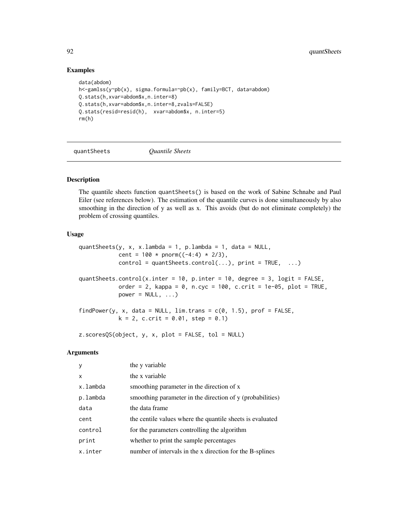# Examples

```
data(abdom)
h<-gamlss(y~pb(x), sigma.formula=~pb(x), family=BCT, data=abdom)
Q.stats(h,xvar=abdom$x,n.inter=8)
Q.stats(h,xvar=abdom$x,n.inter=8,zvals=FALSE)
Q.stats(resid=resid(h), xvar=abdom$x, n.inter=5)
rm(h)
```
quantSheets *Quantile Sheets*

# Description

The quantile sheets function quantSheets() is based on the work of Sabine Schnabe and Paul Eiler (see references below). The estimation of the quantile curves is done simultaneously by also smoothing in the direction of y as well as x. This avoids (but do not eliminate completely) the problem of crossing quantiles.

# Usage

```
quantSheets(y, x, x.lambda = 1, p.lambda = 1, data = NULL,
            cent = 100 * pnorm((-4:4) * 2/3),
            control = quantSheets.contrib(...), print = TRUE, ...)quantSheets.control(x.inter = 10, p.inter = 10, degree = 3, logit = FALSE,
            order = 2, kappa = 0, n.cyc = 100, c.crit = 1e-05, plot = TRUE,
            power = NULL, ...)findPower(y, x, data = NULL, \lim.trans = c(0, 1.5), prof = FALSE,
            k = 2, c.crit = 0.01, step = 0.1)
```
z.scoresQS(object, y, x, plot = FALSE, tol = NULL)

# Arguments

| <b>V</b> | the y variable                                            |
|----------|-----------------------------------------------------------|
| X        | the x variable                                            |
| x.lambda | smoothing parameter in the direction of x                 |
| p.lambda | smoothing parameter in the direction of y (probabilities) |
| data     | the data frame                                            |
| cent     | the centile values where the quantile sheets is evaluated |
| control  | for the parameters controlling the algorithm              |
| print    | whether to print the sample percentages                   |
| x.inter  | number of intervals in the x direction for the B-splines  |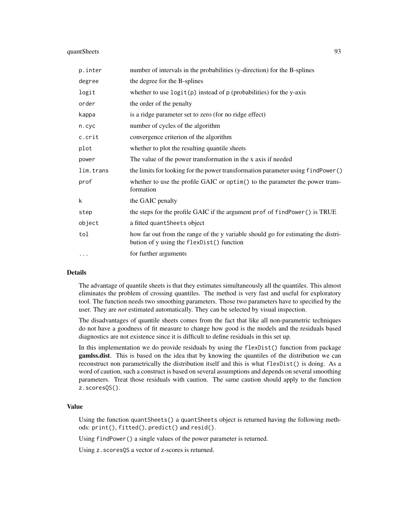# quantSheets 93

| p.inter   | number of intervals in the probabilities (y-direction) for the B-splines                                                       |
|-----------|--------------------------------------------------------------------------------------------------------------------------------|
| degree    | the degree for the B-splines                                                                                                   |
| logit     | whether to use $logit(p)$ instead of $p$ (probabilities) for the y-axis                                                        |
| order     | the order of the penalty                                                                                                       |
| kappa     | is a ridge parameter set to zero (for no ridge effect)                                                                         |
| n.cyc     | number of cycles of the algorithm                                                                                              |
| c.crit    | convergence criterion of the algorithm                                                                                         |
| plot      | whether to plot the resulting quantile sheets                                                                                  |
| power     | The value of the power transformation in the x axis if needed                                                                  |
| lim.trans | the limits for looking for the power transformation parameter using findPower()                                                |
| prof      | whether to use the profile GAIC or optim() to the parameter the power trans-<br>formation                                      |
| k         | the GAIC penalty                                                                                                               |
| step      | the steps for the profile GAIC if the argument prof of findPower() is TRUE                                                     |
| object    | a fitted quant Sheets object                                                                                                   |
| tol       | how far out from the range of the y variable should go for estimating the distri-<br>bution of y using the flexDist() function |
| $\ddotsc$ | for further arguments                                                                                                          |

## Details

The advantage of quantile sheets is that they estimates simultaneously all the quantiles. This almost eliminates the problem of crossing quantiles. The method is very fast and useful for exploratory tool. The function needs two smoothing parameters. Those two parameters have to specified by the user. They are *not* estimated automatically. They can be selected by visual inspection.

The disadvantages of quantile sheets comes from the fact that like all non-parametric techniques do not have a goodness of fit measure to change how good is the models and the residuals based diagnostics are not existence since it is difficult to define residuals in this set up.

In this implementation we do provide residuals by using the flexDist() function from package gamlss.dist. This is based on the idea that by knowing the quantiles of the distribution we can reconstruct non parametrically the distribution itself and this is what flexDist() is doing. As a word of caution, such a construct is based on several assumptions and depends on several smoothing parameters. Treat those residuals with caution. The same caution should apply to the function z.scoresQS().

# Value

Using the function quantSheets() a quantSheets object is returned having the following methods: print(), fitted(), predict() and resid().

Using findPower() a single values of the power parameter is returned.

Using z.scoresQS a vector of z-scores is returned.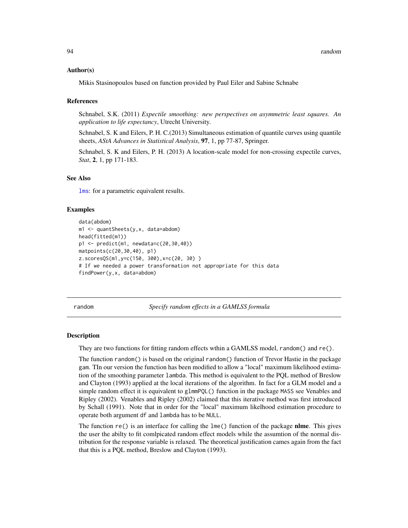#### Author(s)

Mikis Stasinopoulos based on function provided by Paul Eiler and Sabine Schnabe

#### References

Schnabel, S.K. (2011) *Expectile smoothing: new perspectives on asymmetric least squares. An application to life expectancy*, Utrecht University.

Schnabel, S. K and Eilers, P. H. C.(2013) Simultaneous estimation of quantile curves using quantile sheets, *AStA Advances in Statistical Analysis*, 97, 1, pp 77-87, Springer.

Schnabel, S. K and Eilers, P. H. (2013) A location-scale model for non-crossing expectile curves, *Stat*, 2, 1, pp 171-183.

#### See Also

[lms](#page-58-0): for a parametric equivalent results.

## Examples

```
data(abdom)
m1 <- quantSheets(y,x, data=abdom)
head(fitted(m1))
p1 <- predict(m1, newdata=c(20,30,40))
matpoints(c(20,30,40), p1)
z.scoresQS(m1,y=c(150, 300),x=c(20, 30) )
# If we needed a power transformation not appropriate for this data
findPower(y,x, data=abdom)
```
random *Specify random effects in a GAMLSS formula*

#### **Description**

They are two functions for fitting random effects wthin a GAMLSS model, random() and re().

The function random() is based on the original random() function of Trevor Hastie in the package gam. TIn our version the function has been modified to allow a "local" maximum likelihood estimation of the smoothing parameter lambda. This method is equivalent to the PQL method of Breslow and Clayton (1993) applied at the local iterations of the algorithm. In fact for a GLM model and a simple random effect it is equivalent to glmmPQL() function in the package MASS see Venables and Ripley (2002). Venables and Ripley (2002) claimed that this iterative method was first introduced by Schall (1991). Note that in order for the "local" maximum likelhood estimation procedure to operate both argument df and lambda has to be NULL.

The function  $re()$  is an interface for calling the lme() function of the package **nlme**. This gives the user the abilty to fit comlpicated random effect models while the assumtion of the normal distribution for the response variable is relaxed. The theoretical justification cames again from the fact that this is a PQL method, Breslow and Clayton (1993).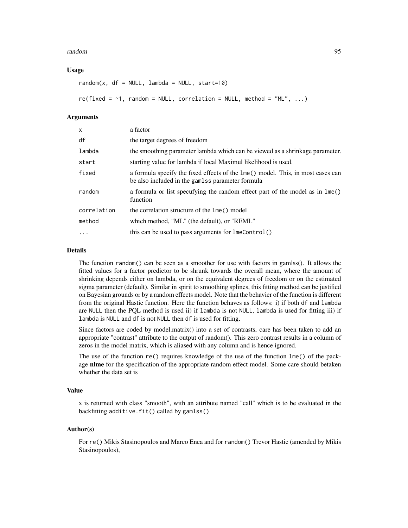#### random 95

## Usage

```
random(x, df = NULL, lambda = NULL, start=10)
re(fixed = -1, random = NULL, correlation = NULL, method = "ML", ...)
```
## Arguments

| $\mathsf{x}$ | a factor                                                                                                                            |
|--------------|-------------------------------------------------------------------------------------------------------------------------------------|
| df           | the target degrees of freedom                                                                                                       |
| lambda       | the smoothing parameter lambda which can be viewed as a shrinkage parameter.                                                        |
| start        | starting value for lambda if local Maximul likelihood is used.                                                                      |
| fixed        | a formula specify the fixed effects of the lme() model. This, in most cases can<br>be also included in the gamlss parameter formula |
| random       | a formula or list specufying the random effect part of the model as in lme()<br>function                                            |
| correlation  | the correlation structure of the lme() model                                                                                        |
| method       | which method, "ML" (the default), or "REML"                                                                                         |
| $\cdots$     | this can be used to pass arguments for lmeControl()                                                                                 |

## Details

The function random() can be seen as a smoother for use with factors in gamlss(). It allows the fitted values for a factor predictor to be shrunk towards the overall mean, where the amount of shrinking depends either on lambda, or on the equivalent degrees of freedom or on the estimated sigma parameter (default). Similar in spirit to smoothing splines, this fitting method can be justified on Bayesian grounds or by a random effects model. Note that the behavier of the function is different from the original Hastie function. Here the function behaves as follows: i) if both df and lambda are NULL then the PQL method is used ii) if lambda is not NULL, lambda is used for fitting iii) if lambda is NULL and df is not NULL then df is used for fitting.

Since factors are coded by model.matrix() into a set of contrasts, care has been taken to add an appropriate "contrast" attribute to the output of random(). This zero contrast results in a column of zeros in the model matrix, which is aliased with any column and is hence ignored.

The use of the function re() requires knowledge of the use of the function lme() of the package nlme for the specification of the appropriate random effect model. Some care should betaken whether the data set is

#### Value

x is returned with class "smooth", with an attribute named "call" which is to be evaluated in the backfitting additive.fit() called by gamlss()

## Author(s)

For re() Mikis Stasinopoulos and Marco Enea and for random() Trevor Hastie (amended by Mikis Stasinopoulos),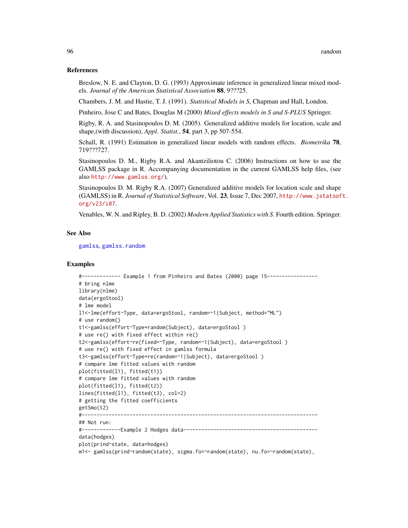#### References

Breslow, N. E. and Clayton, D. G. (1993) Approximate inference in generalized linear mixed models. *Journal of the American Statistical Association* 88, 9???25.

Chambers, J. M. and Hastie, T. J. (1991). *Statistical Models in S*, Chapman and Hall, London.

Pinheiro, Jose C and Bates, Douglas M (2000) *Mixed effects models in S and S-PLUS* Springer.

Rigby, R. A. and Stasinopoulos D. M. (2005). Generalized additive models for location, scale and shape,(with discussion), *Appl. Statist.*, 54, part 3, pp 507-554.

Schall, R. (1991) Estimation in generalized linear models with random effects. *Biometrika* 78, 719???727.

Stasinopoulos D. M., Rigby R.A. and Akantziliotou C. (2006) Instructions on how to use the GAMLSS package in R. Accompanying documentation in the current GAMLSS help files, (see also <http://www.gamlss.org/>).

Stasinopoulos D. M. Rigby R.A. (2007) Generalized additive models for location scale and shape (GAMLSS) in R. *Journal of Statistical Software*, Vol. 23, Issue 7, Dec 2007, [http://www.jstatsof](http://www.jstatsoft.org/v23/i07)t. [org/v23/i07](http://www.jstatsoft.org/v23/i07).

Venables, W. N. and Ripley, B. D. (2002) *Modern Applied Statistics with S*. Fourth edition. Springer.

## See Also

[gamlss](#page-34-0), [gamlss.random](#page-44-0)

#### Examples

```
#------------- Example 1 from Pinheiro and Bates (2000) page 15-----------------
# bring nlme
library(nlme)
data(ergoStool)
# lme model
l1<-lme(effort~Type, data=ergoStool, random=~1|Subject, method="ML")
# use random()
t1<-gamlss(effort~Type+random(Subject), data=ergoStool )
# use re() with fixed effect within re()
t2<-gamlss(effort~re(fixed=~Type, random=~1|Subject), data=ergoStool )
# use re() with fixed effect in gamlss formula
t3<-gamlss(effort~Type+re(random=~1|Subject), data=ergoStool )
# compare lme fitted values with random
plot(fitted(l1), fitted(t1))
# compare lme fitted values with random
plot(fitted(l1), fitted(t2))
lines(fitted(l1), fitted(t3), col=2)
# getting the fitted coefficients
getSmo(t2)
#-------------------------------------------------------------------------------
## Not run:
#-------------Example 2 Hodges data---------------------------------------------
data(hodges)
plot(prind~state, data=hodges)
m1<- gamlss(prind~random(state), sigma.fo=~random(state), nu.fo=~random(state),
```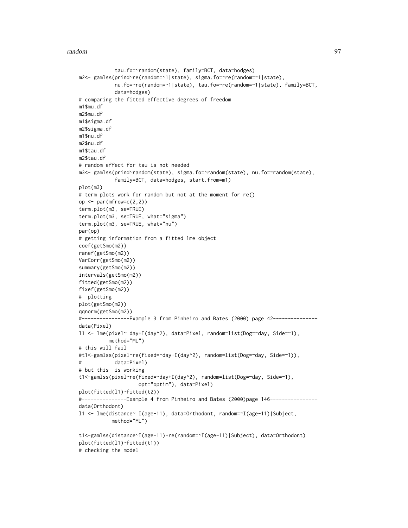random 97

```
tau.fo=~random(state), family=BCT, data=hodges)
m2<- gamlss(prind~re(random=~1|state), sigma.fo=~re(random=~1|state),
            nu.fo=~re(random=~1|state), tau.fo=~re(random=~1|state), family=BCT,
            data=hodges)
# comparing the fitted effective degrees of freedom
m1$mu.df
m2$mu.df
m1$sigma.df
m2$sigma.df
m1$nu.df
m2$nu.df
m1$tau.df
m2$tau.df
# random effect for tau is not needed
m3<- gamlss(prind~random(state), sigma.fo=~random(state), nu.fo=~random(state),
            family=BCT, data=hodges, start.from=m1)
plot(m3)
# term plots work for random but not at the moment for re()
op \leq par(mfrow=c(2,2))
term.plot(m3, se=TRUE)
term.plot(m3, se=TRUE, what="sigma")
term.plot(m3, se=TRUE, what="nu")
par(op)
# getting information from a fitted lme object
coef(getSmo(m2))
ranef(getSmo(m2))
VarCorr(getSmo(m2))
summary(getSmo(m2))
intervals(getSmo(m2))
fitted(getSmo(m2))
fixef(getSmo(m2))
# plotting
plot(getSmo(m2))
qqnorm(getSmo(m2))
#----------------Example 3 from Pinheiro and Bates (2000) page 42---------------
data(Pixel)
l1 <- lme(pixel~ day+I(day^2), data=Pixel, random=list(Dog=~day, Side=~1),
          method="ML")
# this will fail
#t1<-gamlss(pixel~re(fixed=~day+I(day^2), random=list(Dog=~day, Side=~1)),
# data=Pixel)
# but this is working
t1<-gamlss(pixel~re(fixed=~day+I(day^2), random=list(Dog=~day, Side=~1),
                    opt="optim"), data=Pixel)
plot(fitted(l1)~fitted(t2))
#---------------Example 4 from Pinheiro and Bates (2000)page 146----------------
data(Orthodont)
l1 <- lme(distance~ I(age-11), data=Orthodont, random=~I(age-11)|Subject,
           method="ML")
t1<-gamlss(distance~I(age-11)+re(random=~I(age-11)|Subject), data=Orthodont)
plot(fitted(l1)~fitted(t1))
# checking the model
```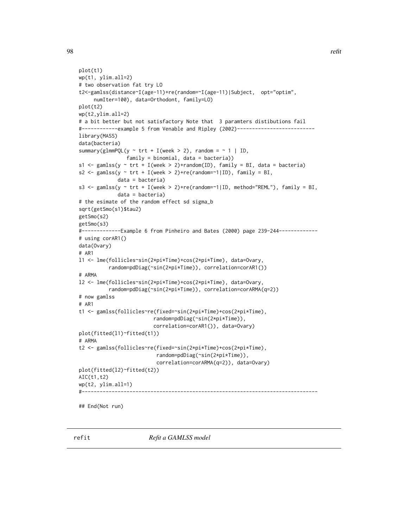```
plot(t1)
wp(t1, ylim.all=2)
# two observation fat try LO
t2<-gamlss(distance~I(age-11)+re(random=~I(age-11)|Subject, opt="optim",
     numIter=100), data=Orthodont, family=LO)
plot(t2)
wp(t2,ylim.all=2)
# a bit better but not satisfactory Note that 3 paramters distibutions fail
#------------example 5 from Venable and Ripley (2002)--------------------------
library(MASS)
data(bacteria)
summary(glmmPQL(y \sim trt + I(week > 2), random = \sim 1 | ID,
                family = binomial, data = bacteria))
s1 <- gamlss(y \sim trt + I(week > 2)+random(ID), family = BI, data = bacteria)
s2 <- gamlss(y \sim trt + I(week > 2)+re(random=\sim1|ID), family = BI,
             data = bacteria)
s3 <- gamlss(y ~ trt + I(week > 2)+re(random=~1|ID, method="REML"), family = BI,
             data = bacteria)
# the esimate of the random effect sd sigma_b
sqrt(getSmo(s1)$tau2)
getSmo(s2)
getSmo(s3)
#-------------Example 6 from Pinheiro and Bates (2000) page 239-244-------------
# using corAR1()
data(Ovary)
# AR1
l1 <- lme(follicles~sin(2*pi*Time)+cos(2*pi*Time), data=Ovary,
          random=pdDiag(~sin(2*pi*Time)), correlation=corAR1())
# ARMA
l2 <- lme(follicles~sin(2*pi*Time)+cos(2*pi*Time), data=Ovary,
          random=pdDiag(~sin(2*pi*Time)), correlation=corARMA(q=2))
# now gamlss
# AR1
t1 <- gamlss(follicles~re(fixed=~sin(2*pi*Time)+cos(2*pi*Time),
                         random=pdDiag(~sin(2*pi*Time)),
                         correlation=corAR1()), data=Ovary)
plot(fitted(l1)~fitted(t1))
# ARMA
t2 <- gamlss(follicles~re(fixed=~sin(2*pi*Time)+cos(2*pi*Time),
                          random=pdDiag(~sin(2*pi*Time)),
                          correlation=corARMA(q=2)), data=Ovary)
plot(fitted(l2)~fitted(t2))
AIC(t1,t2)
wp(t2, ylim.all=1)
#-------------------------------------------------------------------------------
```
## End(Not run)

refit *Refit a GAMLSS model*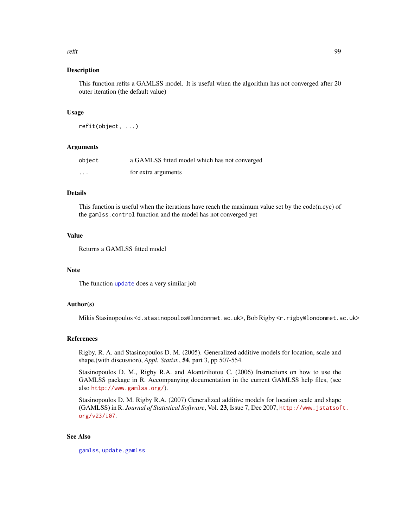#### refit that the contract of the contract of the contract of the contract of the contract of the contract of the contract of the contract of the contract of the contract of the contract of the contract of the contract of the

## Description

This function refits a GAMLSS model. It is useful when the algorithm has not converged after 20 outer iteration (the default value)

#### Usage

refit(object, ...)

## Arguments

| object  | a GAMLSS fitted model which has not converged |
|---------|-----------------------------------------------|
| $\cdot$ | for extra arguments                           |

# Details

This function is useful when the iterations have reach the maximum value set by the code(n.cyc) of the gamlss.control function and the model has not converged yet

# Value

Returns a GAMLSS fitted model

#### Note

The function [update](#page-0-0) does a very similar job

#### Author(s)

Mikis Stasinopoulos <d.stasinopoulos@londonmet.ac.uk>, Bob Rigby <r.rigby@londonmet.ac.uk>

## References

Rigby, R. A. and Stasinopoulos D. M. (2005). Generalized additive models for location, scale and shape,(with discussion), *Appl. Statist.*, 54, part 3, pp 507-554.

Stasinopoulos D. M., Rigby R.A. and Akantziliotou C. (2006) Instructions on how to use the GAMLSS package in R. Accompanying documentation in the current GAMLSS help files, (see also <http://www.gamlss.org/>).

Stasinopoulos D. M. Rigby R.A. (2007) Generalized additive models for location scale and shape (GAMLSS) in R. *Journal of Statistical Software*, Vol. 23, Issue 7, Dec 2007, [http://www.jstatsof](http://www.jstatsoft.org/v23/i07)t. [org/v23/i07](http://www.jstatsoft.org/v23/i07).

# See Also

[gamlss](#page-34-0), [update.gamlss](#page-115-0)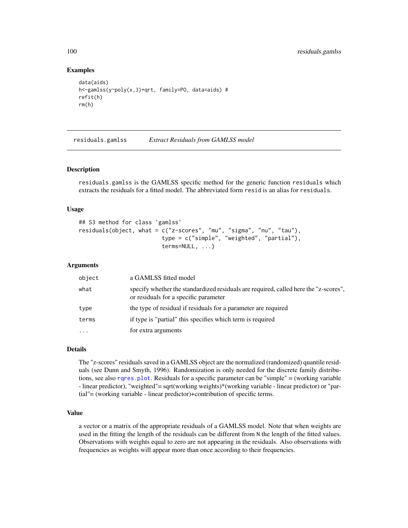## Examples

```
data(aids)
h<-gamlss(y~poly(x,3)+qrt, family=PO, data=aids) #
refit(h)
rm(h)
```
<span id="page-99-0"></span>residuals.gamlss *Extract Residuals from GAMLSS model*

# **Description**

residuals.gamlss is the GAMLSS specific method for the generic function residuals which extracts the residuals for a fitted model. The abbreviated form resid is an alias for residuals.

#### Usage

```
## S3 method for class 'gamlss'
residuals(object, what = c("z-scores", "mu", "sigma", "nu", "tau"),
                         type = c("simple", "weighted", "partial"),
                         terms=NULL, ...)
```
#### Arguments

| object    | a GAMLSS fitted model                                                                                                         |
|-----------|-------------------------------------------------------------------------------------------------------------------------------|
| what      | specify whether the standardized residuals are required, called here the "z-scores",<br>or residuals for a specific parameter |
| type      | the type of residual if residuals for a parameter are required                                                                |
| terms     | if type is "partial" this specifies which term is required                                                                    |
| $\ddotsc$ | for extra arguments                                                                                                           |

## Details

The "z-scores" residuals saved in a GAMLSS object are the normalized (randomized) quantile residuals (see Dunn and Smyth, 1996). Randomization is only needed for the discrete family distributions, see also [rqres.plot](#page-102-0). Residuals for a specific parameter can be "simple" = (working variable - linear predictor), "weighted"= sqrt(working weights)\*(working variable - linear predictor) or "partial"= (working variable - linear predictor)+contribution of specific terms.

## Value

a vector or a matrix of the appropriate residuals of a GAMLSS model. Note that when weights are used in the fitting the length of the residuals can be different from N the length of the fitted values. Observations with weights equal to zero are not appearing in the residuals. Also observations with frequencies as weights will appear more than once according to their frequencies.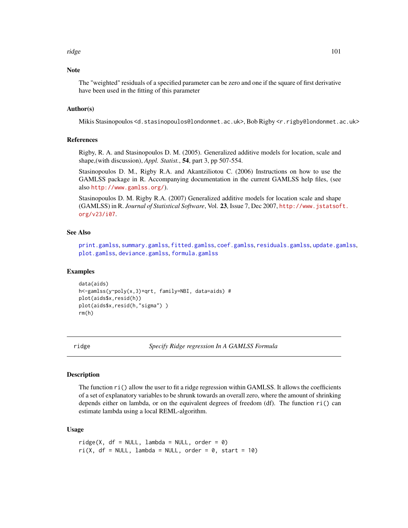#### ridge the state of the state of the state of the state of the state of the state of the state of the state of the state of the state of the state of the state of the state of the state of the state of the state of the stat

# Note

The "weighted" residuals of a specified parameter can be zero and one if the square of first derivative have been used in the fitting of this parameter

## Author(s)

Mikis Stasinopoulos <d.stasinopoulos@londonmet.ac.uk>, Bob Rigby <r.rigby@londonmet.ac.uk>

## References

Rigby, R. A. and Stasinopoulos D. M. (2005). Generalized additive models for location, scale and shape,(with discussion), *Appl. Statist.*, 54, part 3, pp 507-554.

Stasinopoulos D. M., Rigby R.A. and Akantziliotou C. (2006) Instructions on how to use the GAMLSS package in R. Accompanying documentation in the current GAMLSS help files, (see also <http://www.gamlss.org/>).

Stasinopoulos D. M. Rigby R.A. (2007) Generalized additive models for location scale and shape (GAMLSS) in R. *Journal of Statistical Software*, Vol. 23, Issue 7, Dec 2007, [http://www.jstatsof](http://www.jstatsoft.org/v23/i07)t. [org/v23/i07](http://www.jstatsoft.org/v23/i07).

## See Also

[print.gamlss](#page-79-0), [summary.gamlss](#page-111-0), [fitted.gamlss](#page-31-0), [coef.gamlss](#page-18-0), [residuals.gamlss](#page-99-0), [update.gamlss](#page-115-0), [plot.gamlss](#page-72-0), [deviance.gamlss](#page-22-0), [formula.gamlss](#page-33-0)

## Examples

```
data(aids)
h<-gamlss(y~poly(x,3)+qrt, family=NBI, data=aids) #
plot(aids$x,resid(h))
plot(aids$x,resid(h,"sigma") )
rm(h)
```
ridge *Specify Ridge regression In A GAMLSS Formula*

#### **Description**

The function ri() allow the user to fit a ridge regression within GAMLSS. It allows the coefficients of a set of explanatory variables to be shrunk towards an overall zero, where the amount of shrinking depends either on lambda, or on the equivalent degrees of freedom (df). The function ri() can estimate lambda using a local REML-algorithm.

## Usage

 $ridge(X, df = NULL, lambda = NULL, order = 0)$  $ri(X, df = NULL, lambda = NULL, order = 0, start = 10)$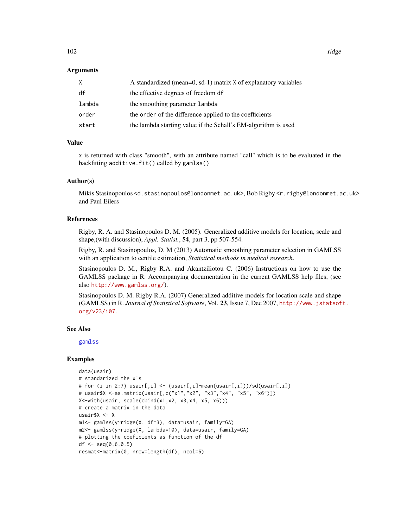102 ridge

## **Arguments**

| X      | A standardized (mean=0, sd-1) matrix X of explanatory variables |
|--------|-----------------------------------------------------------------|
| df     | the effective degrees of freedom df                             |
| lambda | the smoothing parameter lambda                                  |
| order  | the order of the difference applied to the coefficients         |
| start  | the lambda starting value if the Schall's EM-algorithm is used  |

# Value

x is returned with class "smooth", with an attribute named "call" which is to be evaluated in the backfitting additive.fit() called by gamlss()

#### Author(s)

Mikis Stasinopoulos <d.stasinopoulos@londonmet.ac.uk>, Bob Rigby <r.rigby@londonmet.ac.uk> and Paul Eilers

# References

Rigby, R. A. and Stasinopoulos D. M. (2005). Generalized additive models for location, scale and shape,(with discussion), *Appl. Statist.*, 54, part 3, pp 507-554.

Rigby, R. and Stasinopoulos, D. M (2013) Automatic smoothing parameter selection in GAMLSS with an application to centile estimation, *Statistical methods in medical research*.

Stasinopoulos D. M., Rigby R.A. and Akantziliotou C. (2006) Instructions on how to use the GAMLSS package in R. Accompanying documentation in the current GAMLSS help files, (see also <http://www.gamlss.org/>).

Stasinopoulos D. M. Rigby R.A. (2007) Generalized additive models for location scale and shape (GAMLSS) in R. *Journal of Statistical Software*, Vol. 23, Issue 7, Dec 2007, [http://www.jstatsof](http://www.jstatsoft.org/v23/i07)t. [org/v23/i07](http://www.jstatsoft.org/v23/i07).

#### See Also

[gamlss](#page-34-0)

# Examples

```
data(usair)
# standarized the x's
# for (i in 2:7) usair[,i] <- (usair[,i]-mean(usair[,i]))/sd(usair[,i])
# usair$X <-as.matrix(usair[,c("x1","x2", "x3","x4", "x5", "x6")])
X<-with(usair, scale(cbind(x1,x2, x3,x4, x5, x6)))
# create a matrix in the data
usair$X <- X
m1<- gamlss(y~ridge(X, df=3), data=usair, family=GA)
m2<- gamlss(y~ridge(X, lambda=10), data=usair, family=GA)
# plotting the coeficients as function of the df
df \leq seq(0,6,0.5)
resmat<-matrix(0, nrow=length(df), ncol=6)
```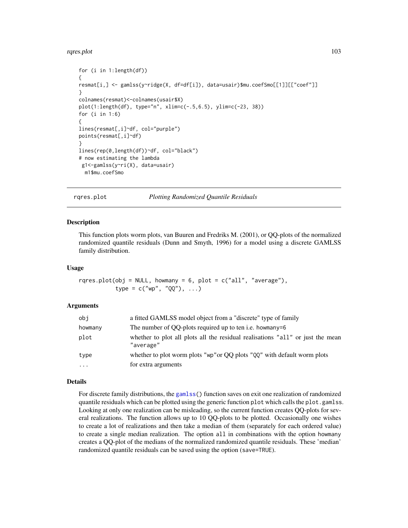#### rqres.plot the contract of the contract of the contract of the contract of the contract of the contract of the contract of the contract of the contract of the contract of the contract of the contract of the contract of the

```
for (i in 1:length(df))
{
resmat[i,] <- gamlss(y~ridge(X, df=df[i]), data=usair)$mu.coefSmo[[1]][["coef"]]
}
colnames(resmat)<-colnames(usair$X)
plot(1:length(df), type="n", xlim=c(-.5,6.5), ylim=c(-23, 38))
for (i in 1:6)
{
lines(resmat[,i]~df, col="purple")
points(resmat[,i]~df)
}
lines(rep(0,length(df))~df, col="black")
# now estimating the lambda
g1<-gamlss(y~ri(X), data=usair)
 m1$mu.coefSmo
```
<span id="page-102-0"></span>rqres.plot *Plotting Randomized Quantile Residuals*

#### Description

This function plots worm plots, van Buuren and Fredriks M. (2001), or QQ-plots of the normalized randomized quantile residuals (Dunn and Smyth, 1996) for a model using a discrete GAMLSS family distribution.

#### Usage

rqres.plot(obj = NULL, howmany =  $6$ , plot =  $c("all", "average"),$ type =  $c("wp", "QQ"), ...)$ 

## Arguments

| obj       | a fitted GAMLSS model object from a "discrete" type of family                               |
|-----------|---------------------------------------------------------------------------------------------|
| howmany   | The number of QQ-plots required up to ten i.e. howmany=6                                    |
| plot      | whether to plot all plots all the residual realisations "all" or just the mean<br>"average" |
| type      | whether to plot worm plots " $\psi$ " or QQ plots " $\eta$ Q" with default worm plots       |
| $\ddotsc$ | for extra arguments                                                                         |

#### Details

For discrete family distributions, the [gamlss\(](#page-34-0)) function saves on exit one realization of randomized quantile residuals which can be plotted using the generic function plot which calls the plot.gamlss. Looking at only one realization can be misleading, so the current function creates QQ-plots for several realizations. The function allows up to 10 QQ-plots to be plotted. Occasionally one wishes to create a lot of realizations and then take a median of them (separately for each ordered value) to create a single median realization. The option all in combinations with the option howmany creates a QQ-plot of the medians of the normalized randomized quantile residuals. These 'median' randomized quantile residuals can be saved using the option (save=TRUE).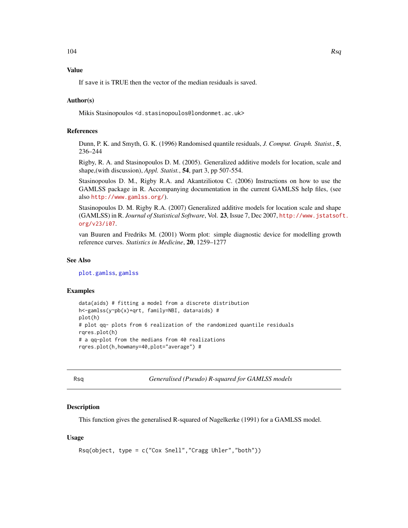# Value

If save it is TRUE then the vector of the median residuals is saved.

## Author(s)

Mikis Stasinopoulos <d.stasinopoulos@londonmet.ac.uk>

## References

Dunn, P. K. and Smyth, G. K. (1996) Randomised quantile residuals, *J. Comput. Graph. Statist.*, 5, 236–244

Rigby, R. A. and Stasinopoulos D. M. (2005). Generalized additive models for location, scale and shape,(with discussion), *Appl. Statist.*, 54, part 3, pp 507-554.

Stasinopoulos D. M., Rigby R.A. and Akantziliotou C. (2006) Instructions on how to use the GAMLSS package in R. Accompanying documentation in the current GAMLSS help files, (see also <http://www.gamlss.org/>).

Stasinopoulos D. M. Rigby R.A. (2007) Generalized additive models for location scale and shape (GAMLSS) in R. *Journal of Statistical Software*, Vol. 23, Issue 7, Dec 2007, [http://www.jstatsof](http://www.jstatsoft.org/v23/i07)t. [org/v23/i07](http://www.jstatsoft.org/v23/i07).

van Buuren and Fredriks M. (2001) Worm plot: simple diagnostic device for modelling growth reference curves. *Statistics in Medicine*, 20, 1259–1277

#### See Also

[plot.gamlss](#page-72-0), [gamlss](#page-34-0)

#### Examples

```
data(aids) # fitting a model from a discrete distribution
h<-gamlss(y~pb(x)+qrt, family=NBI, data=aids) #
plot(h)
# plot qq- plots from 6 realization of the randomized quantile residuals
rqres.plot(h)
# a qq-plot from the medians from 40 realizations
rqres.plot(h,howmany=40,plot="average") #
```
Rsq *Generalised (Pseudo) R-squared for GAMLSS models*

## Description

This function gives the generalised R-squared of Nagelkerke (1991) for a GAMLSS model.

## Usage

```
Rsq(object, type = c("Cox Snell","Cragg Uhler","both"))
```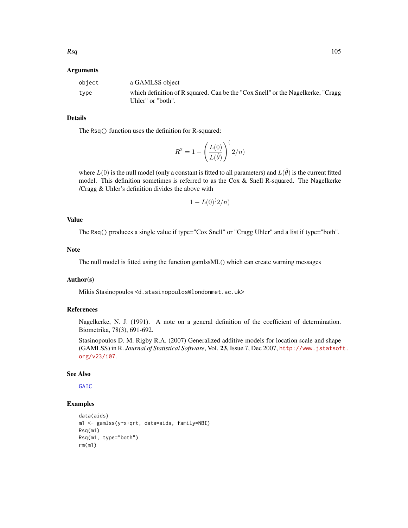#### Arguments

| object | a GAMLSS object                                                                                      |
|--------|------------------------------------------------------------------------------------------------------|
| type   | which definition of R squared. Can be the "Cox Snell" or the Nagelkerke, "Cragg<br>Uhler" or "both". |

# Details

The Rsq() function uses the definition for R-squared:

$$
R^2 = 1 - \left(\frac{L(0)}{L(\hat{\theta})}\right)^{t} 2/n)
$$

where  $L(0)$  is the null model (only a constant is fitted to all parameters) and  $L(\hat{\theta})$  is the current fitted model. This definition sometimes is referred to as the Cox & Snell R-squared. The Nagelkerke /Cragg & Uhler's definition divides the above with

$$
1 - L(0)^{(2/n)}
$$

#### Value

The Rsq() produces a single value if type="Cox Snell" or "Cragg Uhler" and a list if type="both".

#### Note

The null model is fitted using the function gamlssML() which can create warning messages

## Author(s)

Mikis Stasinopoulos <d.stasinopoulos@londonmet.ac.uk>

## References

Nagelkerke, N. J. (1991). A note on a general definition of the coefficient of determination. Biometrika, 78(3), 691-692.

Stasinopoulos D. M. Rigby R.A. (2007) Generalized additive models for location scale and shape (GAMLSS) in R. *Journal of Statistical Software*, Vol. 23, Issue 7, Dec 2007, [http://www.jstatsof](http://www.jstatsoft.org/v23/i07)t. [org/v23/i07](http://www.jstatsoft.org/v23/i07).

## See Also

**[GAIC](#page-57-0)** 

# Examples

```
data(aids)
m1 <- gamlss(y~x+qrt, data=aids, family=NBI)
Rsq(m1)
Rsq(m1, type="both")
rm(m1)
```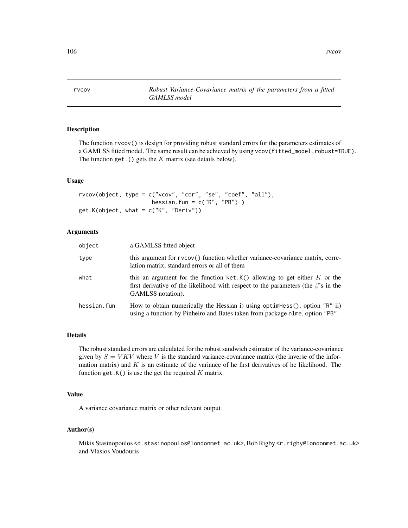rvcov *Robust Variance-Covariance matrix of the parameters from a fitted GAMLSS model*

## Description

The function rvcov() is design for providing robust standard errors for the parameters estimates of a GAMLSS fitted model. The same result can be achieved by using vcov(fitted\_model,robust=TRUE). The function get. () gets the  $K$  matrix (see details below).

#### Usage

```
rvcov(object, type = c("vcov", "cor", "se", "coef", "all"),
                     hessian.fun = c("R", "PB") )
get.K(object, what = c("K", "Deriv"))
```
## Arguments

| object      | a GAMLSS fitted object                                                                                                                                                                        |
|-------------|-----------------------------------------------------------------------------------------------------------------------------------------------------------------------------------------------|
| type        | this argument for rvcov() function whether variance-covariance matrix, corre-<br>lation matrix, standard errors or all of them                                                                |
| what        | this an argument for the function ket. $K()$ allowing to get either K or the<br>first derivative of the likelihood with respect to the parameters (the $\beta$ 's in the<br>GAMLSS notation). |
| hessian.fun | How to obtain numerically the Hessian i) using optimes $($ , option "R" ii)<br>using a function by Pinheiro and Bates taken from package nlme, option "PB".                                   |

# Details

The robust standard errors are calculated for the robust sandwich estimator of the variance-covariance given by  $S = V K V$  where V is the standard variance-covariance matrix (the inverse of the information matrix) and  $K$  is an estimate of the variance of he first derivatives of he likelihood. The function get. $K()$  is use the get the required K matrix.

#### Value

A variance covariance matrix or other relevant output

#### Author(s)

Mikis Stasinopoulos <d.stasinopoulos@londonmet.ac.uk>, Bob Rigby <r.rigby@londonmet.ac.uk> and Vlasios Voudouris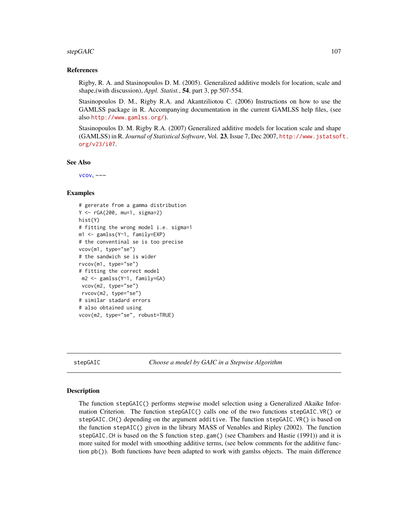#### stepGAIC 107

## References

Rigby, R. A. and Stasinopoulos D. M. (2005). Generalized additive models for location, scale and shape,(with discussion), *Appl. Statist.*, 54, part 3, pp 507-554.

Stasinopoulos D. M., Rigby R.A. and Akantziliotou C. (2006) Instructions on how to use the GAMLSS package in R. Accompanying documentation in the current GAMLSS help files, (see also <http://www.gamlss.org/>).

Stasinopoulos D. M. Rigby R.A. (2007) Generalized additive models for location scale and shape (GAMLSS) in R. *Journal of Statistical Software*, Vol. 23, Issue 7, Dec 2007, [http://www.jstatsof](http://www.jstatsoft.org/v23/i07)t. [org/v23/i07](http://www.jstatsoft.org/v23/i07).

## See Also

 $VCOV, \sim~$ 

## Examples

```
# gererate from a gamma distribution
Y <- rGA(200, mu=1, sigma=2)
hist(Y)
# fitting the wrong model i.e. sigma=1
m1 <- gamlss(Y~1, family=EXP)
# the conventinal se is too precise
vcov(m1, type="se")
# the sandwich se is wider
rvcov(m1, type="se")
# fitting the correct model
 m2 <- gamlss(Y~1, family=GA)
 vcov(m2, type="se")
 rvcov(m2, type="se")
# similar stadard errors
# also obtained using
vcov(m2, type="se", robust=TRUE)
```
stepGAIC *Choose a model by GAIC in a Stepwise Algorithm*

#### **Description**

The function stepGAIC() performs stepwise model selection using a Generalized Akaike Information Criterion. The function stepGAIC() calls one of the two functions stepGAIC.VR() or stepGAIC.CH() depending on the argument additive. The function stepGAIC.VR() is based on the function stepAIC() given in the library MASS of Venables and Ripley (2002). The function stepGAIC.CH is based on the S function step.gam() (see Chambers and Hastie (1991)) and it is more suited for model with smoothing additive terms, (see below comments for the additive function pb()). Both functions have been adapted to work with gamlss objects. The main difference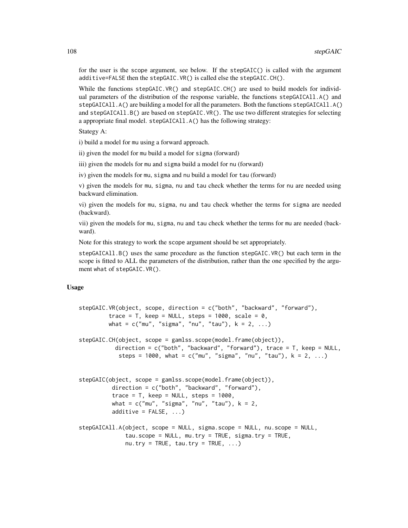for the user is the scope argument, see below. If the stepGAIC() is called with the argument additive=FALSE then the stepGAIC.VR() is called else the stepGAIC.CH().

While the functions stepGAIC.VR() and stepGAIC.CH() are used to build models for individual parameters of the distribution of the response variable, the functions stepGAICAll.A() and stepGAICAll.A() are building a model for all the parameters. Both the functions stepGAICAll.A() and stepGAICAll.B() are based on stepGAIC.VR(). The use two different strategies for selecting a appropriate final model. stepGAICAll.A() has the following strategy:

Stategy A:

i) build a model for mu using a forward approach.

ii) given the model for mu build a model for sigma (forward)

iii) given the models for mu and sigma build a model for nu (forward)

iv) given the models for mu, sigma and nu build a model for tau (forward)

v) given the models for mu, sigma, nu and tau check whether the terms for nu are needed using backward elimination.

vi) given the models for mu, sigma, nu and tau check whether the terms for sigma are needed (backward).

vii) given the models for mu, sigma, nu and tau check whether the terms for mu are needed (backward).

Note for this strategy to work the scope argument should be set appropriately.

stepGAICAll.B() uses the same procedure as the function stepGAIC.VR() but each term in the scope is fitted to ALL the parameters of the distribution, rather than the one specified by the argument what of stepGAIC.VR().

## Usage

```
stepGAIC.VR(object, scope, direction = c("both", "backward", "forward"),
         trace = T, keep = NULL, steps = 1000, scale = 0,
        what = c("mu", "sigma", "nu", "tau"), k = 2, ...stepGAIC.CH(object, scope = gamlss.scope(model.frame(object)),
          direction = c("both", "backward", "forward"), trace = T, keep = NULL,
           steps = 1000, what = c("mu", "sigma", "nu", "tau"), k = 2, ...)stepGAIC(object, scope = gamlss.scope(model.frame(object)),
         direction = c("both", "backward", "forward"),
         trace = T, keep = NULL, steps = 1000,
         what = c("mu", "sigma", "nu", "tau"), k = 2,additive = FALSE, \ldots)stepGAICAll.A(object, scope = NULL, sigma.scope = NULL, nu.scope = NULL,
             tau.scope = NULL, mu.try = TRUE, sigma.try = TRUE,
              nu. try = TRUE, tau. try = TRUE, ...)
```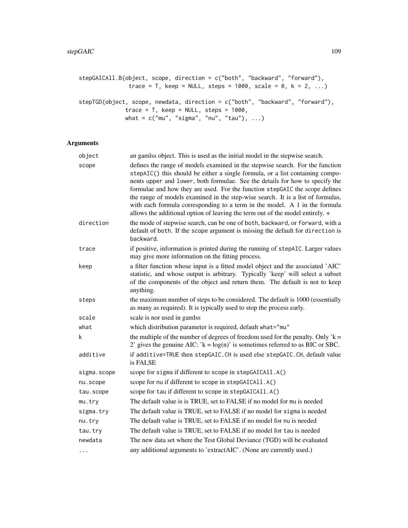```
stepGAICAll.B(object, scope, direction = c("both", "backward", "forward"),
               trace = T, keep = NULL, steps = 1000, scale = 0, k = 2, ...)
stepTGD(object, scope, newdata, direction = c("both", "backward", "forward"),
              trace = T, keep = NULL, steps = 1000,
```
what =  $c("mu", "sigma", "nu", "tau"), ...$ 

Arguments

# object an gamlss object. This is used as the initial model in the stepwise search. scope defines the range of models examined in the stepwise search. For the function stepAIC() this should be either a single formula, or a list containing components upper and lower, both formulae. See the details for how to specify the formulae and how they are used. For the function stepGAIC the scope defines the range of models examined in the step-wise search. It is a list of formulas, with each formula corresponding to a term in the model. A 1 in the formula allows the additional option of leaving the term out of the model entirely. + direction the mode of stepwise search, can be one of both, backward, or forward, with a default of both. If the scope argument is missing the default for direction is backward. trace if positive, information is printed during the running of stepAIC. Larger values may give more information on the fitting process. keep a filter function whose input is a fitted model object and the associated 'AIC' statistic, and whose output is arbitrary. Typically 'keep' will select a subset of the components of the object and return them. The default is not to keep anything. steps the maximum number of steps to be considered. The default is 1000 (essentially as many as required). It is typically used to stop the process early. scale scale is nor used in gamlss what which distribution parameter is required, default what="mu" k the multiple of the number of degrees of freedom used for the penalty. Only  $k =$ 2' gives the genuine AIC:  $k = log(n)$ ' is sometimes referred to as BIC or SBC. additive if additive=TRUE then stepGAIC.CH is used else stepGAIC.CH, default value is FALSE sigma.scope scope for sigma if different to scope in stepGAICAll.A() nu.scope scope for nu if different to scope in stepGAICAll.A() tau.scope scope for tau if different to scope in stepGAICAll.A() mu.try The default value is is TRUE, set to FALSE if no model for mu is needed sigma.try The default value is TRUE, set to FALSE if no model for sigma is needed nu.try The default value is TRUE, set to FALSE if no model for nu is needed tau.try The default value is TRUE, set to FALSE if no model for tau is needed newdata The new data set where the Test Global Deviance (TGD) will be evaluated ... any additional arguments to 'extractAIC'. (None are currently used.)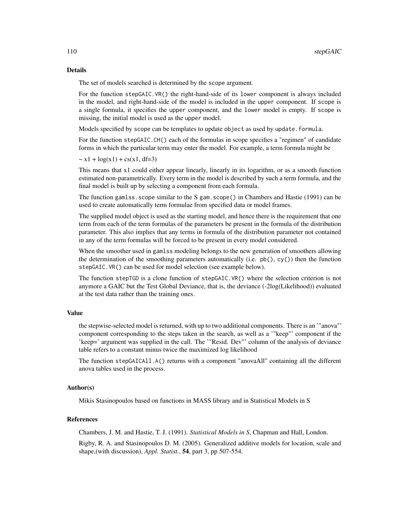# Details

The set of models searched is determined by the scope argument.

For the function stepGAIC.VR() the right-hand-side of its lower component is always included in the model, and right-hand-side of the model is included in the upper component. If scope is a single formula, it specifies the upper component, and the lower model is empty. If scope is missing, the initial model is used as the upper model.

Models specified by scope can be templates to update object as used by update.formula.

For the function stepGAIC.CH() each of the formulas in scope specifies a "regimen" of candidate forms in which the particular term may enter the model. For example, a term formula might be

 $\sim x_1 + \log(x_1) + \text{cs}(x_1, df=3)$ 

This means that x1 could either appear linearly, linearly in its logarithm, or as a smooth function estimated non-parametrically. Every term in the model is described by such a term formula, and the final model is built up by selecting a component from each formula.

The function gamlss.scope similar to the S gam.scope() in Chambers and Hastie (1991) can be used to create automatically term formulae from specified data or model frames.

The supplied model object is used as the starting model, and hence there is the requirement that one term from each of the term formulas of the parameters be present in the formula of the distribution parameter. This also implies that any terms in formula of the distribution parameter not contained in any of the term formulas will be forced to be present in every model considered.

When the smoother used in gamlss modeling belongs to the new generation of smoothers allowing the determination of the smoothing parameters automatically (i.e.  $pb($ ),  $cy($ )) then the function stepGAIC.VR() can be used for model selection (see example below).

The function stepTGD is a clone function of stepGAIC.VR() where the selection criterion is not anymore a GAIC but the Test Global Deviance, that is, the deviance (-2log(Likelihood)) evaluated at the test data rather than the training ones.

#### Value

the stepwise-selected model is returned, with up to two additional components. There is an '"anova"' component corresponding to the steps taken in the search, as well as a '"keep"' component if the 'keep=' argument was supplied in the call. The '"Resid. Dev"' column of the analysis of deviance table refers to a constant minus twice the maximized log likelihood

The function stepGAICAll.A() returns with a component "anovaAll" containing all the different anova tables used in the process.

# Author(s)

Mikis Stasinopoulos based on functions in MASS library and in Statistical Models in S

# References

Chambers, J. M. and Hastie, T. J. (1991). *Statistical Models in S*, Chapman and Hall, London.

Rigby, R. A. and Stasinopoulos D. M. (2005). Generalized additive models for location, scale and shape,(with discussion), *Appl. Statist.*, 54, part 3, pp 507-554.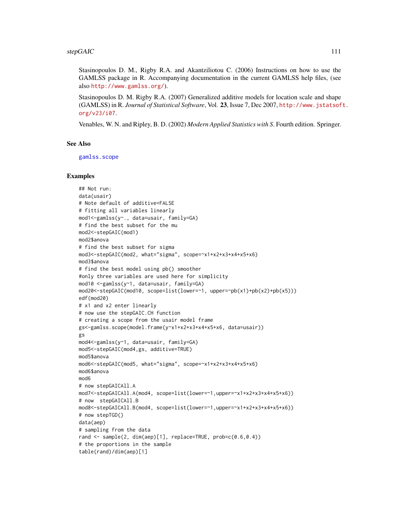#### <span id="page-110-0"></span>stepGAIC 111

Stasinopoulos D. M., Rigby R.A. and Akantziliotou C. (2006) Instructions on how to use the GAMLSS package in R. Accompanying documentation in the current GAMLSS help files, (see also <http://www.gamlss.org/>).

Stasinopoulos D. M. Rigby R.A. (2007) Generalized additive models for location scale and shape (GAMLSS) in R. *Journal of Statistical Software*, Vol. 23, Issue 7, Dec 2007, [http://www.jstatsof](http://www.jstatsoft.org/v23/i07)t. [org/v23/i07](http://www.jstatsoft.org/v23/i07).

Venables, W. N. and Ripley, B. D. (2002) *Modern Applied Statistics with S*. Fourth edition. Springer.

#### See Also

[gamlss.scope](#page-45-0)

```
## Not run:
data(usair)
# Note default of additive=FALSE
# fitting all variables linearly
mod1<-gamlss(y~., data=usair, family=GA)
# find the best subset for the mu
mod2<-stepGAIC(mod1)
mod2$anova
# find the best subset for sigma
mod3<-stepGAIC(mod2, what="sigma", scope=~x1+x2+x3+x4+x5+x6)
mod3$anova
# find the best model using pb() smoother
#only three variables are used here for simplicity
mod10 <-gamlss(y~1, data=usair, family=GA)
mod20<-stepGAIC(mod10, scope=list(lower=~1, upper=~pb(x1)+pb(x2)+pb(x5)))
edf(mod20)
# x1 and x2 enter linearly
# now use the stepGAIC.CH function
# creating a scope from the usair model frame
gs<-gamlss.scope(model.frame(y~x1+x2+x3+x4+x5+x6, data=usair))
gs
mod4<-gamlss(y~1, data=usair, family=GA)
mod5<-stepGAIC(mod4,gs, additive=TRUE)
mod5$anova
mod6<-stepGAIC(mod5, what="sigma", scope=~x1+x2+x3+x4+x5+x6)
mod6$anova
mod6
# now stepGAICAll.A
mod7<-stepGAICAll.A(mod4, scope=list(lower=~1,upper=~x1+x2+x3+x4+x5+x6))
# now stepGAICAll.B
mod8<-stepGAICAll.B(mod4, scope=list(lower=~1,upper=~x1+x2+x3+x4+x5+x6))
# now stepTGD()
data(aep)
# sampling from the data
rand <- sample(2, dim(aep)[1], replace=TRUE, prob=c(0.6,0.4))
# the proportions in the sample
table(rand)/dim(aep)[1]
```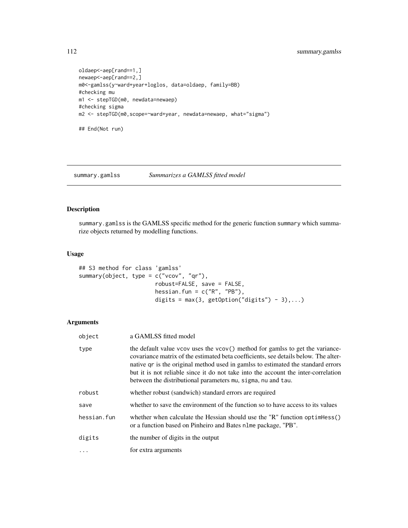```
oldaep<-aep[rand==1,]
newaep<-aep[rand==2,]
m0<-gamlss(y~ward+year+loglos, data=oldaep, family=BB)
#checking mu
m1 <- stepTGD(m0, newdata=newaep)
#checking sigma
m2 <- stepTGD(m0,scope=~ward+year, newdata=newaep, what="sigma")
## End(Not run)
```
<span id="page-111-0"></span>summary.gamlss *Summarizes a GAMLSS fitted model*

# Description

summary.gamlss is the GAMLSS specific method for the generic function summary which summarize objects returned by modelling functions.

# Usage

```
## S3 method for class 'gamlss'
summary(object, type = c("vcov", "qr"),
                       robust=FALSE, save = FALSE,
                       hessian.fun = c("R", "PB"),
                       digits = max(3, getOption("digits") - 3),...)
```
# Arguments

| object      | a GAMLSS fitted model                                                                                                                                                                                                                                                                                                                                                                                          |  |
|-------------|----------------------------------------------------------------------------------------------------------------------------------------------------------------------------------------------------------------------------------------------------------------------------------------------------------------------------------------------------------------------------------------------------------------|--|
| type        | the default value vcov uses the vcov() method for gamlss to get the variance-<br>covariance matrix of the estimated beta coefficients, see details below. The alter-<br>native qr is the original method used in gamlss to estimated the standard errors<br>but it is not reliable since it do not take into the account the inter-correlation<br>between the distributional parameters mu, sigma, nu and tau. |  |
| robust      | whether robust (sandwich) standard errors are required                                                                                                                                                                                                                                                                                                                                                         |  |
| save        | whether to save the environment of the function so to have access to its values                                                                                                                                                                                                                                                                                                                                |  |
| hessian.fun | whether when calculate the Hessian should use the "R" function optimess()<br>or a function based on Pinheiro and Bates nlme package, "PB".                                                                                                                                                                                                                                                                     |  |
| digits      | the number of digits in the output                                                                                                                                                                                                                                                                                                                                                                             |  |
| $\cdot$     | for extra arguments                                                                                                                                                                                                                                                                                                                                                                                            |  |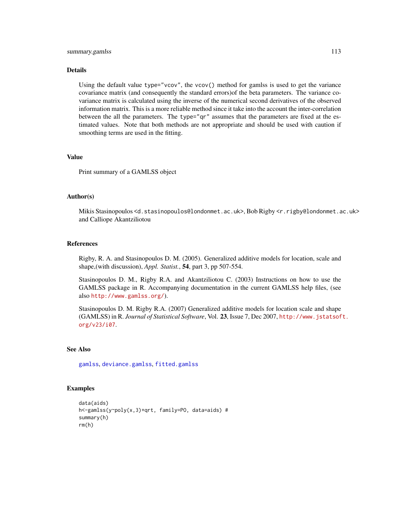# <span id="page-112-0"></span>summary.gamlss 113

#### Details

Using the default value type="vcov", the vcov() method for gamlss is used to get the variance covariance matrix (and consequently the standard errors)of the beta parameters. The variance covariance matrix is calculated using the inverse of the numerical second derivatives of the observed information matrix. This is a more reliable method since it take into the account the inter-correlation between the all the parameters. The type="qr" assumes that the parameters are fixed at the estimated values. Note that both methods are not appropriate and should be used with caution if smoothing terms are used in the fitting.

# Value

Print summary of a GAMLSS object

#### Author(s)

Mikis Stasinopoulos <d.stasinopoulos@londonmet.ac.uk>, Bob Rigby <r.rigby@londonmet.ac.uk> and Calliope Akantziliotou

#### References

Rigby, R. A. and Stasinopoulos D. M. (2005). Generalized additive models for location, scale and shape,(with discussion), *Appl. Statist.*, 54, part 3, pp 507-554.

Stasinopoulos D. M., Rigby R.A. and Akantziliotou C. (2003) Instructions on how to use the GAMLSS package in R. Accompanying documentation in the current GAMLSS help files, (see also <http://www.gamlss.org/>).

Stasinopoulos D. M. Rigby R.A. (2007) Generalized additive models for location scale and shape (GAMLSS) in R. *Journal of Statistical Software*, Vol. 23, Issue 7, Dec 2007, [http://www.jstatsof](http://www.jstatsoft.org/v23/i07)t. [org/v23/i07](http://www.jstatsoft.org/v23/i07).

# See Also

[gamlss](#page-34-0), [deviance.gamlss](#page-22-0), [fitted.gamlss](#page-31-0)

```
data(aids)
h<-gamlss(y~poly(x,3)+qrt, family=PO, data=aids) #
summary(h)
rm(h)
```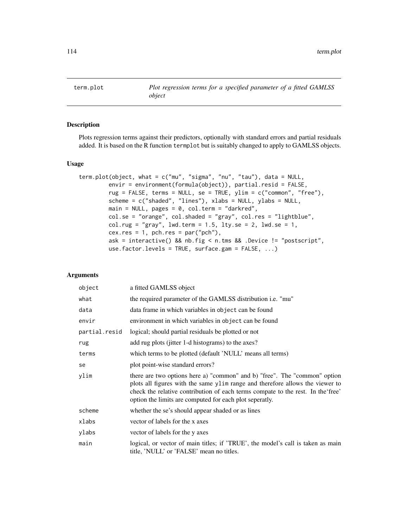<span id="page-113-0"></span>term.plot *Plot regression terms for a specified parameter of a fitted GAMLSS object*

# Description

Plots regression terms against their predictors, optionally with standard errors and partial residuals added. It is based on the R function termplot but is suitably changed to apply to GAMLSS objects.

#### Usage

```
term.plot(object, what = c("mu", "sigma", "nu", "tau"), data = NULL,
        envir = environment(formula(object)), partial.resid = FALSE,
         rug = FALSE, terms = NULL, se = TRUE, ylim = c("common", "free"),
        scheme = c("shaded", "lines"), xlabs = NULL, ylabs = NULL,
        main = NULL, pages = 0, col.term = "darkred",
        col.se = "orange", col.shaded = "gray", col.res = "lightblue",
         col.rug = "gray", lwd.term = 1.5, lty.se = 2, lwd.se = 1,cex.res = 1, pch.res = par("pch"),
        ask = interactive() && nb.fig < n.tms && .Device != "postscript",
        use.factor.levels = TRUE, surface.gam = FALSE, ...)
```
# Arguments

| object        | a fitted GAMLSS object                                                                                                                                                                                                                                                                                   |  |  |
|---------------|----------------------------------------------------------------------------------------------------------------------------------------------------------------------------------------------------------------------------------------------------------------------------------------------------------|--|--|
| what          | the required parameter of the GAMLSS distribution i.e. "mu"                                                                                                                                                                                                                                              |  |  |
| data          | data frame in which variables in object can be found                                                                                                                                                                                                                                                     |  |  |
| envir         | environment in which variables in object can be found                                                                                                                                                                                                                                                    |  |  |
| partial.resid | logical; should partial residuals be plotted or not                                                                                                                                                                                                                                                      |  |  |
| rug           | add rug plots (jitter 1-d histograms) to the axes?                                                                                                                                                                                                                                                       |  |  |
| terms         | which terms to be plotted (default 'NULL' means all terms)                                                                                                                                                                                                                                               |  |  |
| se            | plot point-wise standard errors?                                                                                                                                                                                                                                                                         |  |  |
| ylim          | there are two options here a) "common" and b) "free". The "common" option<br>plots all figures with the same ylim range and therefore allows the viewer to<br>check the relative contribution of each terms compate to the rest. In the free'<br>option the limits are computed for each plot seperatly. |  |  |
| scheme        | whether the se's should appear shaded or as lines                                                                                                                                                                                                                                                        |  |  |
| xlabs         | vector of labels for the x axes                                                                                                                                                                                                                                                                          |  |  |
| ylabs         | vector of labels for the y axes                                                                                                                                                                                                                                                                          |  |  |
| main          | logical, or vector of main titles; if 'TRUE', the model's call is taken as main<br>title, 'NULL' or 'FALSE' mean no titles.                                                                                                                                                                              |  |  |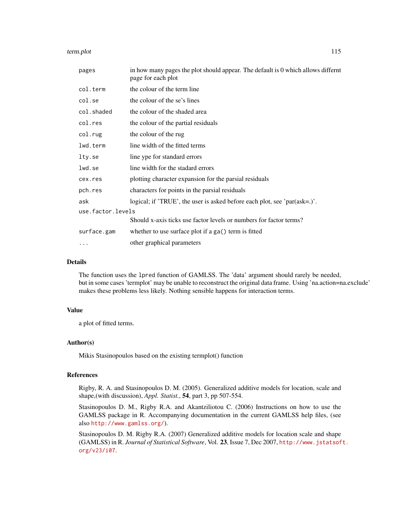term.plot the 115

| pages             | in how many pages the plot should appear. The default is 0 which allows differnt<br>page for each plot |
|-------------------|--------------------------------------------------------------------------------------------------------|
| col.term          | the colour of the term line                                                                            |
| col.se            | the colour of the se's lines                                                                           |
| col.shaded        | the colour of the shaded area                                                                          |
| col.res           | the colour of the partial residuals                                                                    |
| col.rug           | the colour of the rug                                                                                  |
| lwd.term          | line width of the fitted terms                                                                         |
| lty.se            | line ype for standard errors                                                                           |
| lwd.se            | line width for the stadard errors                                                                      |
| cex.res           | plotting character expansion for the parsial residuals                                                 |
| pch.res           | characters for points in the parsial residuals                                                         |
| ask               | logical; if 'TRUE', the user is asked before each plot, see 'par(ask=.)'.                              |
| use.factor.levels |                                                                                                        |
|                   | Should x-axis ticks use factor levels or numbers for factor terms?                                     |
| surface.gam       | whether to use surface plot if a ga() term is fitted                                                   |
| $\cdots$          | other graphical parameters                                                                             |

#### Details

The function uses the lpred function of GAMLSS. The 'data' argument should rarely be needed, but in some cases 'termplot' may be unable to reconstruct the original data frame. Using 'na.action=na.exclude' makes these problems less likely. Nothing sensible happens for interaction terms.

# Value

a plot of fitted terms.

# Author(s)

Mikis Stasinopoulos based on the existing termplot() function

#### References

Rigby, R. A. and Stasinopoulos D. M. (2005). Generalized additive models for location, scale and shape,(with discussion), *Appl. Statist.*, 54, part 3, pp 507-554.

Stasinopoulos D. M., Rigby R.A. and Akantziliotou C. (2006) Instructions on how to use the GAMLSS package in R. Accompanying documentation in the current GAMLSS help files, (see also <http://www.gamlss.org/>).

Stasinopoulos D. M. Rigby R.A. (2007) Generalized additive models for location scale and shape (GAMLSS) in R. *Journal of Statistical Software*, Vol. 23, Issue 7, Dec 2007, [http://www.jstatsof](http://www.jstatsoft.org/v23/i07)t. [org/v23/i07](http://www.jstatsoft.org/v23/i07).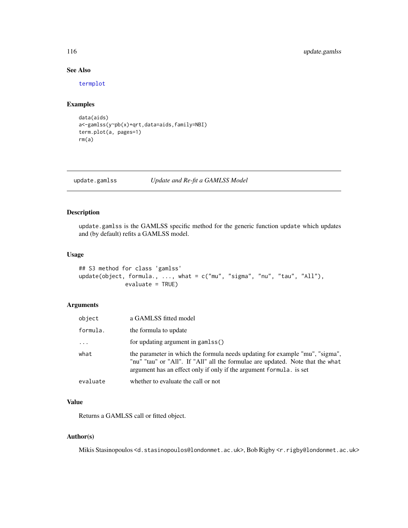# <span id="page-115-0"></span>See Also

[termplot](#page-0-0)

# Examples

```
data(aids)
a<-gamlss(y~pb(x)+qrt,data=aids,family=NBI)
term.plot(a, pages=1)
rm(a)
```
update.gamlss *Update and Re-fit a GAMLSS Model*

# Description

update.gamlss is the GAMLSS specific method for the generic function update which updates and (by default) refits a GAMLSS model.

#### Usage

```
## S3 method for class 'gamlss'
update(object, formula., ..., what = c("mu", "sigma", "nu", "tau", "All"),
              evaluate = TRUE)
```
# Arguments

| object   | a GAMLSS fitted model                                                                                                                                                                                                                 |  |
|----------|---------------------------------------------------------------------------------------------------------------------------------------------------------------------------------------------------------------------------------------|--|
| formula. | the formula to update                                                                                                                                                                                                                 |  |
| $\cdots$ | for updating argument in gamlss()                                                                                                                                                                                                     |  |
| what     | the parameter in which the formula needs updating for example "mu", "sigma",<br>"nu" "tau" or "All". If "All" all the formulae are updated. Note that the what<br>argument has an effect only if only if the argument formula. is set |  |
| evaluate | whether to evaluate the call or not                                                                                                                                                                                                   |  |

# Value

Returns a GAMLSS call or fitted object.

# Author(s)

Mikis Stasinopoulos <d.stasinopoulos@londonmet.ac.uk>, Bob Rigby <r.rigby@londonmet.ac.uk>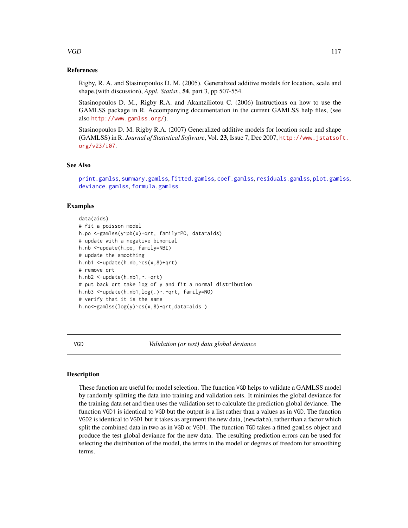# <span id="page-116-0"></span> $VGD$  117

# References

Rigby, R. A. and Stasinopoulos D. M. (2005). Generalized additive models for location, scale and shape,(with discussion), *Appl. Statist.*, 54, part 3, pp 507-554.

Stasinopoulos D. M., Rigby R.A. and Akantziliotou C. (2006) Instructions on how to use the GAMLSS package in R. Accompanying documentation in the current GAMLSS help files, (see also <http://www.gamlss.org/>).

Stasinopoulos D. M. Rigby R.A. (2007) Generalized additive models for location scale and shape (GAMLSS) in R. *Journal of Statistical Software*, Vol. 23, Issue 7, Dec 2007, [http://www.jstatsof](http://www.jstatsoft.org/v23/i07)t. [org/v23/i07](http://www.jstatsoft.org/v23/i07).

# See Also

```
print.gamlss, summary.gamlss, fitted.gamlss, coef.gamlss, residuals.gamlss, plot.gamlss,
deviance.gamlss, formula.gamlss
```
# Examples

```
data(aids)
# fit a poisson model
h.po <-gamlss(y~pb(x)+qrt, family=PO, data=aids)
# update with a negative binomial
h.nb <-update(h.po, family=NBI)
# update the smoothing
h.nb1 <-update(h.nb,~cs(x,8)+qrt)
# remove qrt
h.nb2 <-update(h.nb1,~.-qrt)
# put back qrt take log of y and fit a normal distribution
h.nb3 <-update(h.nb1,log(.)~.+qrt, family=NO)
# verify that it is the same
h.no<-gamlss(log(y)~cs(x,8)+qrt,data=aids )
```
VGD *Validation (or test) data global deviance*

# Description

These function are useful for model selection. The function VGD helps to validate a GAMLSS model by randomly splitting the data into training and validation sets. It minimies the global deviance for the training data set and then uses the validation set to calculate the prediction global deviance. The function VGD1 is identical to VGD but the output is a list rather than a values as in VGD. The function VGD2 is identical to VGD1 but it takes as argument the new data, (newdata), rather than a factor which split the combined data in two as in VGD or VGD1. The function TGD takes a fitted gamlss object and produce the test global deviance for the new data. The resulting prediction errors can be used for selecting the distribution of the model, the terms in the model or degrees of freedom for smoothing terms.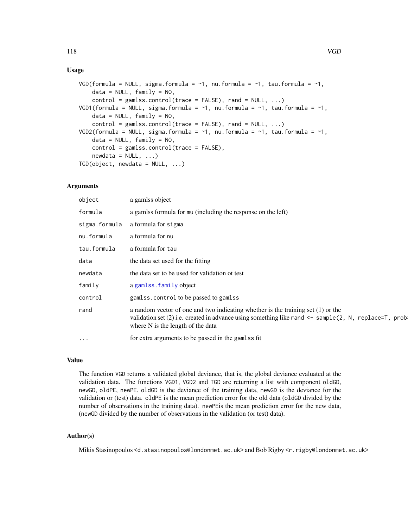# <span id="page-117-0"></span>Usage

```
VGD(formula = NULL, sigma.formula = \sim1, nu.formula = \sim1, tau.formula = \sim1,
    data = NULL, family = NO,control = gamescontrol(true = FALSE), rand = NULL, ...)VGD1(formula = NULL, sigma.formula = \sim1, nu.formula = \sim1, tau.formula = \sim1,
    data = NULL, family = NO,control = games.control(trace = FALSE), rand = NULL, ...)
VGD2(formula = NULL, sigma.formula = \sim1, nu.formula = \sim1, tau.formula = \sim1,
    data = NULL, family = NO,control = gamlss.control(trace = FALSE),
    newdata = NULL, ...)TGD(object, new data = NULL, ...)
```
# Arguments

| object        | a gamlss object                                                                                                                                                                                                                       |
|---------------|---------------------------------------------------------------------------------------------------------------------------------------------------------------------------------------------------------------------------------------|
| formula       | a gamlss formula for mu (including the response on the left)                                                                                                                                                                          |
| sigma.formula | a formula for sigma                                                                                                                                                                                                                   |
| nu.formula    | a formula for nu                                                                                                                                                                                                                      |
| tau.formula   | a formula for tau                                                                                                                                                                                                                     |
| data          | the data set used for the fitting                                                                                                                                                                                                     |
| newdata       | the data set to be used for validation of test                                                                                                                                                                                        |
| family        | a gamlss.family object                                                                                                                                                                                                                |
| control       | gamlss.control to be passed to gamlss                                                                                                                                                                                                 |
| rand          | a random vector of one and two indicating whether is the training set $(1)$ or the<br>validation set (2) i.e. created in advance using something like rand $\leq$ sample (2, N, replace=T, prob-<br>where N is the length of the data |
| $\cdots$      | for extra arguments to be passed in the gamlss fit                                                                                                                                                                                    |

# Value

The function VGD returns a validated global deviance, that is, the global deviance evaluated at the validation data. The functions VGD1, VGD2 and TGD are returning a list with component oldGD, newGD, oldPE, newPE. oldGD is the deviance of the training data, newGD is the deviance for the validation or (test) data. oldPE is the mean prediction error for the old data (oldGD divided by the number of observations in the training data). newPEis the mean prediction error for the new data, (newGD divided by the number of observations in the validation (or test) data).

# Author(s)

Mikis Stasinopoulos <d.stasinopoulos@londonmet.ac.uk> and Bob Rigby <r.rigby@londonmet.ac.uk>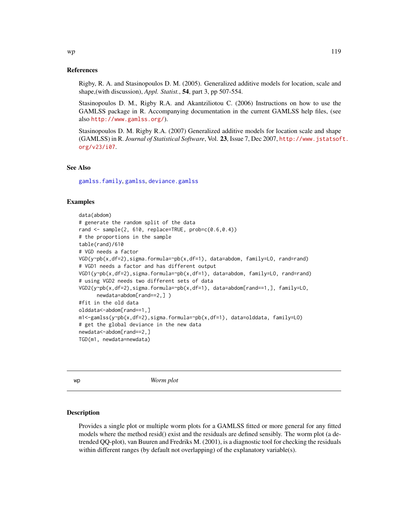#### <span id="page-118-0"></span>References

Rigby, R. A. and Stasinopoulos D. M. (2005). Generalized additive models for location, scale and shape,(with discussion), *Appl. Statist.*, 54, part 3, pp 507-554.

Stasinopoulos D. M., Rigby R.A. and Akantziliotou C. (2006) Instructions on how to use the GAMLSS package in R. Accompanying documentation in the current GAMLSS help files, (see also <http://www.gamlss.org/>).

Stasinopoulos D. M. Rigby R.A. (2007) Generalized additive models for location scale and shape (GAMLSS) in R. *Journal of Statistical Software*, Vol. 23, Issue 7, Dec 2007, [http://www.jstatsof](http://www.jstatsoft.org/v23/i07)t. [org/v23/i07](http://www.jstatsoft.org/v23/i07).

# See Also

[gamlss.family](#page-0-0), [gamlss](#page-34-0), [deviance.gamlss](#page-22-0)

# Examples

```
data(abdom)
# generate the random split of the data
rand \leq sample(2, 610, replace=TRUE, prob=c(0.6,0.4))
# the proportions in the sample
table(rand)/610
# VGD needs a factor
VGD(y~pb(x,df=2),sigma.formula=~pb(x,df=1), data=abdom, family=LO, rand=rand)
# VGD1 needs a factor and has different output
VGD1(y~pb(x,df=2),sigma.formula=~pb(x,df=1), data=abdom, family=LO, rand=rand)
# using VGD2 needs two different sets of data
VGD2(y~pb(x,df=2),sigma.formula=~pb(x,df=1), data=abdom[rand==1,], family=LO,
      newdata=abdom[rand==2,] )
#fit in the old data
olddata<-abdom[rand==1,]
m1<-gamlss(y~pb(x,df=2),sigma.formula=~pb(x,df=1), data=olddata, family=LO)
# get the global deviance in the new data
newdata<-abdom[rand==2,]
TGD(m1, newdata=newdata)
```
wp *Worm plot*

#### **Description**

Provides a single plot or multiple worm plots for a GAMLSS fitted or more general for any fitted models where the method resid() exist and the residuals are defined sensibly. The worm plot (a detrended QQ-plot), van Buuren and Fredriks M. (2001), is a diagnostic tool for checking the residuals within different ranges (by default not overlapping) of the explanatory variable(s).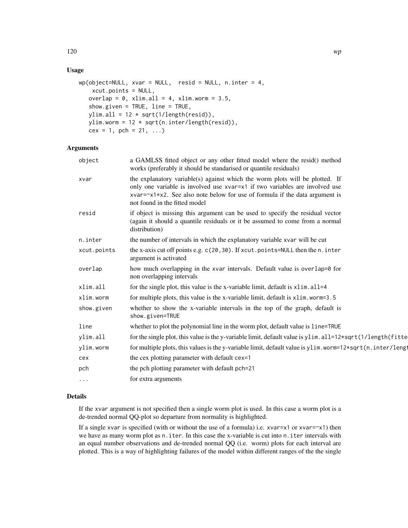# Usage

```
wp(object=NULL, xvar = NULL, resid = NULL, n.inter = 4,xcut.points = NULL,
   overlap = 0, xlim.all = 4, xlim.worm = 3.5,
   show.given = TRUE, line = TRUE,
  ylim.all = 12 * sqrt(1/length(resid)),ylim.worm = 12 * sqrt(n.inter/length(resid)),cex = 1, pch = 21, ...)
```
# Arguments

| object      | a GAMLSS fitted object or any other fitted model where the resid() method<br>works (preferably it should be standarised or quantile residuals)                                                                                                                                      |
|-------------|-------------------------------------------------------------------------------------------------------------------------------------------------------------------------------------------------------------------------------------------------------------------------------------|
| xvar        | the explanatory variable(s) against which the worm plots will be plotted. If<br>only one variable is involved use xvar=x1 if two variables are involved use<br>xvar= $\alpha$ 1*x2. See also note below for use of formula if the data argument is<br>not found in the fitted model |
| resid       | if object is missing this argument can be used to specify the residual vector<br>(again it should a quantile residuals or it be assumed to come from a normal<br>distribution)                                                                                                      |
| n.inter     | the number of intervals in which the explanatory variable xvar will be cut                                                                                                                                                                                                          |
| xcut.points | the x-axis cut off points e.g. c(20,30). If xcut.points=NULL then the n.inter<br>argument is activated                                                                                                                                                                              |
| overlap     | how much overlapping in the xvar intervals. Default value is overlap=0 for<br>non overlapping intervals                                                                                                                                                                             |
| xlim.all    | for the single plot, this value is the x-variable limit, default is x1im. all=4                                                                                                                                                                                                     |
| xlim.worm   | for multiple plots, this value is the x-variable limit, default is x1im. worm=3.5                                                                                                                                                                                                   |
| show.given  | whether to show the x-variable intervals in the top of the graph, default is<br>show.given=TRUE                                                                                                                                                                                     |
| line        | whether to plot the polynomial line in the worm plot, default value is line=TRUE                                                                                                                                                                                                    |
| ylim.all    | for the single plot, this value is the y-variable limit, default value is ylim. all=12*sqrt(1/length(fitte)                                                                                                                                                                         |
| ylim.worm   | for multiple plots, this values is the y-variable limit, default value is ylim.worm=12*sqrt(n.inter/lengt                                                                                                                                                                           |
| cex         | the cex plotting parameter with default cex=1                                                                                                                                                                                                                                       |
| pch         | the pch plotting parameter with default pch=21                                                                                                                                                                                                                                      |
| $\cdots$    | for extra arguments                                                                                                                                                                                                                                                                 |
|             |                                                                                                                                                                                                                                                                                     |

# Details

If the xvar argument is not specified then a single worm plot is used. In this case a worm plot is a de-trended normal QQ-plot so departure from normality is highlighted.

If a single xvar is specified (with or without the use of a formula) i.e.  $xvar=x1$  or  $xvar=x1$ ) then we have as many worm plot as n.iter. In this case the x-variable is cut into n.iter intervals with an equal number observations and de-trended normal QQ (i.e. worm) plots for each interval are plotted. This is a way of highlighting failures of the model within different ranges of the the single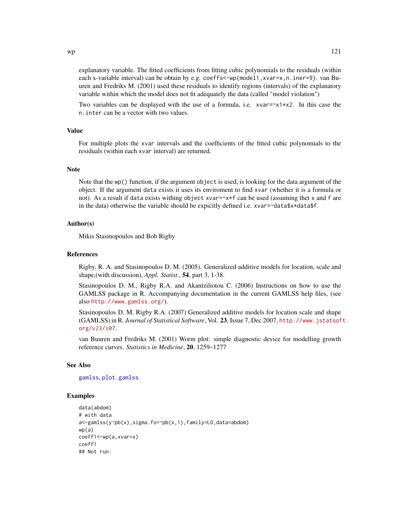<span id="page-120-0"></span>explanatory variable. The fitted coefficients from fitting cubic polynomials to the residuals (within each x-variable interval) can be obtain by e.g. coeffs<-wp(model1,xvar=x,n.iner=9). van Buuren and Fredriks M. (2001) used these residuals to identify regions (intervals) of the explanatory variable within which the model does not fit adequately the data (called "model violation")

Two variables can be displayed with the use of a formula, i.e.  $xvar=x1*x2$ . In this case the n.inter can be a vector with two values.

# Value

For multiple plots the xvar intervals and the coefficients of the fitted cubic polynomials to the residuals (within each xvar interval) are returned.

# **Note**

Note that the wp() function, if the argument object is used, is looking for the data argument of the object. If the argument data exists it uses its enviroment to find xvar (whether it is a formula or not). As a result if data exists withing object xvar=~x\*f can be used (assuming thet x and f are in the data) otherwise the variable should be expicitly defined i.e. xvar=~data\$x\*data\$f.

# Author(s)

Mikis Stasinopoulos and Bob Rigby

#### References

Rigby, R. A. and Stasinopoulos D. M. (2005). Generalized additive models for location, scale and shape,(with discussion), *Appl. Statist.*, 54, part 3, 1-38.

Stasinopoulos D. M., Rigby R.A. and Akantziliotou C. (2006) Instructions on how to use the GAMLSS package in R. Accompanying documentation in the current GAMLSS help files, (see also <http://www.gamlss.org/>).

Stasinopoulos D. M. Rigby R.A. (2007) Generalized additive models for location scale and shape (GAMLSS) in R. *Journal of Statistical Software*, Vol. 23, Issue 7, Dec 2007, [http://www.jstatsof](http://www.jstatsoft.org/v23/i07)t. [org/v23/i07](http://www.jstatsoft.org/v23/i07).

van Buuren and Fredriks M. (2001) Worm plot: simple diagnostic device for modelling growth reference curves. *Statistics in Medicine*, 20, 1259–1277

#### See Also

[gamlss](#page-34-0), [plot.gamlss](#page-72-0)

```
data(abdom)
# with data
a<-gamlss(y~pb(x),sigma.fo=~pb(x,1),family=LO,data=abdom)
wp(a)
coeff1<-wp(a,xvar=x)
coeff1
## Not run:
```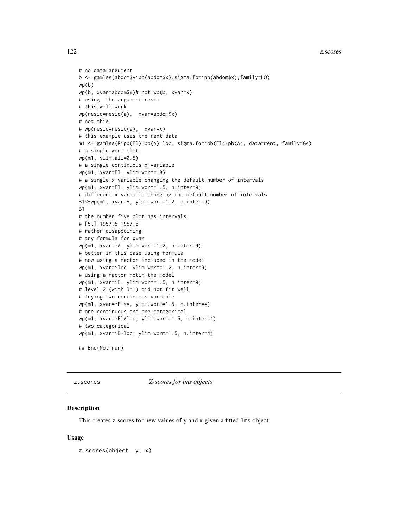#### <span id="page-121-0"></span>122 z.scores

```
# no data argument
b <- gamlss(abdom$y~pb(abdom$x),sigma.fo=~pb(abdom$x),family=LO)
wp(b)
wp(b, xvar=abdom$x)# not wp(b, xvar=x)
# using the argument resid
# this will work
wp(resid=resid(a), xvar=abdom$x)
# not this
# wp(resid=resid(a), xvar=x)
# this example uses the rent data
m1 <- gamlss(R~pb(Fl)+pb(A)+loc, sigma.fo=~pb(Fl)+pb(A), data=rent, family=GA)
# a single worm plot
wp(m1, ylim.all=0.5)
# a single continuous x variable
wp(m1, xvar=Fl, ylim.worm=.8)
# a single x variable changing the default number of intervals
wp(m1, xvar=Fl, ylim.worm=1.5, n.inter=9)
# different x variable changing the default number of intervals
B1<-wp(m1, xvar=A, ylim.worm=1.2, n.inter=9)
B1
# the number five plot has intervals
# [5,] 1957.5 1957.5
# rather disappoining
# try formula for xvar
wp(m1, xvar=~A, ylim.worm=1.2, n.inter=9)
# better in this case using formula
# now using a factor included in the model
wp(m1, xvar=~loc, ylim.worm=1.2, n.inter=9)
# using a factor notin the model
wp(m1, xvar=~B, ylim.worm=1.5, n.inter=9)
# level 2 (with B=1) did not fit well
# trying two continuous variable
wp(m1, xvar=~Fl*A, ylim.worm=1.5, n.inter=4)
# one continuous and one categorical
wp(m1, xvar=~Fl*loc, ylim.worm=1.5, n.inter=4)
# two categorical
wp(m1, xvar=~B*loc, ylim.worm=1.5, n.inter=4)
```

```
## End(Not run)
```
z.scores *Z-scores for lms objects*

# **Description**

This creates z-scores for new values of y and x given a fitted lms object.

#### Usage

z.scores(object, y, x)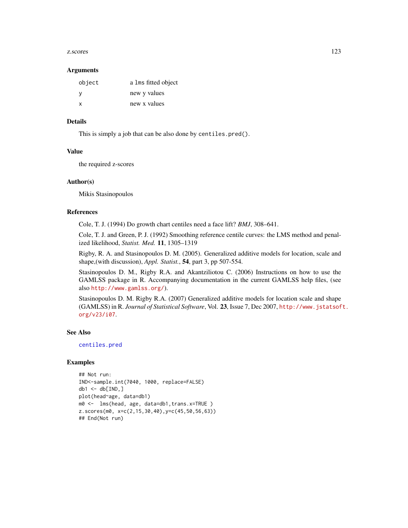#### <span id="page-122-0"></span>z.scores and the set of the set of the set of the set of the set of the set of the set of the set of the set of the set of the set of the set of the set of the set of the set of the set of the set of the set of the set of

#### **Arguments**

| object | a lms fitted object |
|--------|---------------------|
| v      | new y values        |
| x      | new x values        |

# Details

This is simply a job that can be also done by centiles.pred().

#### Value

the required z-scores

#### Author(s)

Mikis Stasinopoulos

## References

Cole, T. J. (1994) Do growth chart centiles need a face lift? *BMJ*, 308–641.

Cole, T. J. and Green, P. J. (1992) Smoothing reference centile curves: the LMS method and penalized likelihood, *Statist. Med.* 11, 1305–1319

Rigby, R. A. and Stasinopoulos D. M. (2005). Generalized additive models for location, scale and shape,(with discussion), *Appl. Statist.*, 54, part 3, pp 507-554.

Stasinopoulos D. M., Rigby R.A. and Akantziliotou C. (2006) Instructions on how to use the GAMLSS package in R. Accompanying documentation in the current GAMLSS help files, (see also <http://www.gamlss.org/>).

Stasinopoulos D. M. Rigby R.A. (2007) Generalized additive models for location scale and shape (GAMLSS) in R. *Journal of Statistical Software*, Vol. 23, Issue 7, Dec 2007, [http://www.jstatsof](http://www.jstatsoft.org/v23/i07)t. [org/v23/i07](http://www.jstatsoft.org/v23/i07).

#### See Also

[centiles.pred](#page-13-0)

```
## Not run:
IND<-sample.int(7040, 1000, replace=FALSE)
db1 < - db[IND, ]plot(head~age, data=db1)
m0 <- lms(head, age, data=db1,trans.x=TRUE )
z.scores(m0, x=c(2,15,30,40),y=c(45,50,56,63))
## End(Not run)
```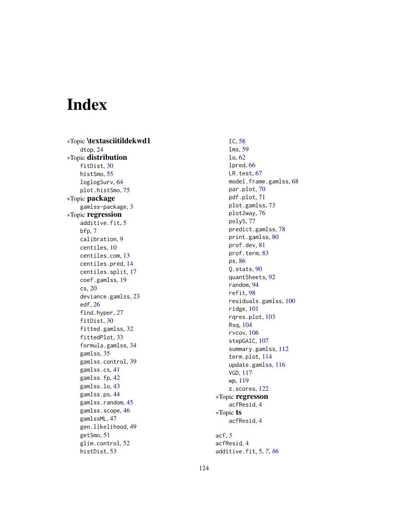# Index

∗Topic \textasciitildekwd1 dtop , [24](#page-23-0) ∗Topic distribution fitDist, [30](#page-29-0) histSmo, [55](#page-54-0) loglogSurv , [64](#page-63-0) plot.histSmo , [75](#page-74-0) ∗Topic package gamlss-package , [3](#page-2-0) ∗Topic regression additive.fit, [5](#page-4-0) bfp , [7](#page-6-0) calibration , [9](#page-8-0) centiles , [10](#page-9-0) centiles.com , [13](#page-12-0) centiles.pred , [14](#page-13-1) centiles.split , [17](#page-16-0) coef.gamlss , [19](#page-18-1) cs , [20](#page-19-0) deviance.gamlss , [23](#page-22-1) edf , [26](#page-25-0) find.hyper, [27](#page-26-0) fitDist, [30](#page-29-0) fitted.gamlss, [32](#page-31-1) fittedPlot , [33](#page-32-0) formula.gamlss , [34](#page-33-1) gamlss , [35](#page-34-1) gamlss.control , [39](#page-38-0) gamlss.cs , [41](#page-40-0) gamlss.fp , [42](#page-41-0) gamlss.lo , [43](#page-42-0) gamlss.ps , [44](#page-43-0) gamlss.random, [45](#page-44-0) gamlss.scope, [46](#page-45-1) gamlssML , [47](#page-46-0) gen.likelihood , [49](#page-48-0) getSmo , [51](#page-50-0) glim.control, [52](#page-51-0) histDist , [53](#page-52-0)

IC , [58](#page-57-0) lms , [59](#page-58-0) lo , [62](#page-61-0) lpred , [66](#page-65-0) LR.test, [67](#page-66-0) model.frame.gamlss, [68](#page-67-0) par.plot , [70](#page-69-0) pdf.plot , [71](#page-70-0) plot.gamlss , [73](#page-72-1) plot2way , [76](#page-75-0) polyS , [77](#page-76-0) predict.gamlss , [78](#page-77-0) print.gamlss, <mark>8</mark>0 prof.dev , [81](#page-80-0) prof.term , [83](#page-82-0) ps , [86](#page-85-0) Q.stats , [90](#page-89-0) quantSheets , [92](#page-91-0) random , [94](#page-93-0) refit , [98](#page-97-0) residuals.gamlss , [100](#page-99-1) ridge , [101](#page-100-0) rqres.plot , [103](#page-102-0) Rsq , [104](#page-103-0) rvcov , [106](#page-105-0) stepGAIC, [107](#page-106-0) summary.gamlss, [112](#page-111-1) term.plot , [114](#page-113-0) update.gamlss , [116](#page-115-0) VGD , [117](#page-116-0) wp , [119](#page-118-0) z.scores, [122](#page-121-0) ∗Topic regresson acfResid , [4](#page-3-0) ∗Topic ts acfResid , [4](#page-3-0) acf , *[5](#page-4-0)* acfResid , [4](#page-3-0)

additive.fit , [5](#page-4-0) , *[7](#page-6-0)* , *[86](#page-85-0)*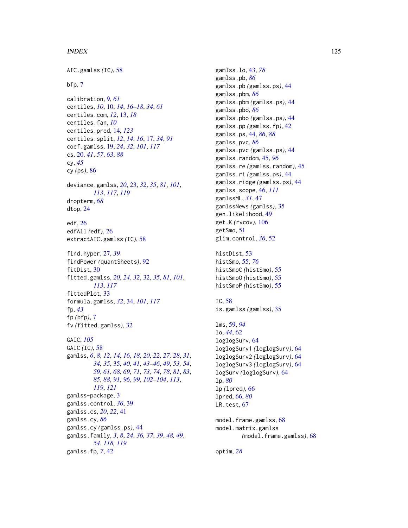# INDEX 125

AIC.gamlss *(*IC*)*, [58](#page-57-0) bfp, [7](#page-6-0) calibration, [9,](#page-8-0) *[61](#page-60-0)* centiles, *[10](#page-9-0)*, [10,](#page-9-0) *[14](#page-13-1)*, *[16–](#page-15-0)[18](#page-17-0)*, *[34](#page-33-1)*, *[61](#page-60-0)* centiles.com, *[12](#page-11-0)*, [13,](#page-12-0) *[18](#page-17-0)* centiles.fan, *[10](#page-9-0)* centiles.pred, [14,](#page-13-1) *[123](#page-122-0)* centiles.split, *[12](#page-11-0)*, *[14](#page-13-1)*, *[16](#page-15-0)*, [17,](#page-16-0) *[34](#page-33-1)*, *[91](#page-90-0)* coef.gamlss, [19,](#page-18-1) *[24](#page-23-0)*, *[32](#page-31-1)*, *[101](#page-100-0)*, *[117](#page-116-0)* cs, [20,](#page-19-0) *[41](#page-40-0)*, *[57](#page-56-0)*, *[63](#page-62-0)*, *[88](#page-87-0)* cy, *[45](#page-44-0)* cy *(*ps*)*, [86](#page-85-0) deviance.gamlss, *[20](#page-19-0)*, [23,](#page-22-1) *[32](#page-31-1)*, *[35](#page-34-1)*, *[81](#page-80-0)*, *[101](#page-100-0)*, *[113](#page-112-0)*, *[117](#page-116-0)*, *[119](#page-118-0)* dropterm, *[68](#page-67-0)* dtop, [24](#page-23-0) edf, [26](#page-25-0) edfAll *(*edf*)*, [26](#page-25-0) extractAIC.gamlss *(*IC*)*, [58](#page-57-0) find.hyper, [27,](#page-26-0) *[39](#page-38-0)* findPower *(*quantSheets*)*, [92](#page-91-0) fitDist, [30](#page-29-0) fitted.gamlss, *[20](#page-19-0)*, *[24](#page-23-0)*, *[32](#page-31-1)*, [32,](#page-31-1) *[35](#page-34-1)*, *[81](#page-80-0)*, *[101](#page-100-0)*, *[113](#page-112-0)*, *[117](#page-116-0)* fittedPlot, [33](#page-32-0) formula.gamlss, *[32](#page-31-1)*, [34,](#page-33-1) *[101](#page-100-0)*, *[117](#page-116-0)* fp, *[43](#page-42-0)* fp *(*bfp*)*, [7](#page-6-0) fv *(*fitted.gamlss*)*, [32](#page-31-1) GAIC, *[105](#page-104-0)* GAIC *(*IC*)*, [58](#page-57-0) gamlss, *[6](#page-5-0)*, *[8](#page-7-0)*, *[12](#page-11-0)*, *[14](#page-13-1)*, *[16](#page-15-0)*, *[18](#page-17-0)*, *[20](#page-19-0)*, *[22](#page-21-0)*, *[27,](#page-26-0) [28](#page-27-0)*, *[31](#page-30-0)*, *[34,](#page-33-1) [35](#page-34-1)*, [35,](#page-34-1) *[40,](#page-39-0) [41](#page-40-0)*, *[43–](#page-42-0)[46](#page-45-1)*, *[49](#page-48-0)*, *[53,](#page-52-0) [54](#page-53-0)*, *[59](#page-58-0)*, *[61](#page-60-0)*, *[68,](#page-67-0) [69](#page-68-0)*, *[71](#page-70-0)*, *[73,](#page-72-1) [74](#page-73-0)*, *[78](#page-77-0)*, *[81](#page-80-0)*, *[83](#page-82-0)*, *[85](#page-84-0)*, *[88](#page-87-0)*, *[91](#page-90-0)*, *[96](#page-95-0)*, *[99](#page-98-0)*, *[102–](#page-101-0)[104](#page-103-0)*, *[113](#page-112-0)*, *[119](#page-118-0)*, *[121](#page-120-0)* gamlss-package, [3](#page-2-0) gamlss.control, *[36](#page-35-0)*, [39](#page-38-0) gamlss.cs, *[20](#page-19-0)*, *[22](#page-21-0)*, [41](#page-40-0) gamlss.cy, *[86](#page-85-0)* gamlss.cy *(*gamlss.ps*)*, [44](#page-43-0) gamlss.family, *[3](#page-2-0)*, *[8](#page-7-0)*, *[24](#page-23-0)*, *[36,](#page-35-0) [37](#page-36-0)*, *[39](#page-38-0)*, *[48,](#page-47-0) [49](#page-48-0)*, *[54](#page-53-0)*, *[118,](#page-117-0) [119](#page-118-0)* gamlss.fp, *[7](#page-6-0)*, [42](#page-41-0)

gamlss.lo, [43,](#page-42-0) *[78](#page-77-0)* gamlss.pb, *[86](#page-85-0)* gamlss.pb *(*gamlss.ps*)*, [44](#page-43-0) gamlss.pbm, *[86](#page-85-0)* gamlss.pbm *(*gamlss.ps*)*, [44](#page-43-0) gamlss.pbo, *[86](#page-85-0)* gamlss.pbo *(*gamlss.ps*)*, [44](#page-43-0) gamlss.pp *(*gamlss.fp*)*, [42](#page-41-0) gamlss.ps, [44,](#page-43-0) *[86](#page-85-0)*, *[88](#page-87-0)* gamlss.pvc, *[86](#page-85-0)* gamlss.pvc *(*gamlss.ps*)*, [44](#page-43-0) gamlss.random, [45,](#page-44-0) *[96](#page-95-0)* gamlss.re *(*gamlss.random*)*, [45](#page-44-0) gamlss.ri *(*gamlss.ps*)*, [44](#page-43-0) gamlss.ridge *(*gamlss.ps*)*, [44](#page-43-0) gamlss.scope, [46,](#page-45-1) *[111](#page-110-0)* gamlssML, *[31](#page-30-0)*, [47](#page-46-0) gamlssNews *(*gamlss*)*, [35](#page-34-1) gen.likelihood, [49](#page-48-0) get.K *(*rvcov*)*, [106](#page-105-0) getSmo, [51](#page-50-0) glim.control, *[36](#page-35-0)*, [52](#page-51-0) histDist, [53](#page-52-0) histSmo, [55,](#page-54-0) *[76](#page-75-0)* histSmoC *(*histSmo*)*, [55](#page-54-0) histSmoO *(*histSmo*)*, [55](#page-54-0)

histSmoP *(*histSmo*)*, [55](#page-54-0) IC, [58](#page-57-0) is.gamlss *(*gamlss*)*, [35](#page-34-1) lms, [59,](#page-58-0) *[94](#page-93-0)* lo, *[44](#page-43-0)*, [62](#page-61-0)

```
loglogSurv, 64
loglogSurv1 (loglogSurv), 64
loglogSurv2 (loglogSurv), 64
loglogSurv3 (loglogSurv), 64
logSurv (loglogSurv), 64
lp, 80
lp (lpred), 66
lpred, 66, 80
67
model.frame.gamlss, 68
model.matrix.gamlss
```
*(*model.frame.gamlss*)*, [68](#page-67-0)

optim, *[28](#page-27-0)*